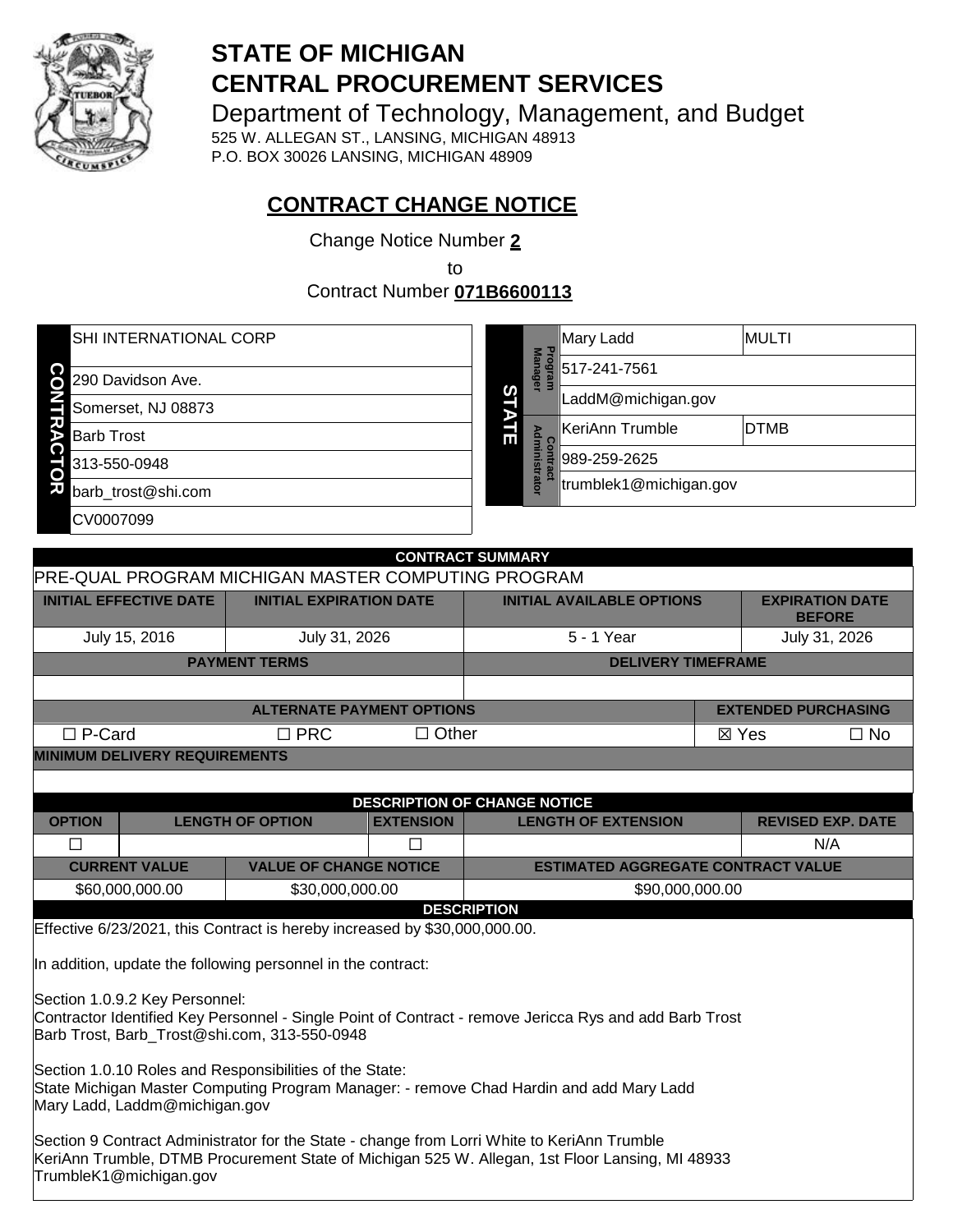

# **STATE OF MICHIGAN CENTRAL PROCUREMENT SERVICES**

Department of Technology, Management, and Budget 525 W. ALLEGAN ST., LANSING, MICHIGAN 48913 P.O. BOX 30026 LANSING, MICHIGAN 48909

**CONTRACT CHANGE NOTICE**

Change Notice Number **2**

to

Contract Number **071B6600113**

| <b>SHI INTERNATIONAL CORP</b> |   |                           | Mary Ladd              | <b>MULTI</b> |
|-------------------------------|---|---------------------------|------------------------|--------------|
| 290 Davidson Ave.             |   | <b>Program</b><br>Manager | 517-241-7561           |              |
| Somerset, NJ 08873            | S | в                         | LaddM@michigan.gov     |              |
| <b>Barb Trost</b>             | 딞 |                           | KeriAnn Trumble        | <b>DTMB</b>  |
| 313-550-0948                  |   | Administrato              | 989-259-2625           |              |
| O<br>ᅏ<br>barb trost@shi.com  |   |                           | trumblek1@michigan.gov |              |
| CV0007099                     |   |                           |                        |              |
|                               |   |                           |                        |              |

|                                                                                                                                                                                                                          |                                    |                                  |                  | <b>CONTRACT SUMMARY</b>                   |                 |                                         |
|--------------------------------------------------------------------------------------------------------------------------------------------------------------------------------------------------------------------------|------------------------------------|----------------------------------|------------------|-------------------------------------------|-----------------|-----------------------------------------|
| <b>PRE-QUAL PROGRAM MICHIGAN MASTER COMPUTING PROGRAM</b>                                                                                                                                                                |                                    |                                  |                  |                                           |                 |                                         |
| <b>INITIAL EFFECTIVE DATE</b>                                                                                                                                                                                            |                                    | <b>INITIAL EXPIRATION DATE</b>   |                  | <b>INITIAL AVAILABLE OPTIONS</b>          |                 | <b>EXPIRATION DATE</b><br><b>BEFORE</b> |
| July 15, 2016                                                                                                                                                                                                            |                                    | July 31, 2026                    |                  | 5 - 1 Year                                |                 | July 31, 2026                           |
|                                                                                                                                                                                                                          |                                    | <b>PAYMENT TERMS</b>             |                  | <b>DELIVERY TIMEFRAME</b>                 |                 |                                         |
|                                                                                                                                                                                                                          |                                    |                                  |                  |                                           |                 |                                         |
|                                                                                                                                                                                                                          |                                    | <b>ALTERNATE PAYMENT OPTIONS</b> |                  |                                           |                 | <b>EXTENDED PURCHASING</b>              |
| $\Box$ P-Card                                                                                                                                                                                                            |                                    | $\Box$ PRC                       | $\Box$ Other     |                                           | $\boxtimes$ Yes | $\Box$ No                               |
| <b>MINIMUM DELIVERY REQUIREMENTS</b>                                                                                                                                                                                     |                                    |                                  |                  |                                           |                 |                                         |
|                                                                                                                                                                                                                          |                                    |                                  |                  |                                           |                 |                                         |
|                                                                                                                                                                                                                          |                                    |                                  |                  | <b>DESCRIPTION OF CHANGE NOTICE</b>       |                 |                                         |
| <b>OPTION</b>                                                                                                                                                                                                            |                                    | <b>LENGTH OF OPTION</b>          | <b>EXTENSION</b> | <b>LENGTH OF EXTENSION</b>                |                 | <b>REVISED EXP. DATE</b>                |
| П                                                                                                                                                                                                                        |                                    |                                  | П                |                                           |                 | N/A                                     |
| <b>CURRENT VALUE</b>                                                                                                                                                                                                     |                                    | <b>VALUE OF CHANGE NOTICE</b>    |                  | <b>ESTIMATED AGGREGATE CONTRACT VALUE</b> |                 |                                         |
|                                                                                                                                                                                                                          | \$60,000,000.00<br>\$30,000,000.00 |                                  | \$90,000,000.00  |                                           |                 |                                         |
|                                                                                                                                                                                                                          |                                    |                                  |                  | <b>DESCRIPTION</b>                        |                 |                                         |
| Effective 6/23/2021, this Contract is hereby increased by \$30,000,000.00.                                                                                                                                               |                                    |                                  |                  |                                           |                 |                                         |
| In addition, update the following personnel in the contract:                                                                                                                                                             |                                    |                                  |                  |                                           |                 |                                         |
| Section 1.0.9.2 Key Personnel:<br>Contractor Identified Key Personnel - Single Point of Contract - remove Jericca Rys and add Barb Trost<br>Barb Trost, Barb Trost@shi.com, 313-550-0948                                 |                                    |                                  |                  |                                           |                 |                                         |
| Section 1.0.10 Roles and Responsibilities of the State:<br>State Michigan Master Computing Program Manager: - remove Chad Hardin and add Mary Ladd<br>Mary Ladd, Laddm@michigan.gov                                      |                                    |                                  |                  |                                           |                 |                                         |
| Section 9 Contract Administrator for the State - change from Lorri White to KeriAnn Trumble<br>KeriAnn Trumble, DTMB Procurement State of Michigan 525 W. Allegan, 1st Floor Lansing, MI 48933<br>TrumbleK1@michigan.gov |                                    |                                  |                  |                                           |                 |                                         |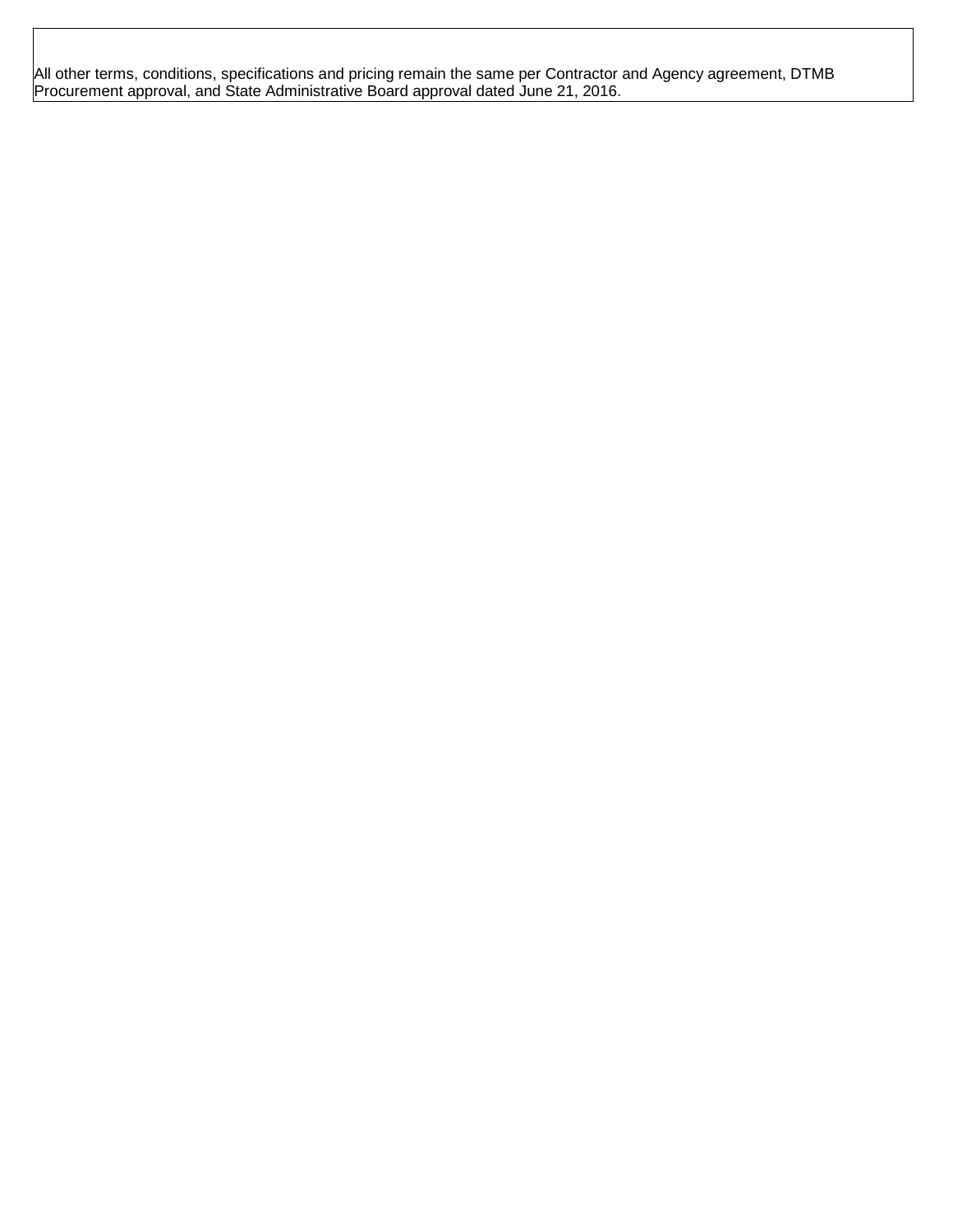All other terms, conditions, specifications and pricing remain the same per Contractor and Agency agreement, DTMB Procurement approval, and State Administrative Board approval dated June 21, 2016.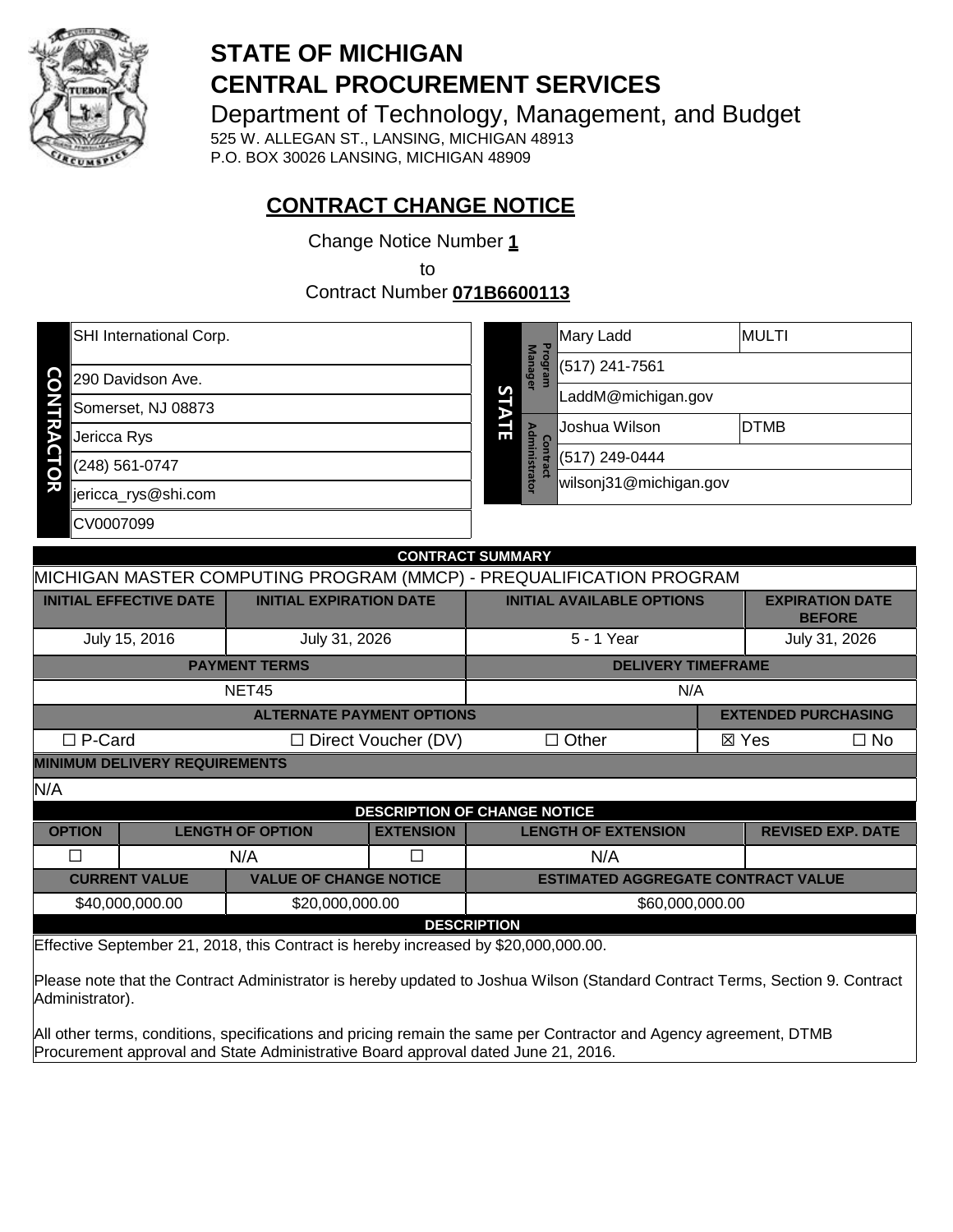

# **STATE OF MICHIGAN CENTRAL PROCUREMENT SERVICES**

Department of Technology, Management, and Budget

525 W. ALLEGAN ST., LANSING, MICHIGAN 48913 P.O. BOX 30026 LANSING, MICHIGAN 48909

# **CONTRACT CHANGE NOTICE**

Change Notice Number **1**

to

Contract Number **071B6600113**

|        | SHI International Corp. | Program<br><b>Manager</b><br>S |                        | Mary Ladd          | <b>MULTI</b>   |  |  |  |
|--------|-------------------------|--------------------------------|------------------------|--------------------|----------------|--|--|--|
| CO     | 290 Davidson Ave.       |                                |                        |                    | (517) 241-7561 |  |  |  |
|        | Somerset, NJ 08873      |                                |                        | LaddM@michigan.gov |                |  |  |  |
| ኛ      | Jericca Rys             | 딆                              | $\Omega$               | Joshua Wilson      | <b>DTMB</b>    |  |  |  |
|        | (248) 561-0747          | Е<br>inistrator<br>ntract      |                        | (517) 249-0444     |                |  |  |  |
| Ö<br>刀 | jericca_rys@shi.com     |                                | wilsonj31@michigan.gov |                    |                |  |  |  |
|        | CV0007099               |                                |                        |                    |                |  |  |  |

|                                                                                                                                                 |                                     |                                    |                            | <b>CONTRACT SUMMARY</b>                                                     |  |                            |           |
|-------------------------------------------------------------------------------------------------------------------------------------------------|-------------------------------------|------------------------------------|----------------------------|-----------------------------------------------------------------------------|--|----------------------------|-----------|
|                                                                                                                                                 |                                     |                                    |                            | MICHIGAN MASTER COMPUTING PROGRAM (MMCP) - PREQUALIFICATION PROGRAM         |  |                            |           |
| <b>INITIAL EFFECTIVE DATE</b>                                                                                                                   |                                     | <b>INITIAL EXPIRATION DATE</b>     |                            | <b>INITIAL AVAILABLE OPTIONS</b><br><b>EXPIRATION DATE</b><br><b>BEFORE</b> |  |                            |           |
| July 15, 2016                                                                                                                                   |                                     | July 31, 2026                      |                            | 5 - 1 Year                                                                  |  | July 31, 2026              |           |
|                                                                                                                                                 |                                     | <b>PAYMENT TERMS</b>               |                            | <b>DELIVERY TIMEFRAME</b>                                                   |  |                            |           |
|                                                                                                                                                 |                                     | NET45                              |                            | N/A                                                                         |  |                            |           |
|                                                                                                                                                 |                                     | <b>ALTERNATE PAYMENT OPTIONS</b>   |                            |                                                                             |  | <b>EXTENDED PURCHASING</b> |           |
| $\Box$ P-Card                                                                                                                                   |                                     |                                    | $\Box$ Direct Voucher (DV) | $\Box$ Other                                                                |  | ⊠ Yes                      | $\Box$ No |
| <b>MINIMUM DELIVERY REQUIREMENTS</b>                                                                                                            |                                     |                                    |                            |                                                                             |  |                            |           |
| N/A                                                                                                                                             |                                     |                                    |                            |                                                                             |  |                            |           |
|                                                                                                                                                 | <b>DESCRIPTION OF CHANGE NOTICE</b> |                                    |                            |                                                                             |  |                            |           |
| <b>OPTION</b>                                                                                                                                   |                                     | <b>LENGTH OF OPTION</b>            | <b>EXTENSION</b>           | <b>LENGTH OF EXTENSION</b>                                                  |  | <b>REVISED EXP. DATE</b>   |           |
| □                                                                                                                                               |                                     | N/A                                | Π                          | N/A                                                                         |  |                            |           |
| <b>CURRENT VALUE</b>                                                                                                                            |                                     | <b>VALUE OF CHANGE NOTICE</b>      |                            | <b>ESTIMATED AGGREGATE CONTRACT VALUE</b>                                   |  |                            |           |
| \$40,000,000.00                                                                                                                                 |                                     | \$20,000,000.00<br>\$60,000,000.00 |                            |                                                                             |  |                            |           |
| <b>DESCRIPTION</b>                                                                                                                              |                                     |                                    |                            |                                                                             |  |                            |           |
| Effective September 21, 2018, this Contract is hereby increased by \$20,000,000.00.                                                             |                                     |                                    |                            |                                                                             |  |                            |           |
| Please note that the Contract Administrator is hereby updated to Joshua Wilson (Standard Contract Terms, Section 9. Contract<br>Administrator). |                                     |                                    |                            |                                                                             |  |                            |           |

All other terms, conditions, specifications and pricing remain the same per Contractor and Agency agreement, DTMB Procurement approval and State Administrative Board approval dated June 21, 2016.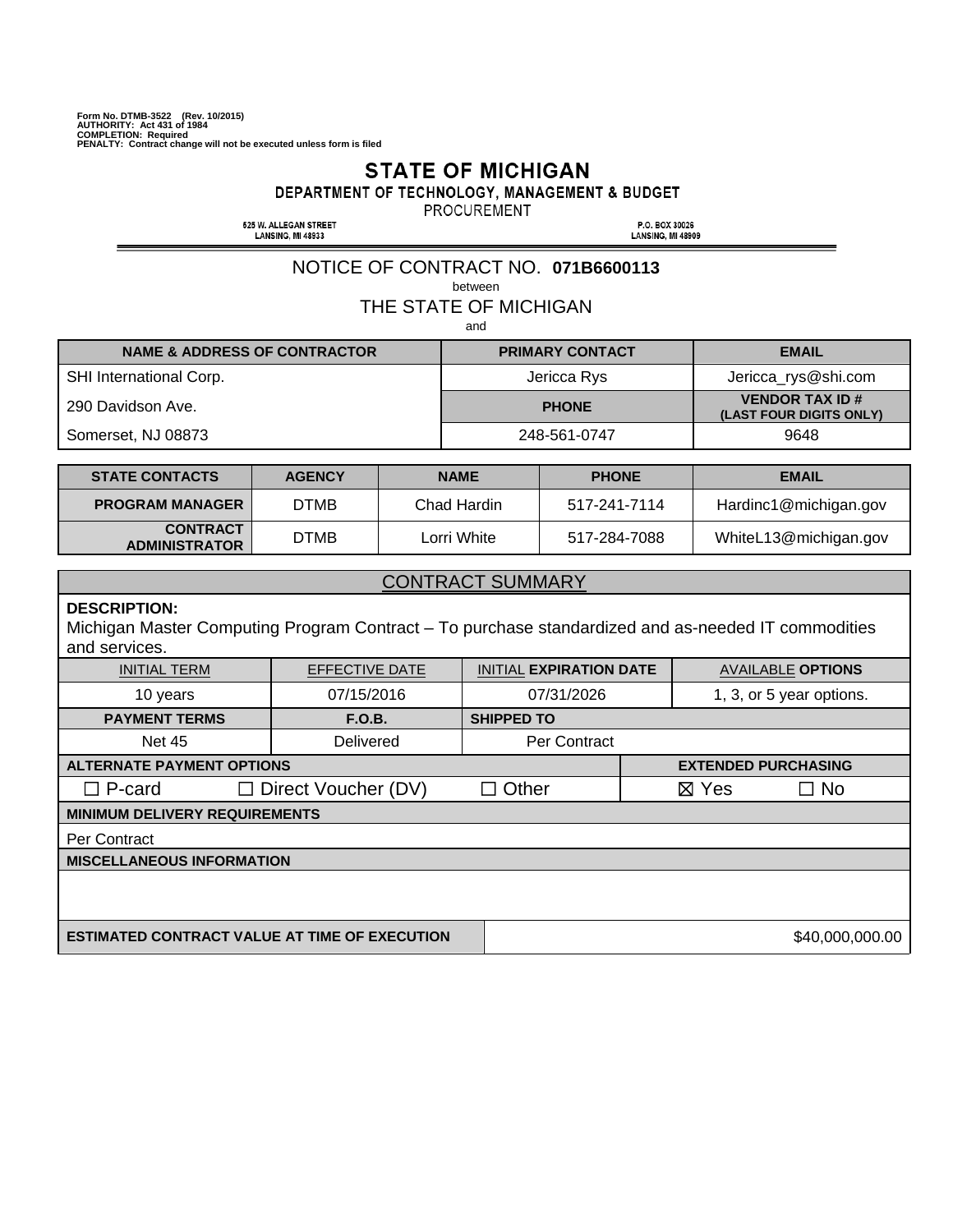#### **STATE OF MICHIGAN**

DEPARTMENT OF TECHNOLOGY, MANAGEMENT & BUDGET

PROCUREMENT

525 W. ALLEGAN STREET<br>LANSING, MI 48933

P.O. BOX 30026<br>LANSING, MI 48909

#### NOTICE OF CONTRACT NO. **071B6600113**

between

THE STATE OF MICHIGAN

and

| <b>NAME &amp; ADDRESS OF CONTRACTOR</b> | <b>PRIMARY CONTACT</b> | <b>EMAIL</b>                                     |
|-----------------------------------------|------------------------|--------------------------------------------------|
| <b>SHI International Corp.</b>          | Jericca Rys            | Jericca_rys@shi.com                              |
| 290 Davidson Ave.                       | <b>PHONE</b>           | <b>VENDOR TAX ID#</b><br>(LAST FOUR DIGITS ONLY) |
| Somerset, NJ 08873                      | 248-561-0747           | 9648                                             |

| <b>STATE CONTACTS</b>                   | <b>AGENCY</b> | <b>NAME</b> | <b>PHONE</b> | <b>EMAIL</b>          |
|-----------------------------------------|---------------|-------------|--------------|-----------------------|
| <b>PROGRAM MANAGER</b>                  | OTMB          | Chad Hardin | 517-241-7114 | Hardinc1@michigan.gov |
| <b>CONTRACT</b><br><b>ADMINISTRATOR</b> | DTMB.         | Lorri White | 517-284-7088 | WhiteL13@michigan.gov |

#### CONTRACT SUMMARY

#### **DESCRIPTION:**

Michigan Master Computing Program Contract – To purchase standardized and as-needed IT commodities and services.

| <b>INITIAL TERM</b>                                  | EFFECTIVE DATE             | <b>INITIAL EXPIRATION DATE</b> |                            | <b>AVAILABLE OPTIONS</b> |
|------------------------------------------------------|----------------------------|--------------------------------|----------------------------|--------------------------|
| 10 years                                             | 07/15/2016                 | 07/31/2026                     |                            | 1, 3, or 5 year options. |
| <b>PAYMENT TERMS</b>                                 | F.O.B.                     | <b>SHIPPED TO</b>              |                            |                          |
| <b>Net 45</b>                                        | Delivered                  | Per Contract                   |                            |                          |
| <b>ALTERNATE PAYMENT OPTIONS</b>                     |                            |                                | <b>EXTENDED PURCHASING</b> |                          |
| $\square$ P-card                                     | $\Box$ Direct Voucher (DV) | $\Box$ Other                   | $\boxtimes$ Yes            | $\Box$ No                |
| <b>MINIMUM DELIVERY REQUIREMENTS</b>                 |                            |                                |                            |                          |
| Per Contract                                         |                            |                                |                            |                          |
| <b>MISCELLANEOUS INFORMATION</b>                     |                            |                                |                            |                          |
|                                                      |                            |                                |                            |                          |
|                                                      |                            |                                |                            |                          |
| <b>ESTIMATED CONTRACT VALUE AT TIME OF EXECUTION</b> |                            |                                |                            | \$40,000,000.00          |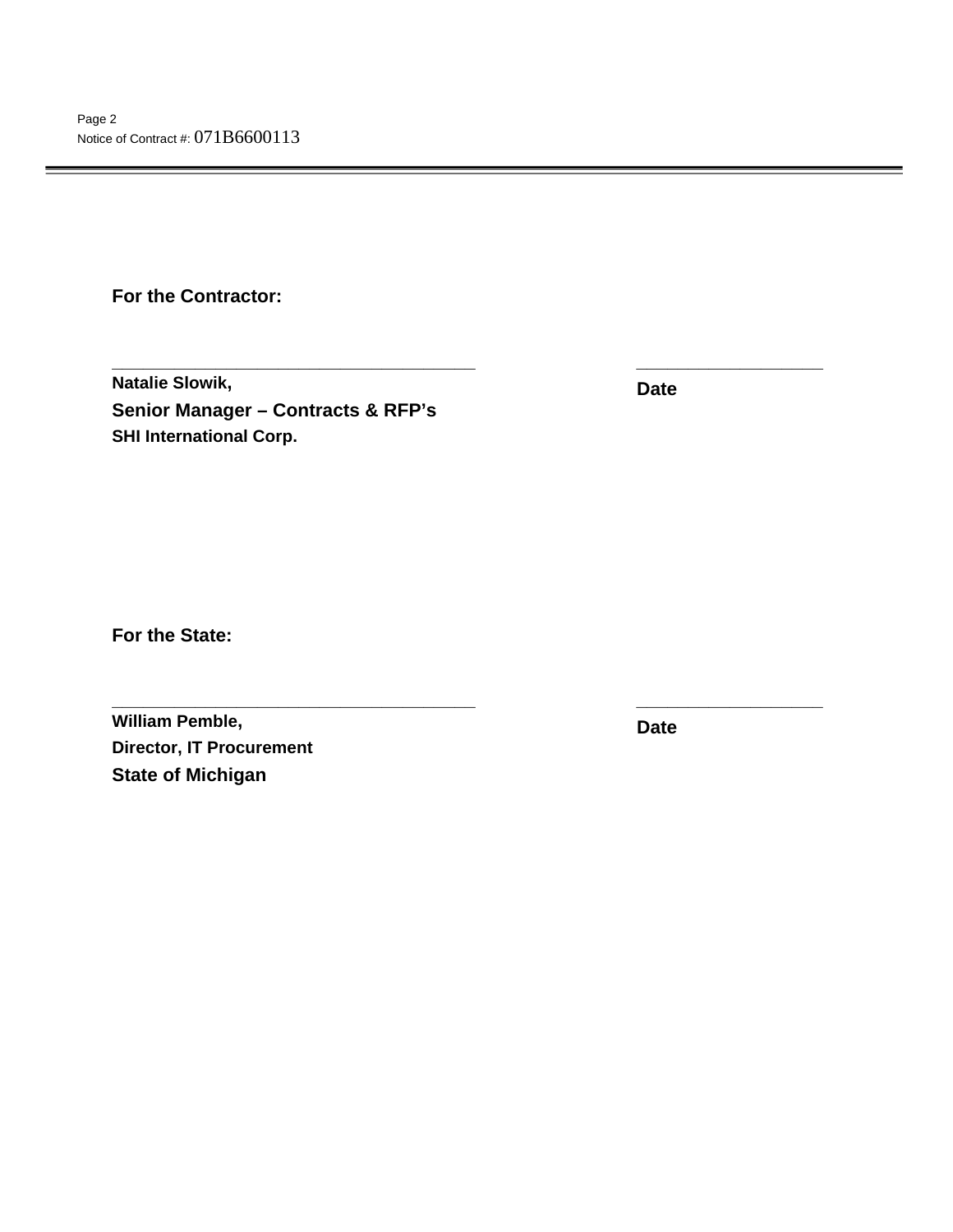**For the Contractor:** 

**Natalie Slowik, Senior Manager – Contracts & RFP's SHI International Corp.**

**Date** 

**\_\_\_\_\_\_\_\_\_\_\_\_\_\_\_\_\_\_\_\_\_\_\_\_\_\_\_\_\_\_\_\_\_\_\_ \_\_\_\_\_\_\_\_\_\_\_\_\_\_\_\_\_\_** 

**\_\_\_\_\_\_\_\_\_\_\_\_\_\_\_\_\_\_\_\_\_\_\_\_\_\_\_\_\_\_\_\_\_\_\_ \_\_\_\_\_\_\_\_\_\_\_\_\_\_\_\_\_\_** 

**For the State:** 

**William Pemble, Director, IT Procurement State of Michigan** 

**Date**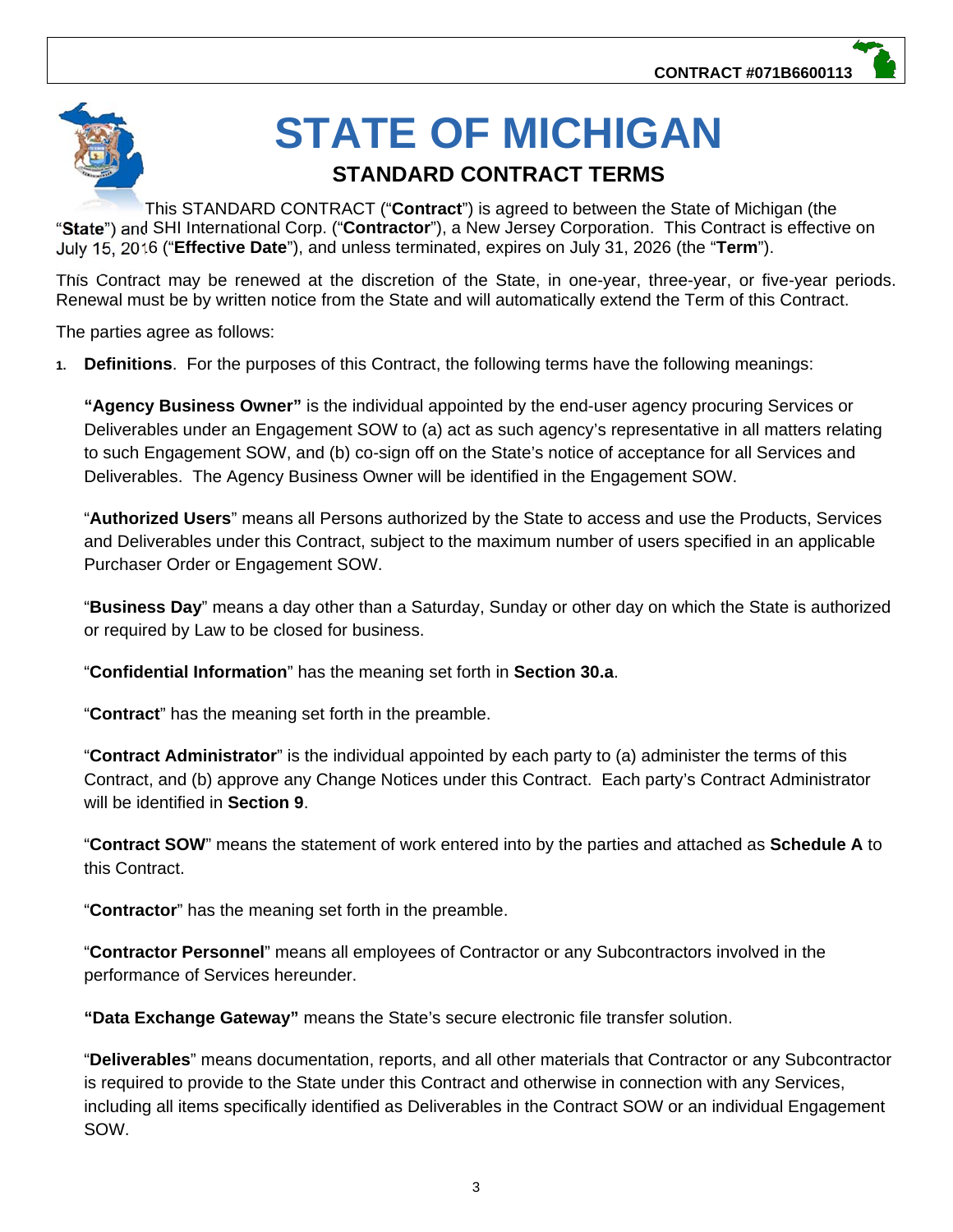# **STATE OF MICHIGAN**

## **STANDARD CONTRACT TERMS**

This STANDARD CONTRACT ("**Contract**") is agreed to between the State of Michigan (the "**State**") and SHI International Corp. ("**Contractor**"), a New Jersey Corporation. This Contract is effective on July 15, 2016 ("**Effective Date**"), and unless terminated, expires on July 31, 2026 (the "**Term**").

This Contract may be renewed at the discretion of the State, in one-year, three-year, or five-year periods. Renewal must be by written notice from the State and will automatically extend the Term of this Contract.

The parties agree as follows:

**1. Definitions**. For the purposes of this Contract, the following terms have the following meanings:

**"Agency Business Owner"** is the individual appointed by the end-user agency procuring Services or Deliverables under an Engagement SOW to (a) act as such agency's representative in all matters relating to such Engagement SOW, and (b) co-sign off on the State's notice of acceptance for all Services and Deliverables. The Agency Business Owner will be identified in the Engagement SOW.

"**Authorized Users**" means all Persons authorized by the State to access and use the Products, Services and Deliverables under this Contract, subject to the maximum number of users specified in an applicable Purchaser Order or Engagement SOW.

"**Business Day**" means a day other than a Saturday, Sunday or other day on which the State is authorized or required by Law to be closed for business.

"**Confidential Information**" has the meaning set forth in **Section 30.a**.

"**Contract**" has the meaning set forth in the preamble.

"**Contract Administrator**" is the individual appointed by each party to (a) administer the terms of this Contract, and (b) approve any Change Notices under this Contract. Each party's Contract Administrator will be identified in **Section 9**.

"**Contract SOW**" means the statement of work entered into by the parties and attached as **Schedule A** to this Contract.

"**Contractor**" has the meaning set forth in the preamble.

"**Contractor Personnel**" means all employees of Contractor or any Subcontractors involved in the performance of Services hereunder.

**"Data Exchange Gateway"** means the State's secure electronic file transfer solution.

"**Deliverables**" means documentation, reports, and all other materials that Contractor or any Subcontractor is required to provide to the State under this Contract and otherwise in connection with any Services, including all items specifically identified as Deliverables in the Contract SOW or an individual Engagement SOW.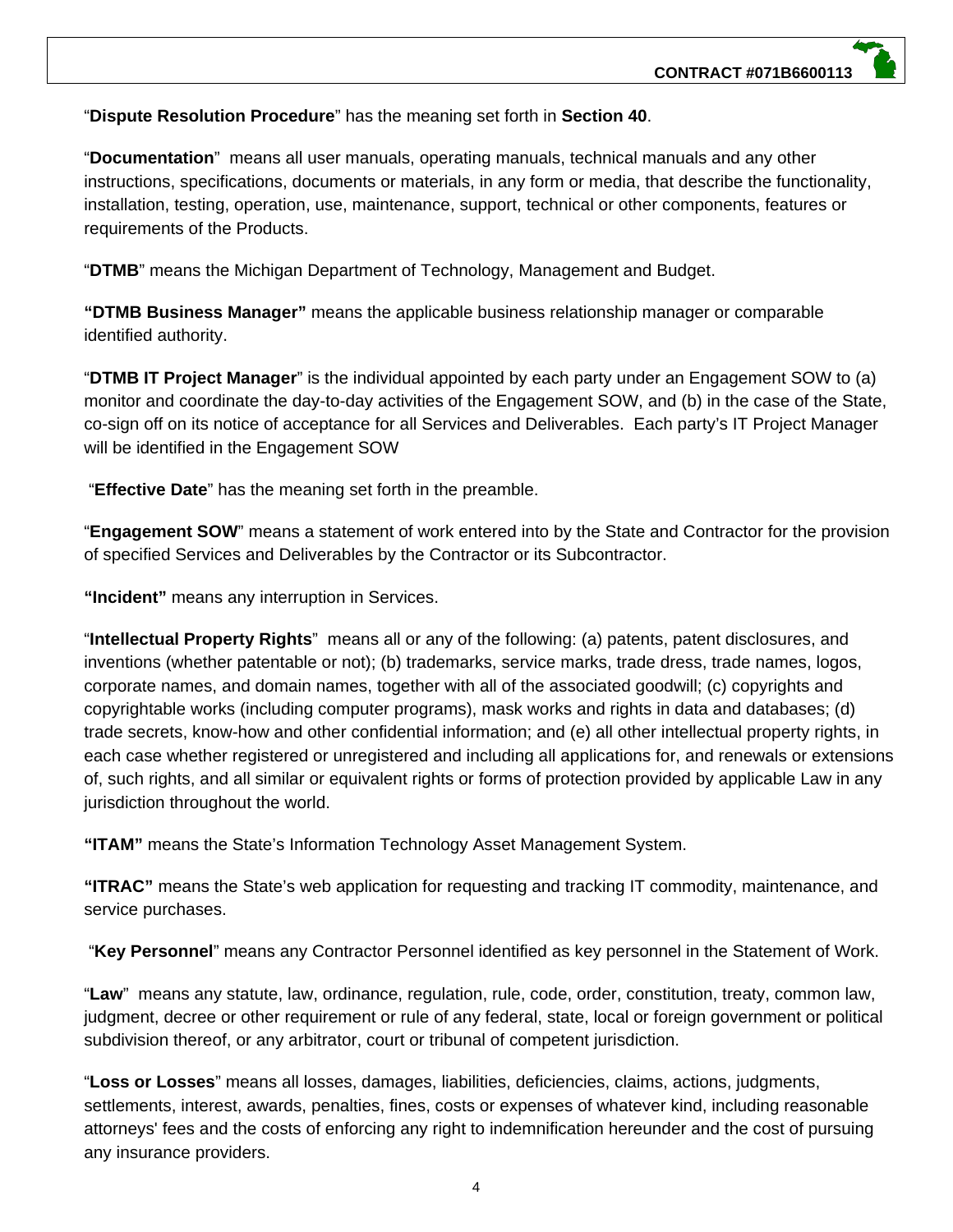#### "**Dispute Resolution Procedure**" has the meaning set forth in **Section 40**.

"**Documentation**" means all user manuals, operating manuals, technical manuals and any other instructions, specifications, documents or materials, in any form or media, that describe the functionality, installation, testing, operation, use, maintenance, support, technical or other components, features or requirements of the Products.

"**DTMB**" means the Michigan Department of Technology, Management and Budget.

**"DTMB Business Manager"** means the applicable business relationship manager or comparable identified authority.

"**DTMB IT Project Manager**" is the individual appointed by each party under an Engagement SOW to (a) monitor and coordinate the day-to-day activities of the Engagement SOW, and (b) in the case of the State, co-sign off on its notice of acceptance for all Services and Deliverables. Each party's IT Project Manager will be identified in the Engagement SOW

"**Effective Date**" has the meaning set forth in the preamble.

"**Engagement SOW**" means a statement of work entered into by the State and Contractor for the provision of specified Services and Deliverables by the Contractor or its Subcontractor.

**"Incident"** means any interruption in Services.

"**Intellectual Property Rights**" means all or any of the following: (a) patents, patent disclosures, and inventions (whether patentable or not); (b) trademarks, service marks, trade dress, trade names, logos, corporate names, and domain names, together with all of the associated goodwill; (c) copyrights and copyrightable works (including computer programs), mask works and rights in data and databases; (d) trade secrets, know-how and other confidential information; and (e) all other intellectual property rights, in each case whether registered or unregistered and including all applications for, and renewals or extensions of, such rights, and all similar or equivalent rights or forms of protection provided by applicable Law in any jurisdiction throughout the world.

**"ITAM"** means the State's Information Technology Asset Management System.

**"ITRAC"** means the State's web application for requesting and tracking IT commodity, maintenance, and service purchases.

"**Key Personnel**" means any Contractor Personnel identified as key personnel in the Statement of Work.

"**Law**" means any statute, law, ordinance, regulation, rule, code, order, constitution, treaty, common law, judgment, decree or other requirement or rule of any federal, state, local or foreign government or political subdivision thereof, or any arbitrator, court or tribunal of competent jurisdiction.

"**Loss or Losses**" means all losses, damages, liabilities, deficiencies, claims, actions, judgments, settlements, interest, awards, penalties, fines, costs or expenses of whatever kind, including reasonable attorneys' fees and the costs of enforcing any right to indemnification hereunder and the cost of pursuing any insurance providers.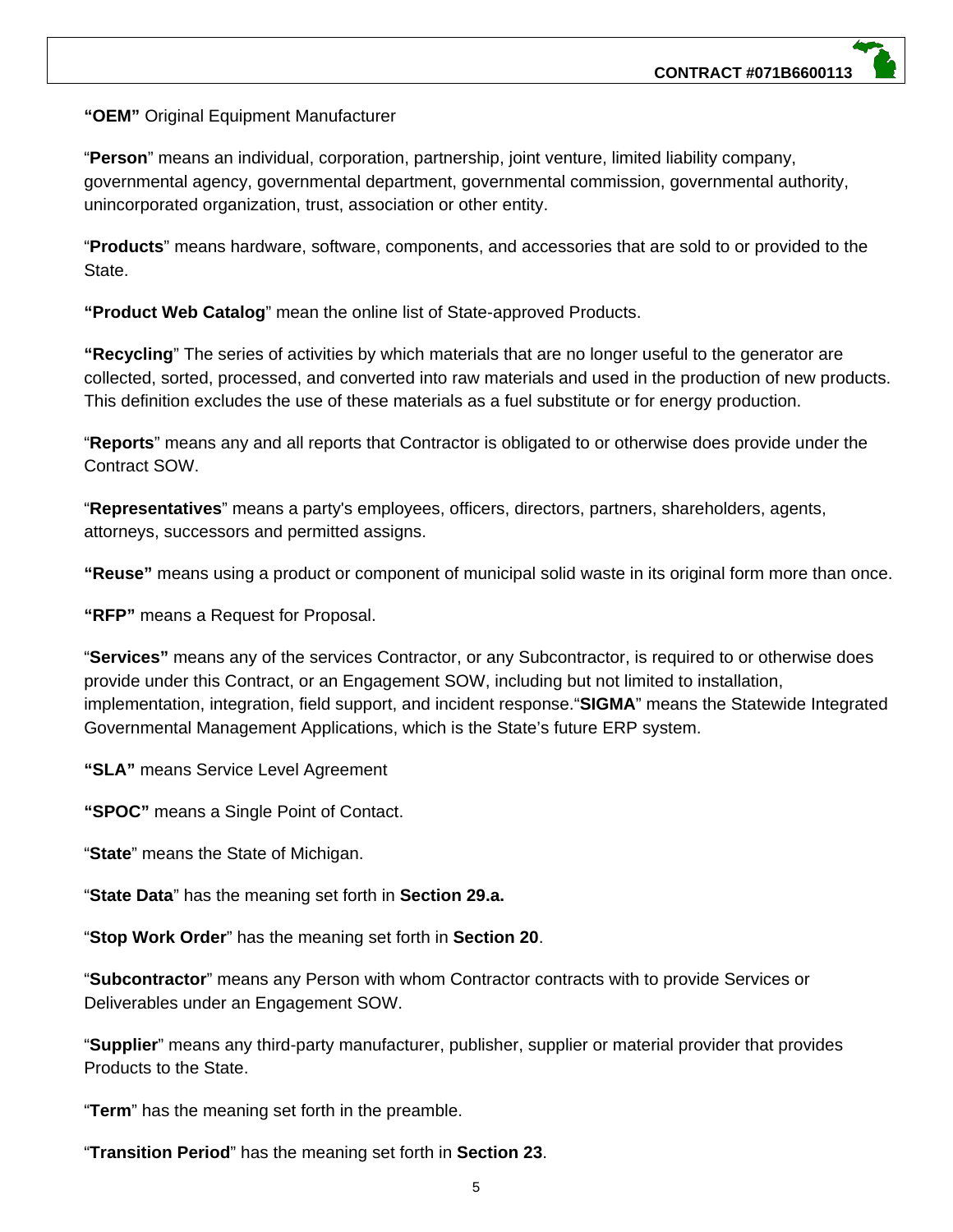**"OEM"** Original Equipment Manufacturer

"**Person**" means an individual, corporation, partnership, joint venture, limited liability company, governmental agency, governmental department, governmental commission, governmental authority, unincorporated organization, trust, association or other entity.

"**Products**" means hardware, software, components, and accessories that are sold to or provided to the State.

**"Product Web Catalog**" mean the online list of State-approved Products.

**"Recycling**" The series of activities by which materials that are no longer useful to the generator are collected, sorted, processed, and converted into raw materials and used in the production of new products. This definition excludes the use of these materials as a fuel substitute or for energy production.

"**Reports**" means any and all reports that Contractor is obligated to or otherwise does provide under the Contract SOW.

"**Representatives**" means a party's employees, officers, directors, partners, shareholders, agents, attorneys, successors and permitted assigns.

**"Reuse"** means using a product or component of municipal solid waste in its original form more than once.

**"RFP"** means a Request for Proposal.

"**Services"** means any of the services Contractor, or any Subcontractor, is required to or otherwise does provide under this Contract, or an Engagement SOW, including but not limited to installation, implementation, integration, field support, and incident response."**SIGMA**" means the Statewide Integrated Governmental Management Applications, which is the State's future ERP system.

**"SLA"** means Service Level Agreement

**"SPOC"** means a Single Point of Contact.

"**State**" means the State of Michigan.

"**State Data**" has the meaning set forth in **Section 29.a.**

"**Stop Work Order**" has the meaning set forth in **Section 20**.

"**Subcontractor**" means any Person with whom Contractor contracts with to provide Services or Deliverables under an Engagement SOW.

"**Supplier**" means any third-party manufacturer, publisher, supplier or material provider that provides Products to the State.

"**Term**" has the meaning set forth in the preamble.

"**Transition Period**" has the meaning set forth in **Section 23**.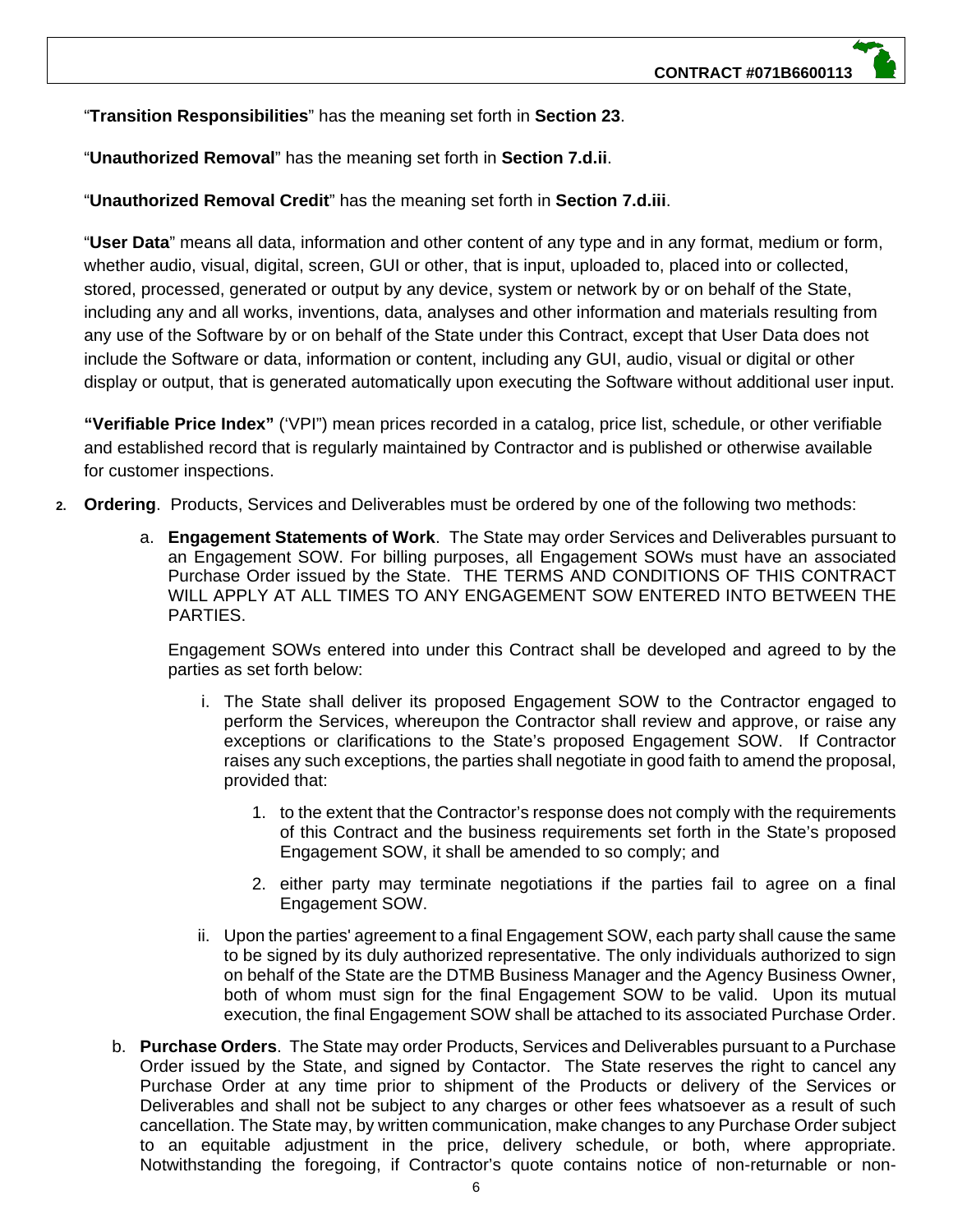"**Transition Responsibilities**" has the meaning set forth in **Section 23**.

"**Unauthorized Removal**" has the meaning set forth in **Section 7.d.ii**.

"**Unauthorized Removal Credit**" has the meaning set forth in **Section 7.d.iii**.

"**User Data**" means all data, information and other content of any type and in any format, medium or form, whether audio, visual, digital, screen, GUI or other, that is input, uploaded to, placed into or collected, stored, processed, generated or output by any device, system or network by or on behalf of the State, including any and all works, inventions, data, analyses and other information and materials resulting from any use of the Software by or on behalf of the State under this Contract, except that User Data does not include the Software or data, information or content, including any GUI, audio, visual or digital or other display or output, that is generated automatically upon executing the Software without additional user input.

**"Verifiable Price Index"** ('VPI") mean prices recorded in a catalog, price list, schedule, or other verifiable and established record that is regularly maintained by Contractor and is published or otherwise available for customer inspections.

- **2. Ordering**. Products, Services and Deliverables must be ordered by one of the following two methods:
	- a. **Engagement Statements of Work**. The State may order Services and Deliverables pursuant to an Engagement SOW. For billing purposes, all Engagement SOWs must have an associated Purchase Order issued by the State. THE TERMS AND CONDITIONS OF THIS CONTRACT WILL APPLY AT ALL TIMES TO ANY ENGAGEMENT SOW ENTERED INTO BETWEEN THE PARTIES.

Engagement SOWs entered into under this Contract shall be developed and agreed to by the parties as set forth below:

- i. The State shall deliver its proposed Engagement SOW to the Contractor engaged to perform the Services, whereupon the Contractor shall review and approve, or raise any exceptions or clarifications to the State's proposed Engagement SOW. If Contractor raises any such exceptions, the parties shall negotiate in good faith to amend the proposal, provided that:
	- 1. to the extent that the Contractor's response does not comply with the requirements of this Contract and the business requirements set forth in the State's proposed Engagement SOW, it shall be amended to so comply; and
	- 2. either party may terminate negotiations if the parties fail to agree on a final Engagement SOW.
- ii. Upon the parties' agreement to a final Engagement SOW, each party shall cause the same to be signed by its duly authorized representative. The only individuals authorized to sign on behalf of the State are the DTMB Business Manager and the Agency Business Owner, both of whom must sign for the final Engagement SOW to be valid. Upon its mutual execution, the final Engagement SOW shall be attached to its associated Purchase Order.
- b. **Purchase Orders**. The State may order Products, Services and Deliverables pursuant to a Purchase Order issued by the State, and signed by Contactor. The State reserves the right to cancel any Purchase Order at any time prior to shipment of the Products or delivery of the Services or Deliverables and shall not be subject to any charges or other fees whatsoever as a result of such cancellation. The State may, by written communication, make changes to any Purchase Order subject to an equitable adjustment in the price, delivery schedule, or both, where appropriate. Notwithstanding the foregoing, if Contractor's quote contains notice of non-returnable or non-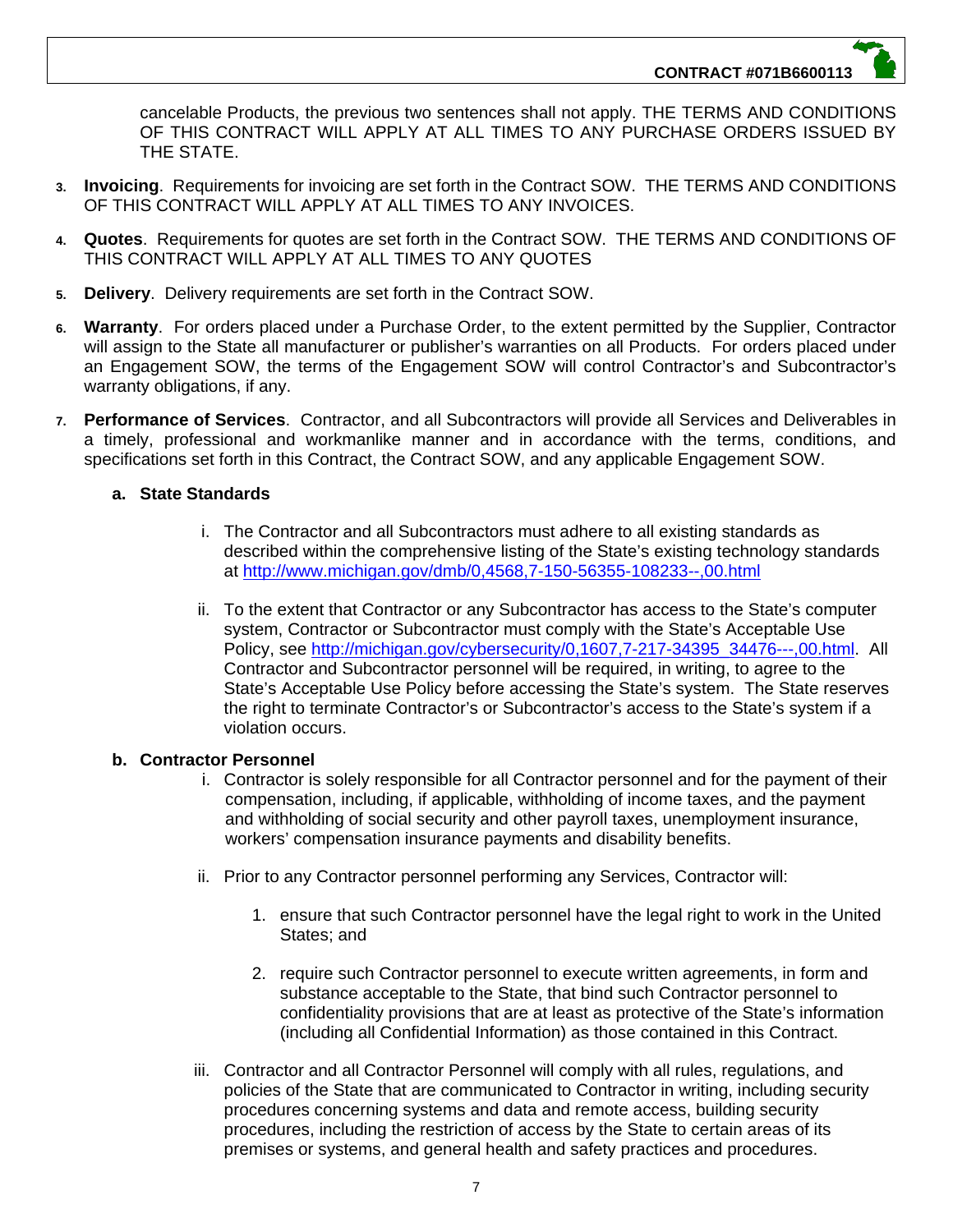cancelable Products, the previous two sentences shall not apply. THE TERMS AND CONDITIONS OF THIS CONTRACT WILL APPLY AT ALL TIMES TO ANY PURCHASE ORDERS ISSUED BY THE STATE.

- **3. Invoicing**. Requirements for invoicing are set forth in the Contract SOW. THE TERMS AND CONDITIONS OF THIS CONTRACT WILL APPLY AT ALL TIMES TO ANY INVOICES.
- **4. Quotes**. Requirements for quotes are set forth in the Contract SOW. THE TERMS AND CONDITIONS OF THIS CONTRACT WILL APPLY AT ALL TIMES TO ANY QUOTES
- **5. Delivery**. Delivery requirements are set forth in the Contract SOW.
- **6. Warranty**. For orders placed under a Purchase Order, to the extent permitted by the Supplier, Contractor will assign to the State all manufacturer or publisher's warranties on all Products. For orders placed under an Engagement SOW, the terms of the Engagement SOW will control Contractor's and Subcontractor's warranty obligations, if any.
- **7. Performance of Services**. Contractor, and all Subcontractors will provide all Services and Deliverables in a timely, professional and workmanlike manner and in accordance with the terms, conditions, and specifications set forth in this Contract, the Contract SOW, and any applicable Engagement SOW.

#### **a. State Standards**

- i. The Contractor and all Subcontractors must adhere to all existing standards as described within the comprehensive listing of the State's existing technology standards at http://www.michigan.gov/dmb/0,4568,7-150-56355-108233--,00.html
- ii. To the extent that Contractor or any Subcontractor has access to the State's computer system, Contractor or Subcontractor must comply with the State's Acceptable Use Policy, see http://michigan.gov/cybersecurity/0,1607,7-217-34395\_34476---,00.html. All Contractor and Subcontractor personnel will be required, in writing, to agree to the State's Acceptable Use Policy before accessing the State's system. The State reserves the right to terminate Contractor's or Subcontractor's access to the State's system if a violation occurs.

#### **b. Contractor Personnel**

- i. Contractor is solely responsible for all Contractor personnel and for the payment of their compensation, including, if applicable, withholding of income taxes, and the payment and withholding of social security and other payroll taxes, unemployment insurance, workers' compensation insurance payments and disability benefits.
- ii. Prior to any Contractor personnel performing any Services, Contractor will:
	- 1. ensure that such Contractor personnel have the legal right to work in the United States; and
	- 2. require such Contractor personnel to execute written agreements, in form and substance acceptable to the State, that bind such Contractor personnel to confidentiality provisions that are at least as protective of the State's information (including all Confidential Information) as those contained in this Contract.
- iii. Contractor and all Contractor Personnel will comply with all rules, regulations, and policies of the State that are communicated to Contractor in writing, including security procedures concerning systems and data and remote access, building security procedures, including the restriction of access by the State to certain areas of its premises or systems, and general health and safety practices and procedures.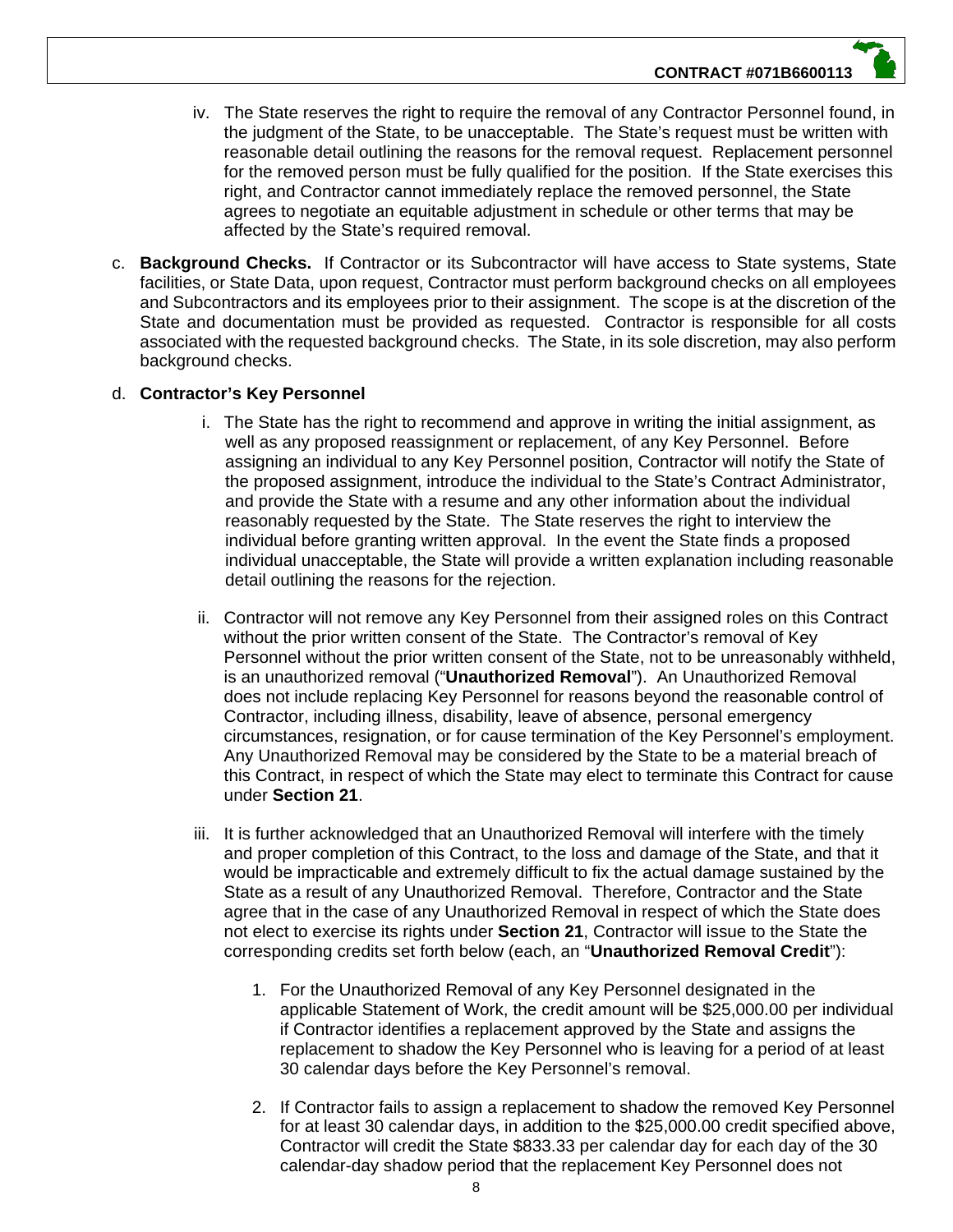- iv. The State reserves the right to require the removal of any Contractor Personnel found, in the judgment of the State, to be unacceptable. The State's request must be written with reasonable detail outlining the reasons for the removal request. Replacement personnel for the removed person must be fully qualified for the position. If the State exercises this right, and Contractor cannot immediately replace the removed personnel, the State agrees to negotiate an equitable adjustment in schedule or other terms that may be affected by the State's required removal.
- c. **Background Checks.** If Contractor or its Subcontractor will have access to State systems, State facilities, or State Data, upon request, Contractor must perform background checks on all employees and Subcontractors and its employees prior to their assignment. The scope is at the discretion of the State and documentation must be provided as requested. Contractor is responsible for all costs associated with the requested background checks. The State, in its sole discretion, may also perform background checks.

#### d. **Contractor's Key Personnel**

- i. The State has the right to recommend and approve in writing the initial assignment, as well as any proposed reassignment or replacement, of any Key Personnel. Before assigning an individual to any Key Personnel position, Contractor will notify the State of the proposed assignment, introduce the individual to the State's Contract Administrator, and provide the State with a resume and any other information about the individual reasonably requested by the State. The State reserves the right to interview the individual before granting written approval. In the event the State finds a proposed individual unacceptable, the State will provide a written explanation including reasonable detail outlining the reasons for the rejection.
- ii. Contractor will not remove any Key Personnel from their assigned roles on this Contract without the prior written consent of the State. The Contractor's removal of Key Personnel without the prior written consent of the State, not to be unreasonably withheld, is an unauthorized removal ("**Unauthorized Removal**"). An Unauthorized Removal does not include replacing Key Personnel for reasons beyond the reasonable control of Contractor, including illness, disability, leave of absence, personal emergency circumstances, resignation, or for cause termination of the Key Personnel's employment. Any Unauthorized Removal may be considered by the State to be a material breach of this Contract, in respect of which the State may elect to terminate this Contract for cause under **Section 21**.
- iii. It is further acknowledged that an Unauthorized Removal will interfere with the timely and proper completion of this Contract, to the loss and damage of the State, and that it would be impracticable and extremely difficult to fix the actual damage sustained by the State as a result of any Unauthorized Removal. Therefore, Contractor and the State agree that in the case of any Unauthorized Removal in respect of which the State does not elect to exercise its rights under **Section 21**, Contractor will issue to the State the corresponding credits set forth below (each, an "**Unauthorized Removal Credit**"):
	- 1. For the Unauthorized Removal of any Key Personnel designated in the applicable Statement of Work, the credit amount will be \$25,000.00 per individual if Contractor identifies a replacement approved by the State and assigns the replacement to shadow the Key Personnel who is leaving for a period of at least 30 calendar days before the Key Personnel's removal.
	- 2. If Contractor fails to assign a replacement to shadow the removed Key Personnel for at least 30 calendar days, in addition to the \$25,000.00 credit specified above, Contractor will credit the State \$833.33 per calendar day for each day of the 30 calendar-day shadow period that the replacement Key Personnel does not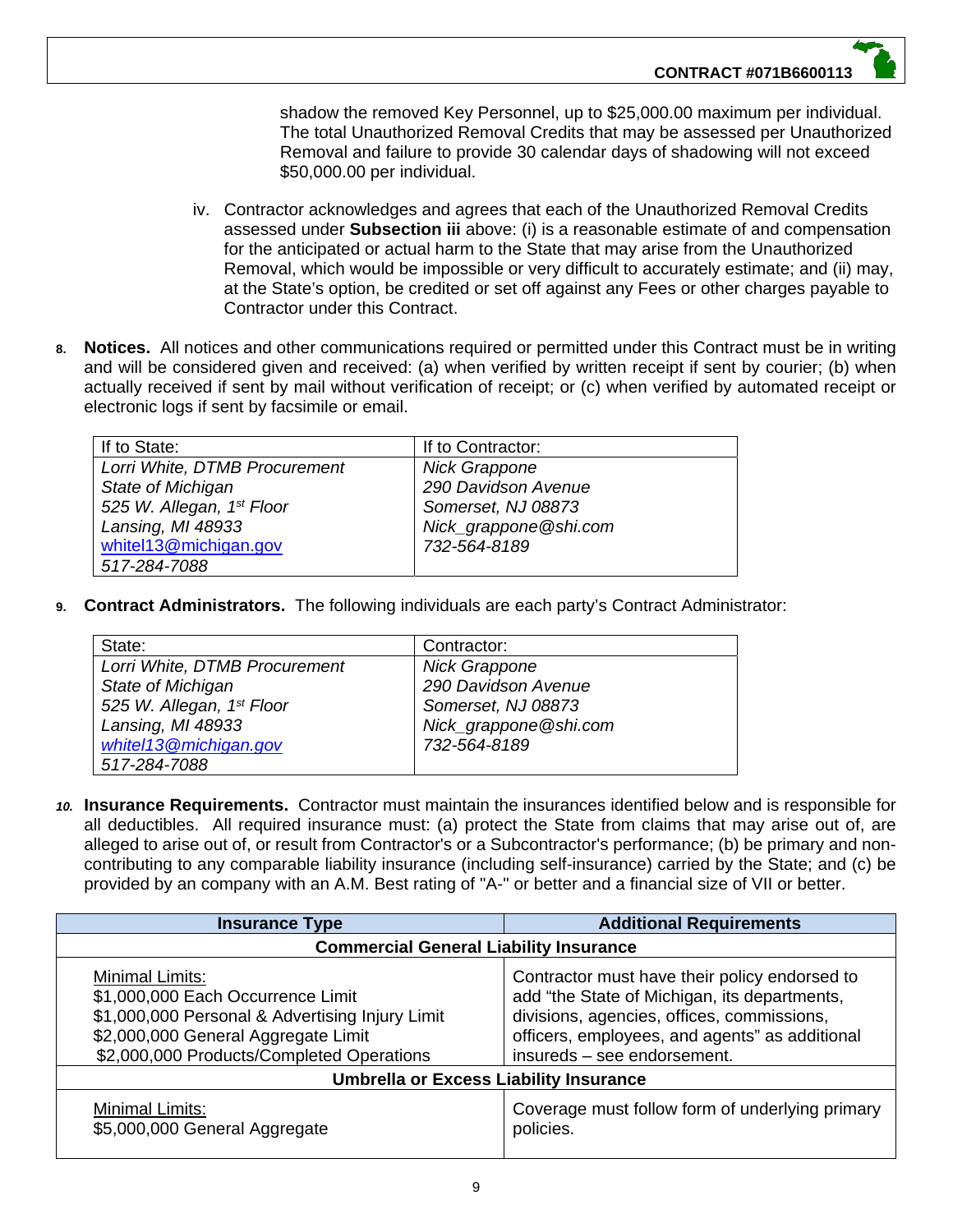shadow the removed Key Personnel, up to \$25,000.00 maximum per individual. The total Unauthorized Removal Credits that may be assessed per Unauthorized Removal and failure to provide 30 calendar days of shadowing will not exceed \$50,000.00 per individual.

- iv. Contractor acknowledges and agrees that each of the Unauthorized Removal Credits assessed under **Subsection iii** above: (i) is a reasonable estimate of and compensation for the anticipated or actual harm to the State that may arise from the Unauthorized Removal, which would be impossible or very difficult to accurately estimate; and (ii) may, at the State's option, be credited or set off against any Fees or other charges payable to Contractor under this Contract.
- **8. Notices.** All notices and other communications required or permitted under this Contract must be in writing and will be considered given and received: (a) when verified by written receipt if sent by courier; (b) when actually received if sent by mail without verification of receipt; or (c) when verified by automated receipt or electronic logs if sent by facsimile or email.

| If to State:                  | If to Contractor:     |
|-------------------------------|-----------------------|
| Lorri White, DTMB Procurement | <b>Nick Grappone</b>  |
| State of Michigan             | 290 Davidson Avenue   |
| 525 W. Allegan, 1st Floor     | Somerset, NJ 08873    |
| Lansing, MI 48933             | Nick_grappone@shi.com |
| whitel13@michigan.gov         | 732-564-8189          |
| 517-284-7088                  |                       |

**9. Contract Administrators.** The following individuals are each party's Contract Administrator:

| State:                                | Contractor:           |
|---------------------------------------|-----------------------|
| Lorri White, DTMB Procurement         | <b>Nick Grappone</b>  |
| State of Michigan                     | 290 Davidson Avenue   |
| 525 W. Allegan, 1 <sup>st</sup> Floor | Somerset, NJ 08873    |
| Lansing, MI 48933                     | Nick_grappone@shi.com |
| whitel13@michigan.gov                 | 732-564-8189          |
| 517-284-7088                          |                       |

*10.* **Insurance Requirements.** Contractor must maintain the insurances identified below and is responsible for all deductibles. All required insurance must: (a) protect the State from claims that may arise out of, are alleged to arise out of, or result from Contractor's or a Subcontractor's performance; (b) be primary and noncontributing to any comparable liability insurance (including self-insurance) carried by the State; and (c) be provided by an company with an A.M. Best rating of "A-" or better and a financial size of VII or better.

| <b>Insurance Type</b>                                                                                                                                                                       | <b>Additional Requirements</b>                                                                                                                                                                                               |
|---------------------------------------------------------------------------------------------------------------------------------------------------------------------------------------------|------------------------------------------------------------------------------------------------------------------------------------------------------------------------------------------------------------------------------|
| <b>Commercial General Liability Insurance</b>                                                                                                                                               |                                                                                                                                                                                                                              |
| Minimal Limits:<br>\$1,000,000 Each Occurrence Limit<br>\$1,000,000 Personal & Advertising Injury Limit<br>\$2,000,000 General Aggregate Limit<br>\$2,000,000 Products/Completed Operations | Contractor must have their policy endorsed to<br>add "the State of Michigan, its departments,<br>divisions, agencies, offices, commissions,<br>officers, employees, and agents" as additional<br>insureds - see endorsement. |
| <b>Umbrella or Excess Liability Insurance</b>                                                                                                                                               |                                                                                                                                                                                                                              |
| Minimal Limits:<br>\$5,000,000 General Aggregate                                                                                                                                            | Coverage must follow form of underlying primary<br>policies.                                                                                                                                                                 |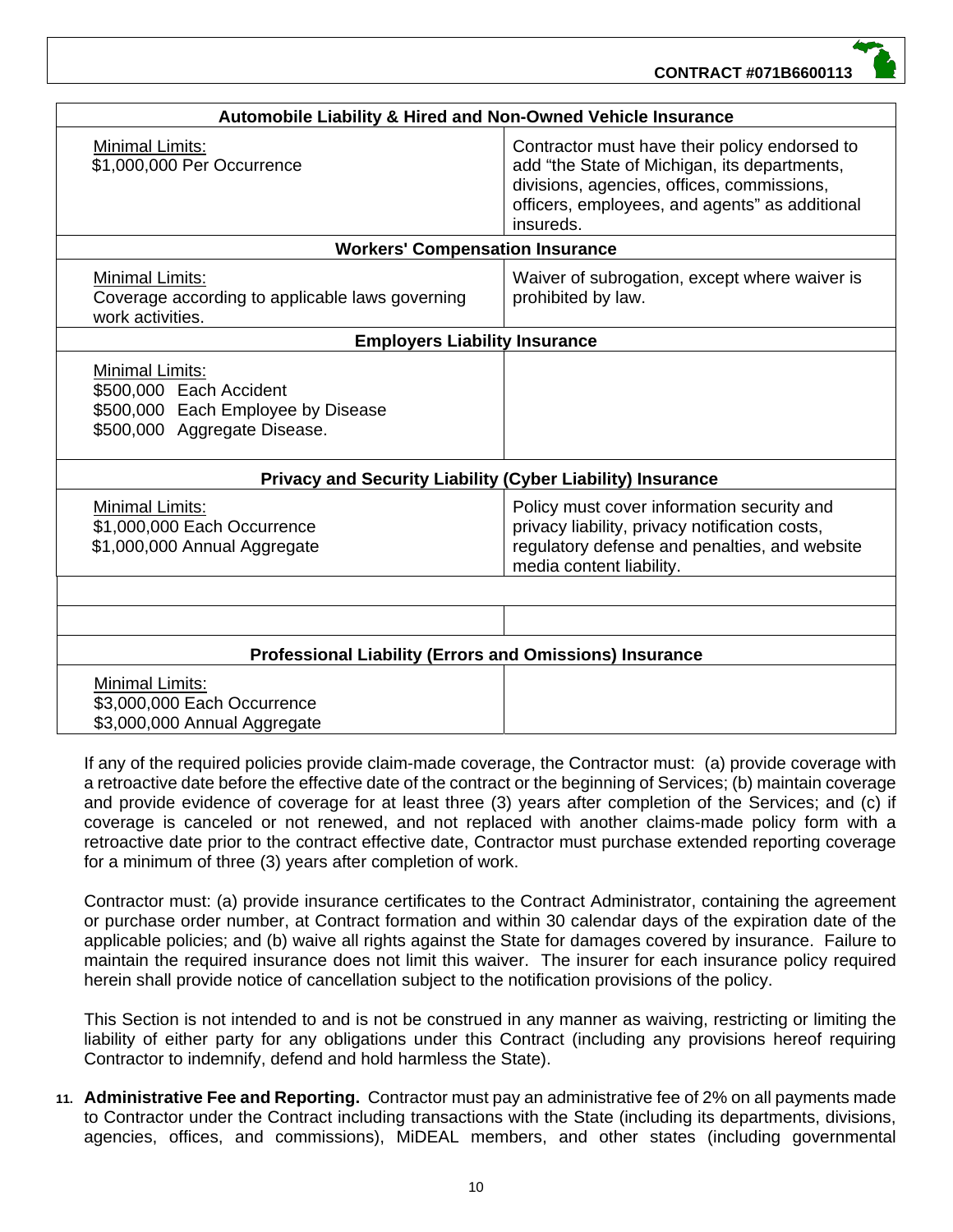**CONTRACT #071B6600113**

| Automobile Liability & Hired and Non-Owned Vehicle Insurance                                                            |                                                                                                                                                                                                            |  |  |  |  |
|-------------------------------------------------------------------------------------------------------------------------|------------------------------------------------------------------------------------------------------------------------------------------------------------------------------------------------------------|--|--|--|--|
| <b>Minimal Limits:</b><br>\$1,000,000 Per Occurrence                                                                    | Contractor must have their policy endorsed to<br>add "the State of Michigan, its departments,<br>divisions, agencies, offices, commissions,<br>officers, employees, and agents" as additional<br>insureds. |  |  |  |  |
| <b>Workers' Compensation Insurance</b>                                                                                  |                                                                                                                                                                                                            |  |  |  |  |
| <b>Minimal Limits:</b><br>Coverage according to applicable laws governing<br>work activities.                           | Waiver of subrogation, except where waiver is<br>prohibited by law.                                                                                                                                        |  |  |  |  |
| <b>Employers Liability Insurance</b>                                                                                    |                                                                                                                                                                                                            |  |  |  |  |
| <b>Minimal Limits:</b><br>\$500,000 Each Accident<br>\$500,000 Each Employee by Disease<br>\$500,000 Aggregate Disease. |                                                                                                                                                                                                            |  |  |  |  |
| <b>Privacy and Security Liability (Cyber Liability) Insurance</b>                                                       |                                                                                                                                                                                                            |  |  |  |  |
| <b>Minimal Limits:</b><br>\$1,000,000 Each Occurrence<br>\$1,000,000 Annual Aggregate                                   | Policy must cover information security and<br>privacy liability, privacy notification costs,<br>regulatory defense and penalties, and website<br>media content liability.                                  |  |  |  |  |
|                                                                                                                         |                                                                                                                                                                                                            |  |  |  |  |
| <b>Professional Liability (Errors and Omissions) Insurance</b>                                                          |                                                                                                                                                                                                            |  |  |  |  |
| Minimal Limits:<br>\$3,000,000 Each Occurrence<br>\$3,000,000 Annual Aggregate                                          |                                                                                                                                                                                                            |  |  |  |  |

If any of the required policies provide claim-made coverage, the Contractor must: (a) provide coverage with a retroactive date before the effective date of the contract or the beginning of Services; (b) maintain coverage and provide evidence of coverage for at least three (3) years after completion of the Services; and (c) if coverage is canceled or not renewed, and not replaced with another claims-made policy form with a retroactive date prior to the contract effective date, Contractor must purchase extended reporting coverage for a minimum of three (3) years after completion of work.

Contractor must: (a) provide insurance certificates to the Contract Administrator, containing the agreement or purchase order number, at Contract formation and within 30 calendar days of the expiration date of the applicable policies; and (b) waive all rights against the State for damages covered by insurance. Failure to maintain the required insurance does not limit this waiver. The insurer for each insurance policy required herein shall provide notice of cancellation subject to the notification provisions of the policy.

This Section is not intended to and is not be construed in any manner as waiving, restricting or limiting the liability of either party for any obligations under this Contract (including any provisions hereof requiring Contractor to indemnify, defend and hold harmless the State).

**11. Administrative Fee and Reporting.** Contractor must pay an administrative fee of 2% on all payments made to Contractor under the Contract including transactions with the State (including its departments, divisions, agencies, offices, and commissions), MiDEAL members, and other states (including governmental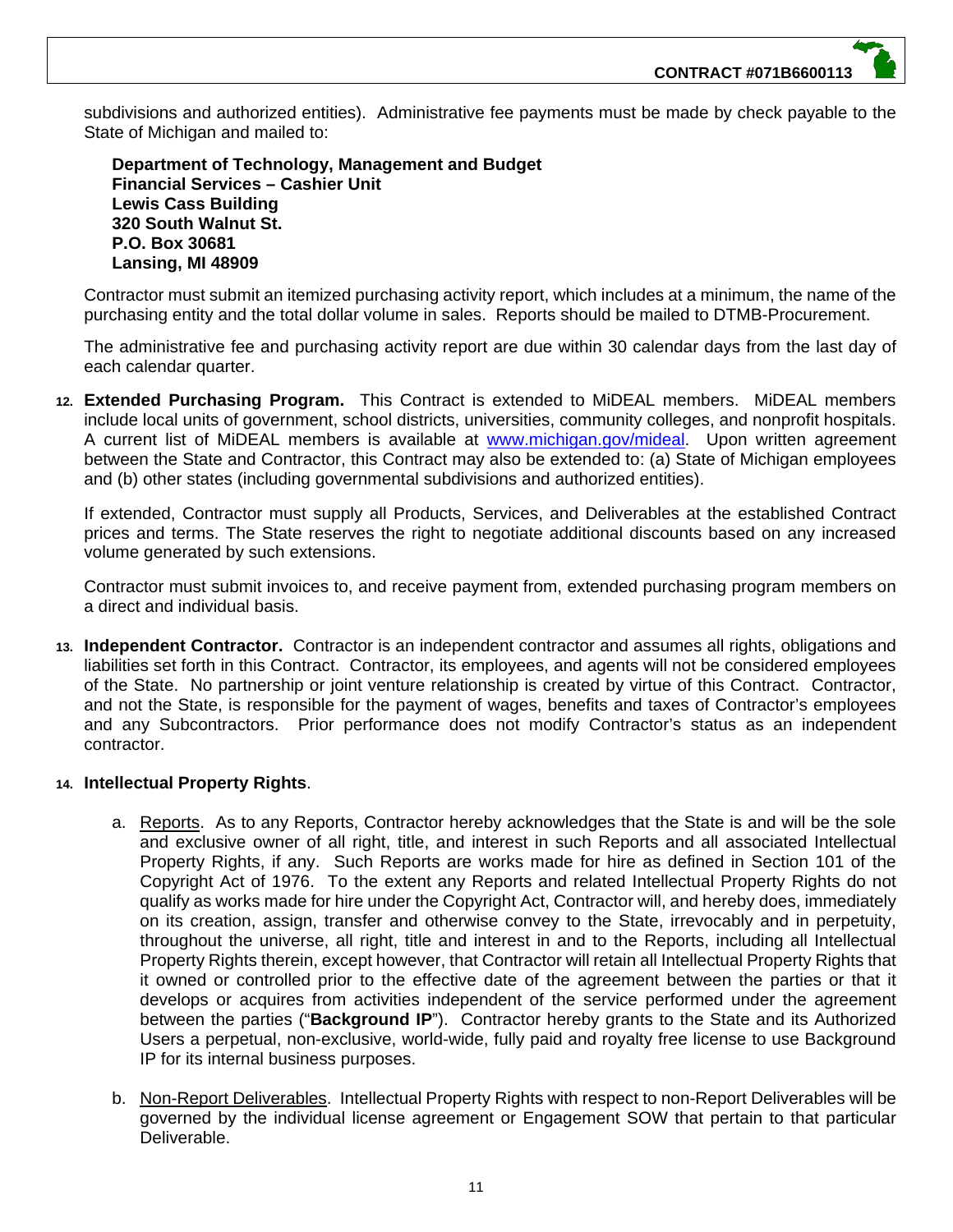subdivisions and authorized entities). Administrative fee payments must be made by check payable to the State of Michigan and mailed to:

**Department of Technology, Management and Budget Financial Services – Cashier Unit Lewis Cass Building 320 South Walnut St. P.O. Box 30681 Lansing, MI 48909**

Contractor must submit an itemized purchasing activity report, which includes at a minimum, the name of the purchasing entity and the total dollar volume in sales. Reports should be mailed to DTMB-Procurement.

The administrative fee and purchasing activity report are due within 30 calendar days from the last day of each calendar quarter.

**12. Extended Purchasing Program.** This Contract is extended to MiDEAL members. MiDEAL members include local units of government, school districts, universities, community colleges, and nonprofit hospitals. A current list of MiDEAL members is available at www.michigan.gov/mideal. Upon written agreement between the State and Contractor, this Contract may also be extended to: (a) State of Michigan employees and (b) other states (including governmental subdivisions and authorized entities).

If extended, Contractor must supply all Products, Services, and Deliverables at the established Contract prices and terms. The State reserves the right to negotiate additional discounts based on any increased volume generated by such extensions.

Contractor must submit invoices to, and receive payment from, extended purchasing program members on a direct and individual basis.

**13. Independent Contractor.** Contractor is an independent contractor and assumes all rights, obligations and liabilities set forth in this Contract. Contractor, its employees, and agents will not be considered employees of the State. No partnership or joint venture relationship is created by virtue of this Contract. Contractor, and not the State, is responsible for the payment of wages, benefits and taxes of Contractor's employees and any Subcontractors. Prior performance does not modify Contractor's status as an independent contractor.

#### **14. Intellectual Property Rights**.

- a. Reports. As to any Reports, Contractor hereby acknowledges that the State is and will be the sole and exclusive owner of all right, title, and interest in such Reports and all associated Intellectual Property Rights, if any. Such Reports are works made for hire as defined in Section 101 of the Copyright Act of 1976. To the extent any Reports and related Intellectual Property Rights do not qualify as works made for hire under the Copyright Act, Contractor will, and hereby does, immediately on its creation, assign, transfer and otherwise convey to the State, irrevocably and in perpetuity, throughout the universe, all right, title and interest in and to the Reports, including all Intellectual Property Rights therein, except however, that Contractor will retain all Intellectual Property Rights that it owned or controlled prior to the effective date of the agreement between the parties or that it develops or acquires from activities independent of the service performed under the agreement between the parties ("**Background IP**"). Contractor hereby grants to the State and its Authorized Users a perpetual, non-exclusive, world-wide, fully paid and royalty free license to use Background IP for its internal business purposes.
- b. Non-Report Deliverables. Intellectual Property Rights with respect to non-Report Deliverables will be governed by the individual license agreement or Engagement SOW that pertain to that particular Deliverable.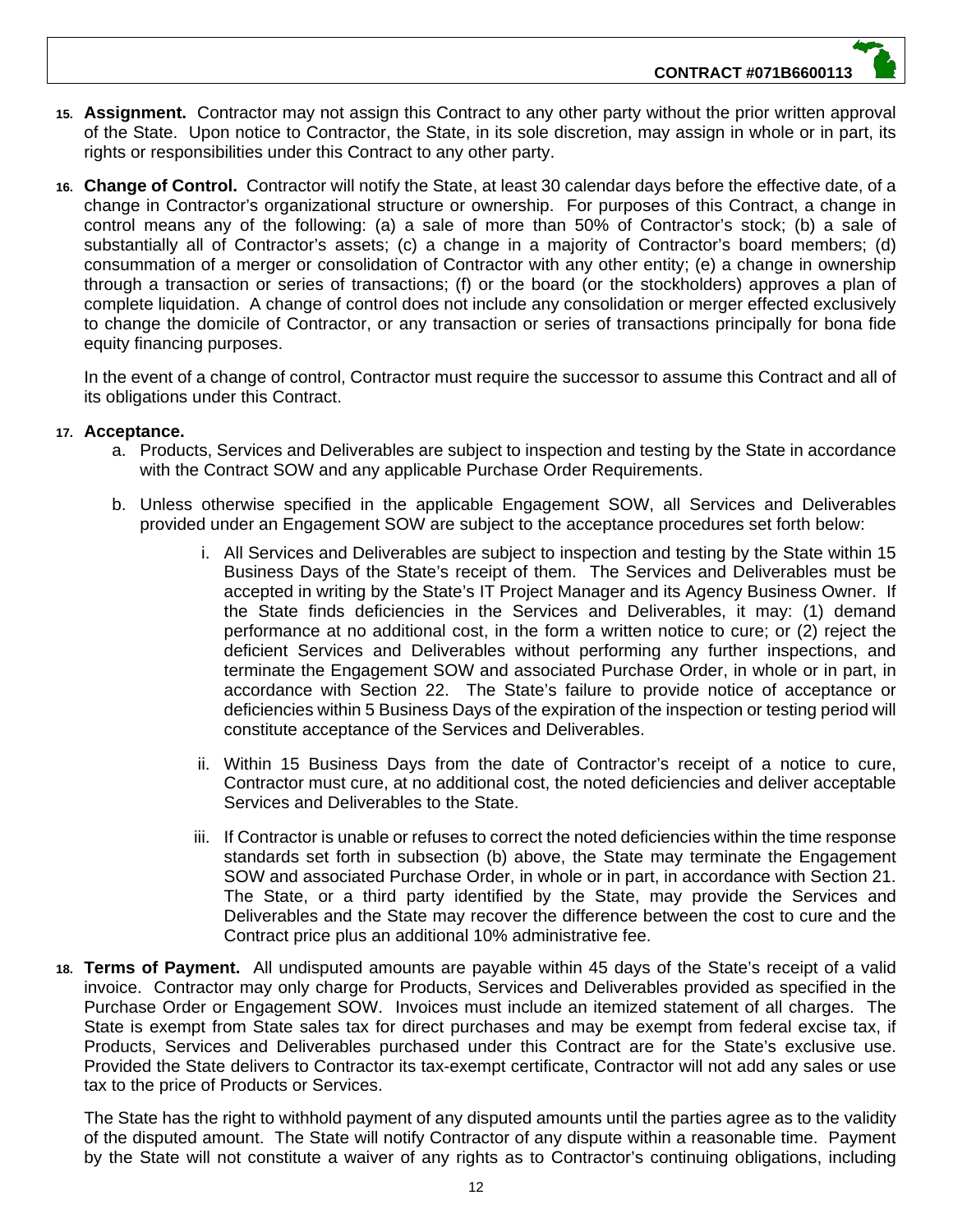- **15. Assignment.** Contractor may not assign this Contract to any other party without the prior written approval of the State. Upon notice to Contractor, the State, in its sole discretion, may assign in whole or in part, its rights or responsibilities under this Contract to any other party.
- **16. Change of Control.** Contractor will notify the State, at least 30 calendar days before the effective date, of a change in Contractor's organizational structure or ownership. For purposes of this Contract, a change in control means any of the following: (a) a sale of more than 50% of Contractor's stock; (b) a sale of substantially all of Contractor's assets; (c) a change in a majority of Contractor's board members; (d) consummation of a merger or consolidation of Contractor with any other entity; (e) a change in ownership through a transaction or series of transactions; (f) or the board (or the stockholders) approves a plan of complete liquidation. A change of control does not include any consolidation or merger effected exclusively to change the domicile of Contractor, or any transaction or series of transactions principally for bona fide equity financing purposes.

In the event of a change of control, Contractor must require the successor to assume this Contract and all of its obligations under this Contract.

#### **17. Acceptance.**

- a. Products, Services and Deliverables are subject to inspection and testing by the State in accordance with the Contract SOW and any applicable Purchase Order Requirements.
- b. Unless otherwise specified in the applicable Engagement SOW, all Services and Deliverables provided under an Engagement SOW are subject to the acceptance procedures set forth below:
	- i. All Services and Deliverables are subject to inspection and testing by the State within 15 Business Days of the State's receipt of them. The Services and Deliverables must be accepted in writing by the State's IT Project Manager and its Agency Business Owner. If the State finds deficiencies in the Services and Deliverables, it may: (1) demand performance at no additional cost, in the form a written notice to cure; or (2) reject the deficient Services and Deliverables without performing any further inspections, and terminate the Engagement SOW and associated Purchase Order, in whole or in part, in accordance with Section 22. The State's failure to provide notice of acceptance or deficiencies within 5 Business Days of the expiration of the inspection or testing period will constitute acceptance of the Services and Deliverables.
	- ii. Within 15 Business Days from the date of Contractor's receipt of a notice to cure, Contractor must cure, at no additional cost, the noted deficiencies and deliver acceptable Services and Deliverables to the State.
	- iii. If Contractor is unable or refuses to correct the noted deficiencies within the time response standards set forth in subsection (b) above, the State may terminate the Engagement SOW and associated Purchase Order, in whole or in part, in accordance with Section 21. The State, or a third party identified by the State, may provide the Services and Deliverables and the State may recover the difference between the cost to cure and the Contract price plus an additional 10% administrative fee.
- **18. Terms of Payment.** All undisputed amounts are payable within 45 days of the State's receipt of a valid invoice. Contractor may only charge for Products, Services and Deliverables provided as specified in the Purchase Order or Engagement SOW. Invoices must include an itemized statement of all charges. The State is exempt from State sales tax for direct purchases and may be exempt from federal excise tax, if Products, Services and Deliverables purchased under this Contract are for the State's exclusive use. Provided the State delivers to Contractor its tax-exempt certificate, Contractor will not add any sales or use tax to the price of Products or Services.

The State has the right to withhold payment of any disputed amounts until the parties agree as to the validity of the disputed amount. The State will notify Contractor of any dispute within a reasonable time. Payment by the State will not constitute a waiver of any rights as to Contractor's continuing obligations, including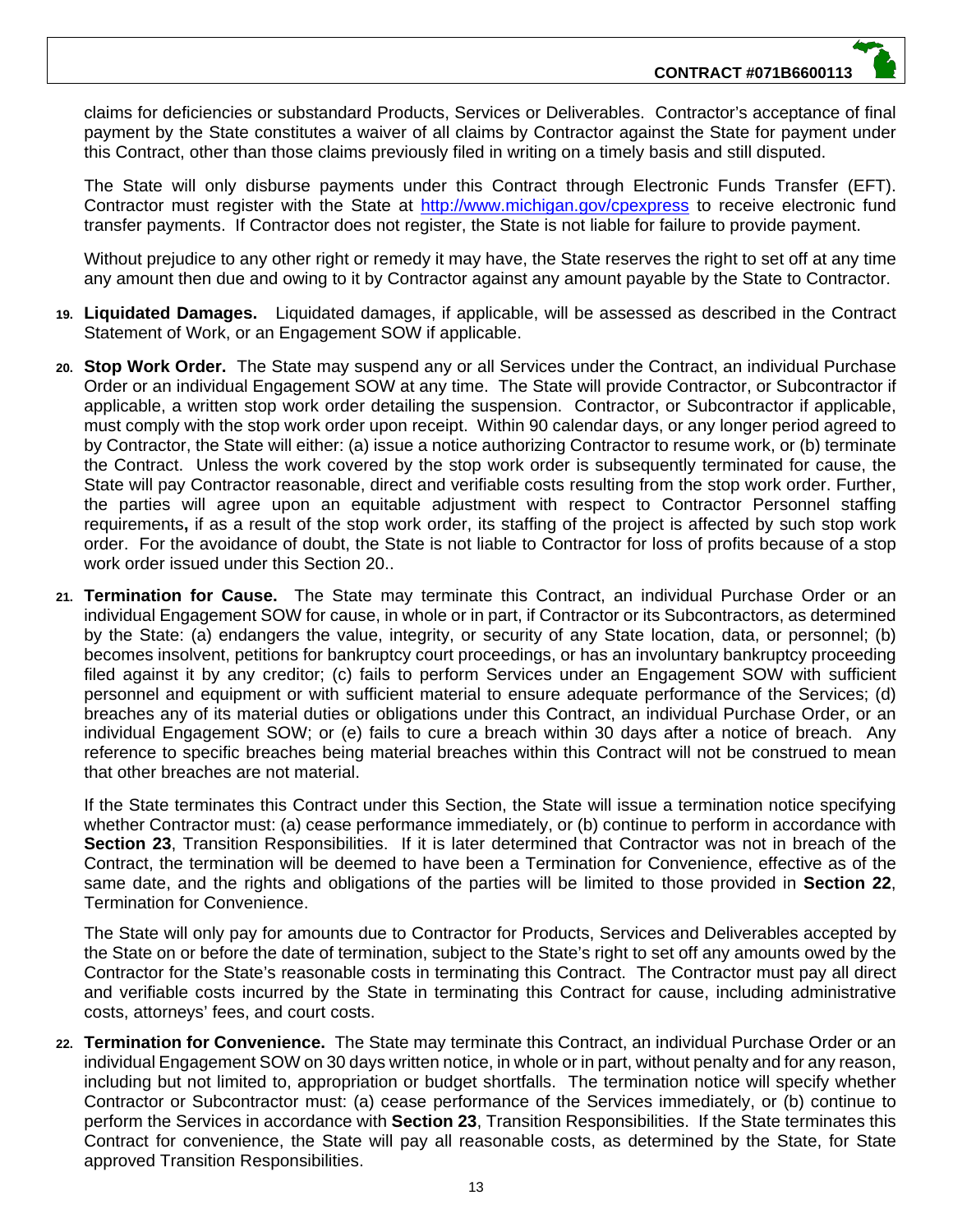claims for deficiencies or substandard Products, Services or Deliverables. Contractor's acceptance of final payment by the State constitutes a waiver of all claims by Contractor against the State for payment under this Contract, other than those claims previously filed in writing on a timely basis and still disputed.

The State will only disburse payments under this Contract through Electronic Funds Transfer (EFT). Contractor must register with the State at http://www.michigan.gov/cpexpress to receive electronic fund transfer payments. If Contractor does not register, the State is not liable for failure to provide payment.

Without prejudice to any other right or remedy it may have, the State reserves the right to set off at any time any amount then due and owing to it by Contractor against any amount payable by the State to Contractor.

- **19. Liquidated Damages.** Liquidated damages, if applicable, will be assessed as described in the Contract Statement of Work, or an Engagement SOW if applicable.
- **20. Stop Work Order.** The State may suspend any or all Services under the Contract, an individual Purchase Order or an individual Engagement SOW at any time. The State will provide Contractor, or Subcontractor if applicable, a written stop work order detailing the suspension. Contractor, or Subcontractor if applicable, must comply with the stop work order upon receipt. Within 90 calendar days, or any longer period agreed to by Contractor, the State will either: (a) issue a notice authorizing Contractor to resume work, or (b) terminate the Contract. Unless the work covered by the stop work order is subsequently terminated for cause, the State will pay Contractor reasonable, direct and verifiable costs resulting from the stop work order. Further, the parties will agree upon an equitable adjustment with respect to Contractor Personnel staffing requirements**,** if as a result of the stop work order, its staffing of the project is affected by such stop work order. For the avoidance of doubt, the State is not liable to Contractor for loss of profits because of a stop work order issued under this Section 20..
- **21. Termination for Cause.** The State may terminate this Contract, an individual Purchase Order or an individual Engagement SOW for cause, in whole or in part, if Contractor or its Subcontractors, as determined by the State: (a) endangers the value, integrity, or security of any State location, data, or personnel; (b) becomes insolvent, petitions for bankruptcy court proceedings, or has an involuntary bankruptcy proceeding filed against it by any creditor; (c) fails to perform Services under an Engagement SOW with sufficient personnel and equipment or with sufficient material to ensure adequate performance of the Services; (d) breaches any of its material duties or obligations under this Contract, an individual Purchase Order, or an individual Engagement SOW; or (e) fails to cure a breach within 30 days after a notice of breach. Any reference to specific breaches being material breaches within this Contract will not be construed to mean that other breaches are not material.

If the State terminates this Contract under this Section, the State will issue a termination notice specifying whether Contractor must: (a) cease performance immediately, or (b) continue to perform in accordance with **Section 23**, Transition Responsibilities. If it is later determined that Contractor was not in breach of the Contract, the termination will be deemed to have been a Termination for Convenience, effective as of the same date, and the rights and obligations of the parties will be limited to those provided in **Section 22**, Termination for Convenience.

The State will only pay for amounts due to Contractor for Products, Services and Deliverables accepted by the State on or before the date of termination, subject to the State's right to set off any amounts owed by the Contractor for the State's reasonable costs in terminating this Contract. The Contractor must pay all direct and verifiable costs incurred by the State in terminating this Contract for cause, including administrative costs, attorneys' fees, and court costs.

**22. Termination for Convenience.** The State may terminate this Contract, an individual Purchase Order or an individual Engagement SOW on 30 days written notice, in whole or in part, without penalty and for any reason, including but not limited to, appropriation or budget shortfalls. The termination notice will specify whether Contractor or Subcontractor must: (a) cease performance of the Services immediately, or (b) continue to perform the Services in accordance with **Section 23**, Transition Responsibilities. If the State terminates this Contract for convenience, the State will pay all reasonable costs, as determined by the State, for State approved Transition Responsibilities.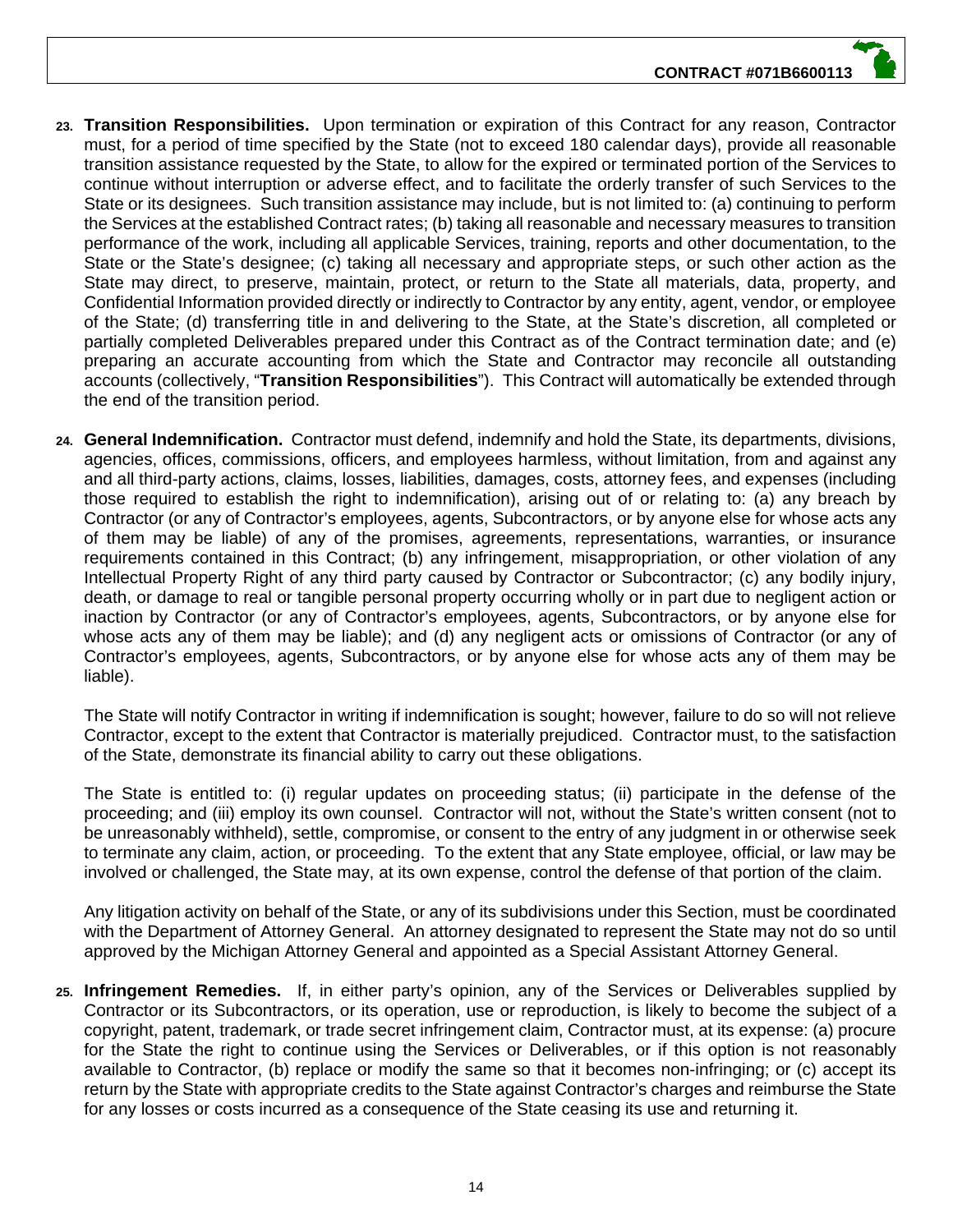- **23. Transition Responsibilities.** Upon termination or expiration of this Contract for any reason, Contractor must, for a period of time specified by the State (not to exceed 180 calendar days), provide all reasonable transition assistance requested by the State, to allow for the expired or terminated portion of the Services to continue without interruption or adverse effect, and to facilitate the orderly transfer of such Services to the State or its designees. Such transition assistance may include, but is not limited to: (a) continuing to perform the Services at the established Contract rates; (b) taking all reasonable and necessary measures to transition performance of the work, including all applicable Services, training, reports and other documentation, to the State or the State's designee; (c) taking all necessary and appropriate steps, or such other action as the State may direct, to preserve, maintain, protect, or return to the State all materials, data, property, and Confidential Information provided directly or indirectly to Contractor by any entity, agent, vendor, or employee of the State; (d) transferring title in and delivering to the State, at the State's discretion, all completed or partially completed Deliverables prepared under this Contract as of the Contract termination date; and (e) preparing an accurate accounting from which the State and Contractor may reconcile all outstanding accounts (collectively, "**Transition Responsibilities**"). This Contract will automatically be extended through the end of the transition period.
- **24. General Indemnification.** Contractor must defend, indemnify and hold the State, its departments, divisions, agencies, offices, commissions, officers, and employees harmless, without limitation, from and against any and all third-party actions, claims, losses, liabilities, damages, costs, attorney fees, and expenses (including those required to establish the right to indemnification), arising out of or relating to: (a) any breach by Contractor (or any of Contractor's employees, agents, Subcontractors, or by anyone else for whose acts any of them may be liable) of any of the promises, agreements, representations, warranties, or insurance requirements contained in this Contract; (b) any infringement, misappropriation, or other violation of any Intellectual Property Right of any third party caused by Contractor or Subcontractor; (c) any bodily injury, death, or damage to real or tangible personal property occurring wholly or in part due to negligent action or inaction by Contractor (or any of Contractor's employees, agents, Subcontractors, or by anyone else for whose acts any of them may be liable); and (d) any negligent acts or omissions of Contractor (or any of Contractor's employees, agents, Subcontractors, or by anyone else for whose acts any of them may be liable).

The State will notify Contractor in writing if indemnification is sought; however, failure to do so will not relieve Contractor, except to the extent that Contractor is materially prejudiced. Contractor must, to the satisfaction of the State, demonstrate its financial ability to carry out these obligations.

The State is entitled to: (i) regular updates on proceeding status; (ii) participate in the defense of the proceeding; and (iii) employ its own counsel. Contractor will not, without the State's written consent (not to be unreasonably withheld), settle, compromise, or consent to the entry of any judgment in or otherwise seek to terminate any claim, action, or proceeding. To the extent that any State employee, official, or law may be involved or challenged, the State may, at its own expense, control the defense of that portion of the claim.

Any litigation activity on behalf of the State, or any of its subdivisions under this Section, must be coordinated with the Department of Attorney General. An attorney designated to represent the State may not do so until approved by the Michigan Attorney General and appointed as a Special Assistant Attorney General.

**25. Infringement Remedies.** If, in either party's opinion, any of the Services or Deliverables supplied by Contractor or its Subcontractors, or its operation, use or reproduction, is likely to become the subject of a copyright, patent, trademark, or trade secret infringement claim, Contractor must, at its expense: (a) procure for the State the right to continue using the Services or Deliverables, or if this option is not reasonably available to Contractor, (b) replace or modify the same so that it becomes non-infringing; or (c) accept its return by the State with appropriate credits to the State against Contractor's charges and reimburse the State for any losses or costs incurred as a consequence of the State ceasing its use and returning it.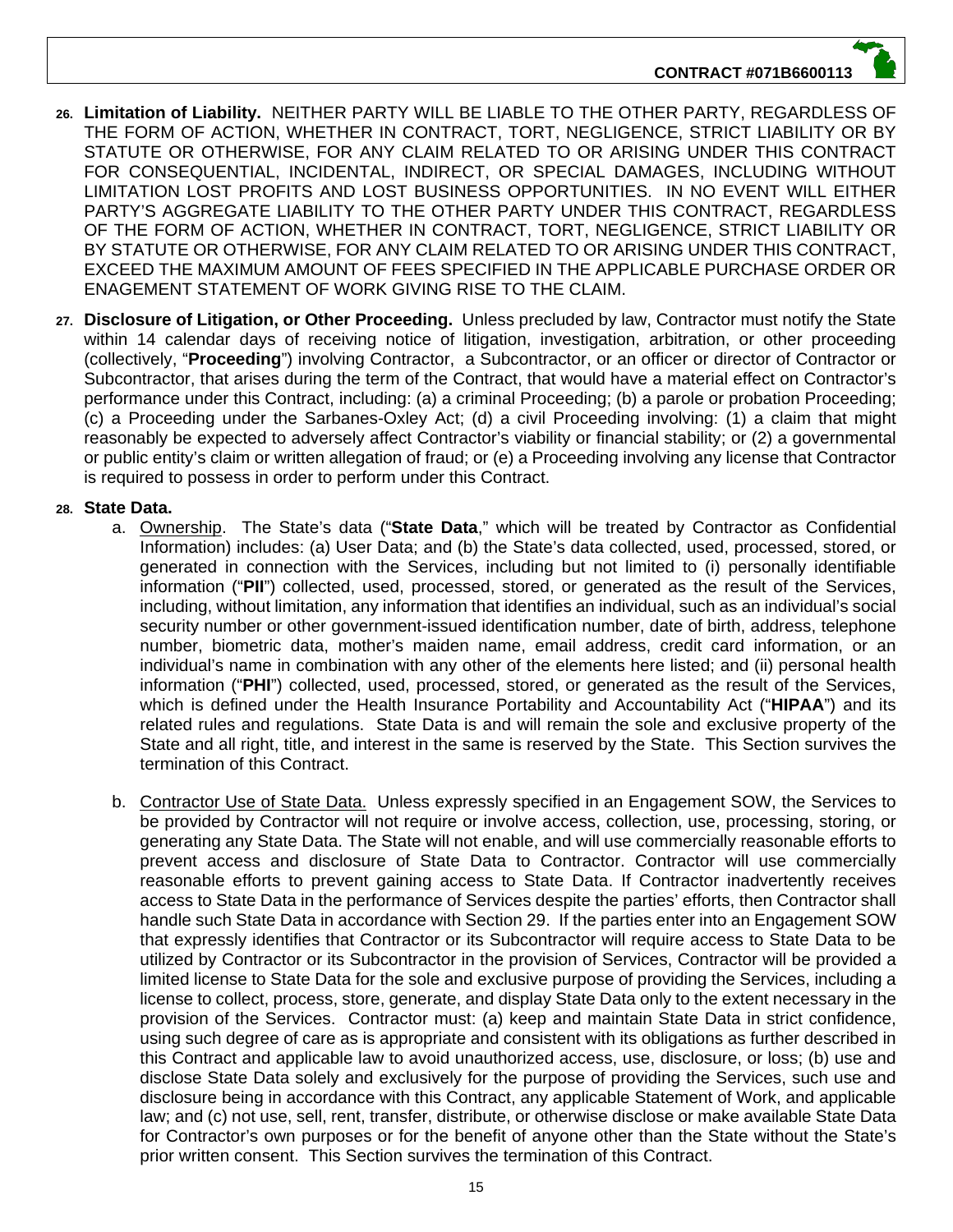#### **CONTRACT #071B6600113**

- **26. Limitation of Liability.** NEITHER PARTY WILL BE LIABLE TO THE OTHER PARTY, REGARDLESS OF THE FORM OF ACTION, WHETHER IN CONTRACT, TORT, NEGLIGENCE, STRICT LIABILITY OR BY STATUTE OR OTHERWISE, FOR ANY CLAIM RELATED TO OR ARISING UNDER THIS CONTRACT FOR CONSEQUENTIAL, INCIDENTAL, INDIRECT, OR SPECIAL DAMAGES, INCLUDING WITHOUT LIMITATION LOST PROFITS AND LOST BUSINESS OPPORTUNITIES. IN NO EVENT WILL EITHER PARTY'S AGGREGATE LIABILITY TO THE OTHER PARTY UNDER THIS CONTRACT, REGARDLESS OF THE FORM OF ACTION, WHETHER IN CONTRACT, TORT, NEGLIGENCE, STRICT LIABILITY OR BY STATUTE OR OTHERWISE, FOR ANY CLAIM RELATED TO OR ARISING UNDER THIS CONTRACT, EXCEED THE MAXIMUM AMOUNT OF FEES SPECIFIED IN THE APPLICABLE PURCHASE ORDER OR ENAGEMENT STATEMENT OF WORK GIVING RISE TO THE CLAIM.
- **27. Disclosure of Litigation, or Other Proceeding.** Unless precluded by law, Contractor must notify the State within 14 calendar days of receiving notice of litigation, investigation, arbitration, or other proceeding (collectively, "**Proceeding**") involving Contractor, a Subcontractor, or an officer or director of Contractor or Subcontractor, that arises during the term of the Contract, that would have a material effect on Contractor's performance under this Contract, including: (a) a criminal Proceeding; (b) a parole or probation Proceeding; (c) a Proceeding under the Sarbanes-Oxley Act; (d) a civil Proceeding involving: (1) a claim that might reasonably be expected to adversely affect Contractor's viability or financial stability; or (2) a governmental or public entity's claim or written allegation of fraud; or (e) a Proceeding involving any license that Contractor is required to possess in order to perform under this Contract.

#### **28. State Data.**

- a. Ownership. The State's data ("**State Data**," which will be treated by Contractor as Confidential Information) includes: (a) User Data; and (b) the State's data collected, used, processed, stored, or generated in connection with the Services, including but not limited to (i) personally identifiable information ("**PII**") collected, used, processed, stored, or generated as the result of the Services, including, without limitation, any information that identifies an individual, such as an individual's social security number or other government-issued identification number, date of birth, address, telephone number, biometric data, mother's maiden name, email address, credit card information, or an individual's name in combination with any other of the elements here listed; and (ii) personal health information ("**PHI**") collected, used, processed, stored, or generated as the result of the Services, which is defined under the Health Insurance Portability and Accountability Act ("**HIPAA**") and its related rules and regulations. State Data is and will remain the sole and exclusive property of the State and all right, title, and interest in the same is reserved by the State. This Section survives the termination of this Contract.
- b. Contractor Use of State Data. Unless expressly specified in an Engagement SOW, the Services to be provided by Contractor will not require or involve access, collection, use, processing, storing, or generating any State Data. The State will not enable, and will use commercially reasonable efforts to prevent access and disclosure of State Data to Contractor. Contractor will use commercially reasonable efforts to prevent gaining access to State Data. If Contractor inadvertently receives access to State Data in the performance of Services despite the parties' efforts, then Contractor shall handle such State Data in accordance with Section 29. If the parties enter into an Engagement SOW that expressly identifies that Contractor or its Subcontractor will require access to State Data to be utilized by Contractor or its Subcontractor in the provision of Services, Contractor will be provided a limited license to State Data for the sole and exclusive purpose of providing the Services, including a license to collect, process, store, generate, and display State Data only to the extent necessary in the provision of the Services. Contractor must: (a) keep and maintain State Data in strict confidence, using such degree of care as is appropriate and consistent with its obligations as further described in this Contract and applicable law to avoid unauthorized access, use, disclosure, or loss; (b) use and disclose State Data solely and exclusively for the purpose of providing the Services, such use and disclosure being in accordance with this Contract, any applicable Statement of Work, and applicable law; and (c) not use, sell, rent, transfer, distribute, or otherwise disclose or make available State Data for Contractor's own purposes or for the benefit of anyone other than the State without the State's prior written consent. This Section survives the termination of this Contract.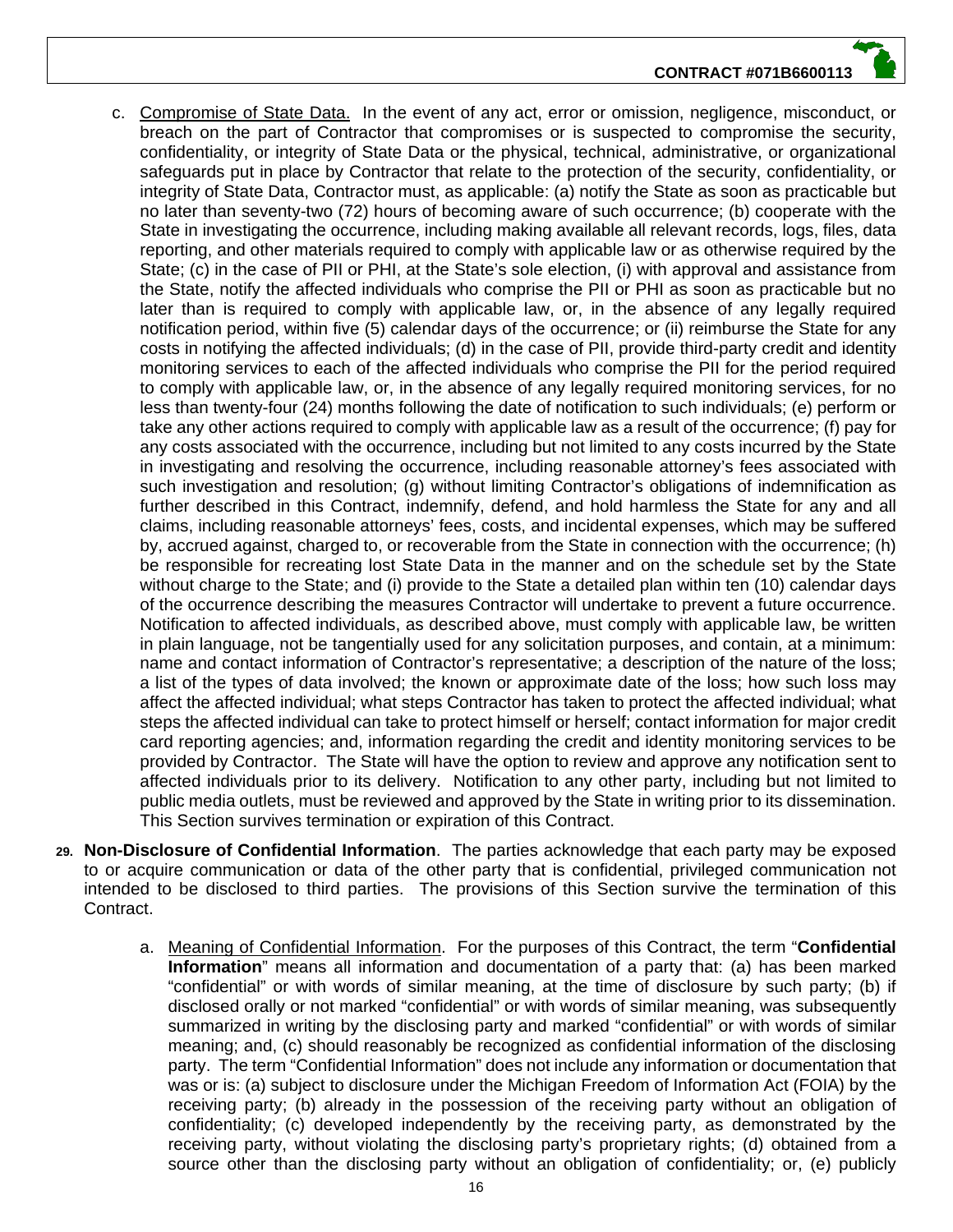#### **CONTRACT #071B6600113**

- 
- c. Compromise of State Data. In the event of any act, error or omission, negligence, misconduct, or breach on the part of Contractor that compromises or is suspected to compromise the security, confidentiality, or integrity of State Data or the physical, technical, administrative, or organizational safeguards put in place by Contractor that relate to the protection of the security, confidentiality, or integrity of State Data, Contractor must, as applicable: (a) notify the State as soon as practicable but no later than seventy-two (72) hours of becoming aware of such occurrence; (b) cooperate with the State in investigating the occurrence, including making available all relevant records, logs, files, data reporting, and other materials required to comply with applicable law or as otherwise required by the State; (c) in the case of PII or PHI, at the State's sole election, (i) with approval and assistance from the State, notify the affected individuals who comprise the PII or PHI as soon as practicable but no later than is required to comply with applicable law, or, in the absence of any legally required notification period, within five (5) calendar days of the occurrence; or (ii) reimburse the State for any costs in notifying the affected individuals; (d) in the case of PII, provide third-party credit and identity monitoring services to each of the affected individuals who comprise the PII for the period required to comply with applicable law, or, in the absence of any legally required monitoring services, for no less than twenty-four (24) months following the date of notification to such individuals; (e) perform or take any other actions required to comply with applicable law as a result of the occurrence; (f) pay for any costs associated with the occurrence, including but not limited to any costs incurred by the State in investigating and resolving the occurrence, including reasonable attorney's fees associated with such investigation and resolution; (g) without limiting Contractor's obligations of indemnification as further described in this Contract, indemnify, defend, and hold harmless the State for any and all claims, including reasonable attorneys' fees, costs, and incidental expenses, which may be suffered by, accrued against, charged to, or recoverable from the State in connection with the occurrence; (h) be responsible for recreating lost State Data in the manner and on the schedule set by the State without charge to the State; and (i) provide to the State a detailed plan within ten (10) calendar days of the occurrence describing the measures Contractor will undertake to prevent a future occurrence. Notification to affected individuals, as described above, must comply with applicable law, be written in plain language, not be tangentially used for any solicitation purposes, and contain, at a minimum: name and contact information of Contractor's representative; a description of the nature of the loss; a list of the types of data involved; the known or approximate date of the loss; how such loss may affect the affected individual; what steps Contractor has taken to protect the affected individual; what steps the affected individual can take to protect himself or herself; contact information for major credit card reporting agencies; and, information regarding the credit and identity monitoring services to be provided by Contractor. The State will have the option to review and approve any notification sent to affected individuals prior to its delivery. Notification to any other party, including but not limited to public media outlets, must be reviewed and approved by the State in writing prior to its dissemination. This Section survives termination or expiration of this Contract.
- **29. Non-Disclosure of Confidential Information**. The parties acknowledge that each party may be exposed to or acquire communication or data of the other party that is confidential, privileged communication not intended to be disclosed to third parties. The provisions of this Section survive the termination of this Contract.
	- a. Meaning of Confidential Information. For the purposes of this Contract, the term "**Confidential Information**" means all information and documentation of a party that: (a) has been marked "confidential" or with words of similar meaning, at the time of disclosure by such party; (b) if disclosed orally or not marked "confidential" or with words of similar meaning, was subsequently summarized in writing by the disclosing party and marked "confidential" or with words of similar meaning; and, (c) should reasonably be recognized as confidential information of the disclosing party. The term "Confidential Information" does not include any information or documentation that was or is: (a) subject to disclosure under the Michigan Freedom of Information Act (FOIA) by the receiving party; (b) already in the possession of the receiving party without an obligation of confidentiality; (c) developed independently by the receiving party, as demonstrated by the receiving party, without violating the disclosing party's proprietary rights; (d) obtained from a source other than the disclosing party without an obligation of confidentiality; or, (e) publicly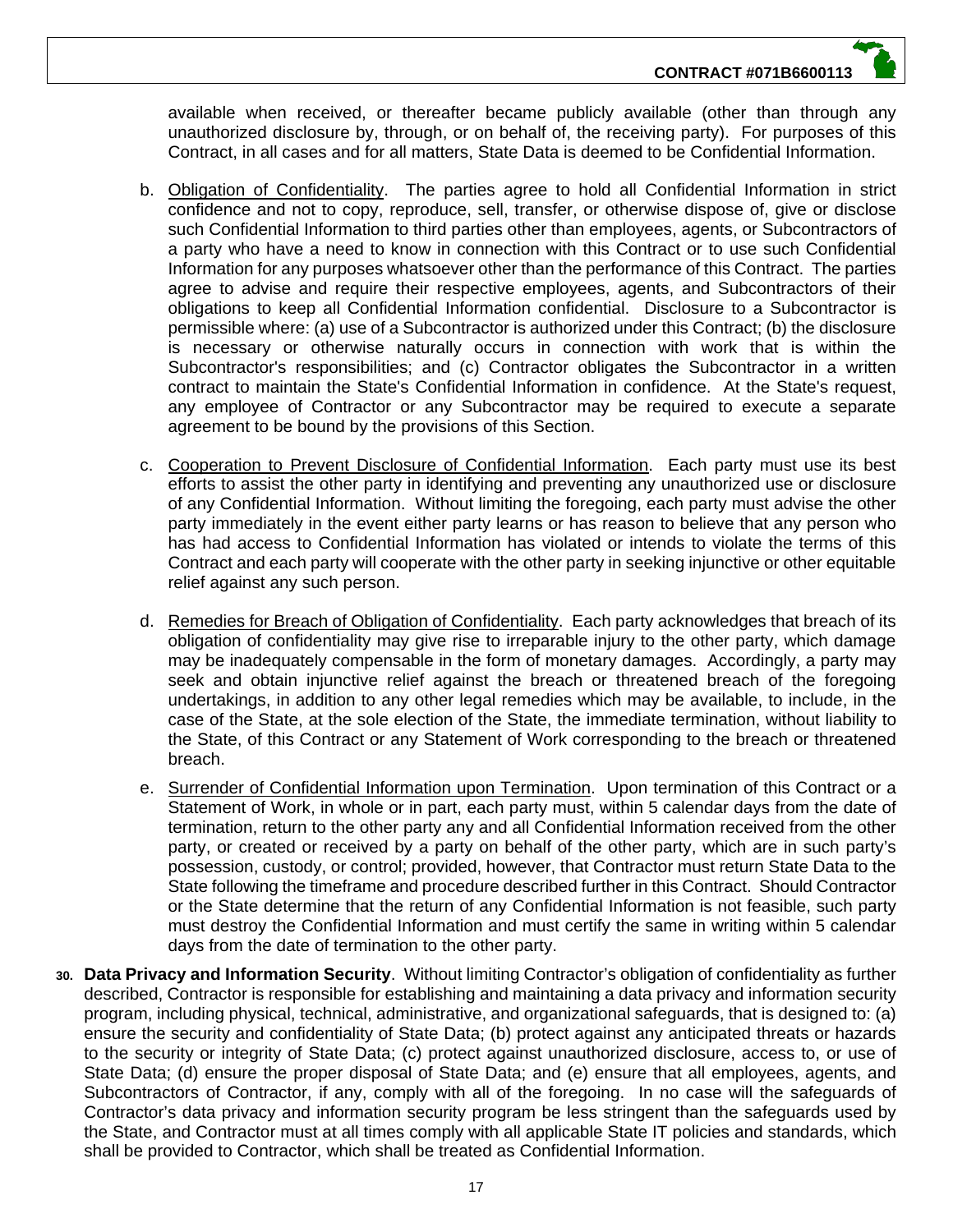available when received, or thereafter became publicly available (other than through any unauthorized disclosure by, through, or on behalf of, the receiving party). For purposes of this Contract, in all cases and for all matters, State Data is deemed to be Confidential Information.

- b. Obligation of Confidentiality. The parties agree to hold all Confidential Information in strict confidence and not to copy, reproduce, sell, transfer, or otherwise dispose of, give or disclose such Confidential Information to third parties other than employees, agents, or Subcontractors of a party who have a need to know in connection with this Contract or to use such Confidential Information for any purposes whatsoever other than the performance of this Contract. The parties agree to advise and require their respective employees, agents, and Subcontractors of their obligations to keep all Confidential Information confidential. Disclosure to a Subcontractor is permissible where: (a) use of a Subcontractor is authorized under this Contract; (b) the disclosure is necessary or otherwise naturally occurs in connection with work that is within the Subcontractor's responsibilities; and (c) Contractor obligates the Subcontractor in a written contract to maintain the State's Confidential Information in confidence. At the State's request, any employee of Contractor or any Subcontractor may be required to execute a separate agreement to be bound by the provisions of this Section.
- c. Cooperation to Prevent Disclosure of Confidential Information. Each party must use its best efforts to assist the other party in identifying and preventing any unauthorized use or disclosure of any Confidential Information. Without limiting the foregoing, each party must advise the other party immediately in the event either party learns or has reason to believe that any person who has had access to Confidential Information has violated or intends to violate the terms of this Contract and each party will cooperate with the other party in seeking injunctive or other equitable relief against any such person.
- d. Remedies for Breach of Obligation of Confidentiality. Each party acknowledges that breach of its obligation of confidentiality may give rise to irreparable injury to the other party, which damage may be inadequately compensable in the form of monetary damages. Accordingly, a party may seek and obtain injunctive relief against the breach or threatened breach of the foregoing undertakings, in addition to any other legal remedies which may be available, to include, in the case of the State, at the sole election of the State, the immediate termination, without liability to the State, of this Contract or any Statement of Work corresponding to the breach or threatened breach.
- e. Surrender of Confidential Information upon Termination. Upon termination of this Contract or a Statement of Work, in whole or in part, each party must, within 5 calendar days from the date of termination, return to the other party any and all Confidential Information received from the other party, or created or received by a party on behalf of the other party, which are in such party's possession, custody, or control; provided, however, that Contractor must return State Data to the State following the timeframe and procedure described further in this Contract. Should Contractor or the State determine that the return of any Confidential Information is not feasible, such party must destroy the Confidential Information and must certify the same in writing within 5 calendar days from the date of termination to the other party.
- **30. Data Privacy and Information Security**. Without limiting Contractor's obligation of confidentiality as further described, Contractor is responsible for establishing and maintaining a data privacy and information security program, including physical, technical, administrative, and organizational safeguards, that is designed to: (a) ensure the security and confidentiality of State Data; (b) protect against any anticipated threats or hazards to the security or integrity of State Data; (c) protect against unauthorized disclosure, access to, or use of State Data; (d) ensure the proper disposal of State Data; and (e) ensure that all employees, agents, and Subcontractors of Contractor, if any, comply with all of the foregoing. In no case will the safeguards of Contractor's data privacy and information security program be less stringent than the safeguards used by the State, and Contractor must at all times comply with all applicable State IT policies and standards, which shall be provided to Contractor, which shall be treated as Confidential Information.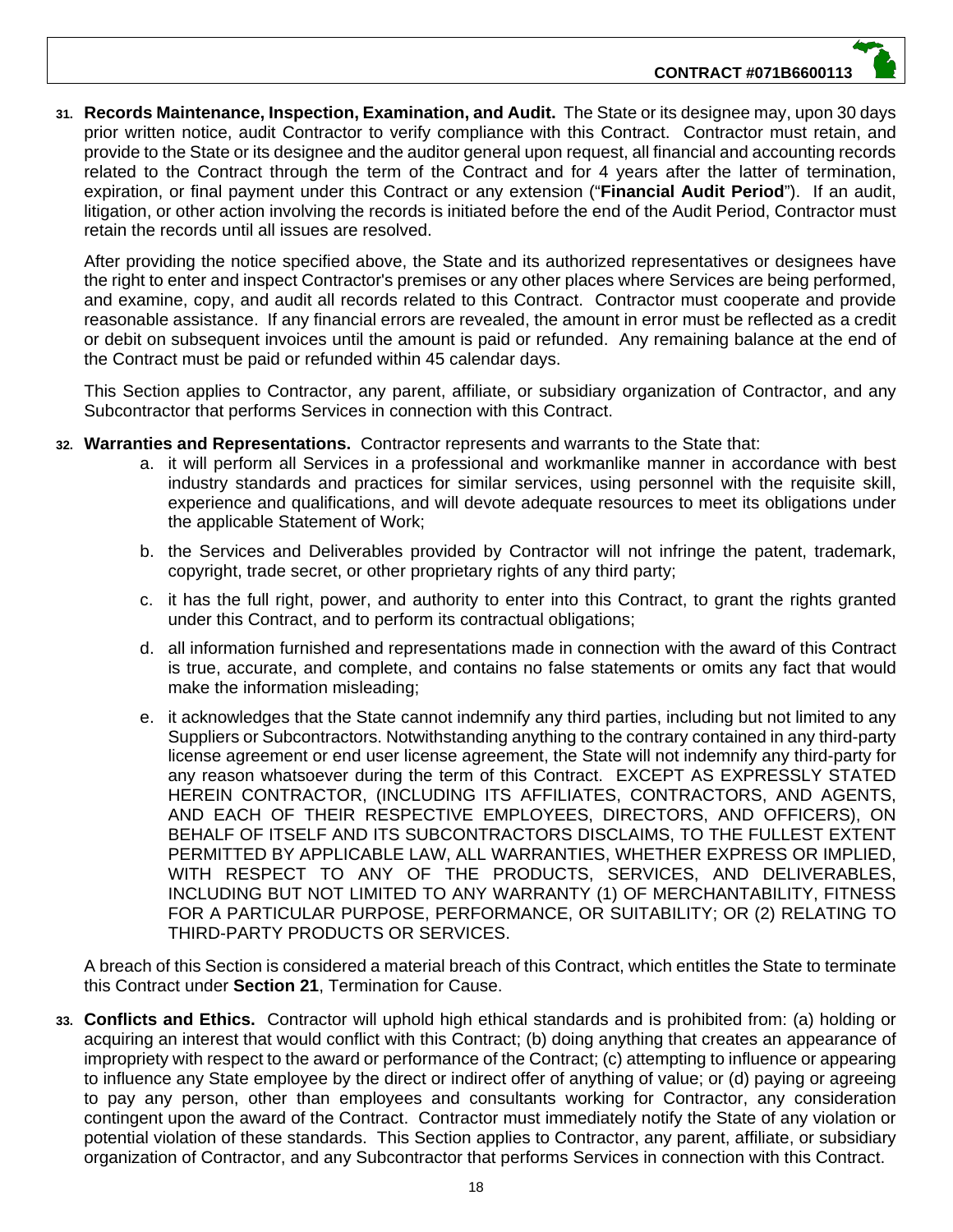**31. Records Maintenance, Inspection, Examination, and Audit.** The State or its designee may, upon 30 days prior written notice, audit Contractor to verify compliance with this Contract. Contractor must retain, and provide to the State or its designee and the auditor general upon request, all financial and accounting records related to the Contract through the term of the Contract and for 4 years after the latter of termination, expiration, or final payment under this Contract or any extension ("**Financial Audit Period**"). If an audit, litigation, or other action involving the records is initiated before the end of the Audit Period, Contractor must retain the records until all issues are resolved.

After providing the notice specified above, the State and its authorized representatives or designees have the right to enter and inspect Contractor's premises or any other places where Services are being performed, and examine, copy, and audit all records related to this Contract. Contractor must cooperate and provide reasonable assistance. If any financial errors are revealed, the amount in error must be reflected as a credit or debit on subsequent invoices until the amount is paid or refunded. Any remaining balance at the end of the Contract must be paid or refunded within 45 calendar days.

This Section applies to Contractor, any parent, affiliate, or subsidiary organization of Contractor, and any Subcontractor that performs Services in connection with this Contract.

- **32. Warranties and Representations.** Contractor represents and warrants to the State that:
	- a. it will perform all Services in a professional and workmanlike manner in accordance with best industry standards and practices for similar services, using personnel with the requisite skill, experience and qualifications, and will devote adequate resources to meet its obligations under the applicable Statement of Work;
	- b. the Services and Deliverables provided by Contractor will not infringe the patent, trademark, copyright, trade secret, or other proprietary rights of any third party;
	- c. it has the full right, power, and authority to enter into this Contract, to grant the rights granted under this Contract, and to perform its contractual obligations;
	- d. all information furnished and representations made in connection with the award of this Contract is true, accurate, and complete, and contains no false statements or omits any fact that would make the information misleading;
	- e. it acknowledges that the State cannot indemnify any third parties, including but not limited to any Suppliers or Subcontractors. Notwithstanding anything to the contrary contained in any third-party license agreement or end user license agreement, the State will not indemnify any third-party for any reason whatsoever during the term of this Contract. EXCEPT AS EXPRESSLY STATED HEREIN CONTRACTOR, (INCLUDING ITS AFFILIATES, CONTRACTORS, AND AGENTS, AND EACH OF THEIR RESPECTIVE EMPLOYEES, DIRECTORS, AND OFFICERS), ON BEHALF OF ITSELF AND ITS SUBCONTRACTORS DISCLAIMS, TO THE FULLEST EXTENT PERMITTED BY APPLICABLE LAW, ALL WARRANTIES, WHETHER EXPRESS OR IMPLIED, WITH RESPECT TO ANY OF THE PRODUCTS, SERVICES, AND DELIVERABLES, INCLUDING BUT NOT LIMITED TO ANY WARRANTY (1) OF MERCHANTABILITY, FITNESS FOR A PARTICULAR PURPOSE, PERFORMANCE, OR SUITABILITY; OR (2) RELATING TO THIRD-PARTY PRODUCTS OR SERVICES.

A breach of this Section is considered a material breach of this Contract, which entitles the State to terminate this Contract under **Section 21**, Termination for Cause.

**33. Conflicts and Ethics.** Contractor will uphold high ethical standards and is prohibited from: (a) holding or acquiring an interest that would conflict with this Contract; (b) doing anything that creates an appearance of impropriety with respect to the award or performance of the Contract; (c) attempting to influence or appearing to influence any State employee by the direct or indirect offer of anything of value; or (d) paying or agreeing to pay any person, other than employees and consultants working for Contractor, any consideration contingent upon the award of the Contract. Contractor must immediately notify the State of any violation or potential violation of these standards. This Section applies to Contractor, any parent, affiliate, or subsidiary organization of Contractor, and any Subcontractor that performs Services in connection with this Contract.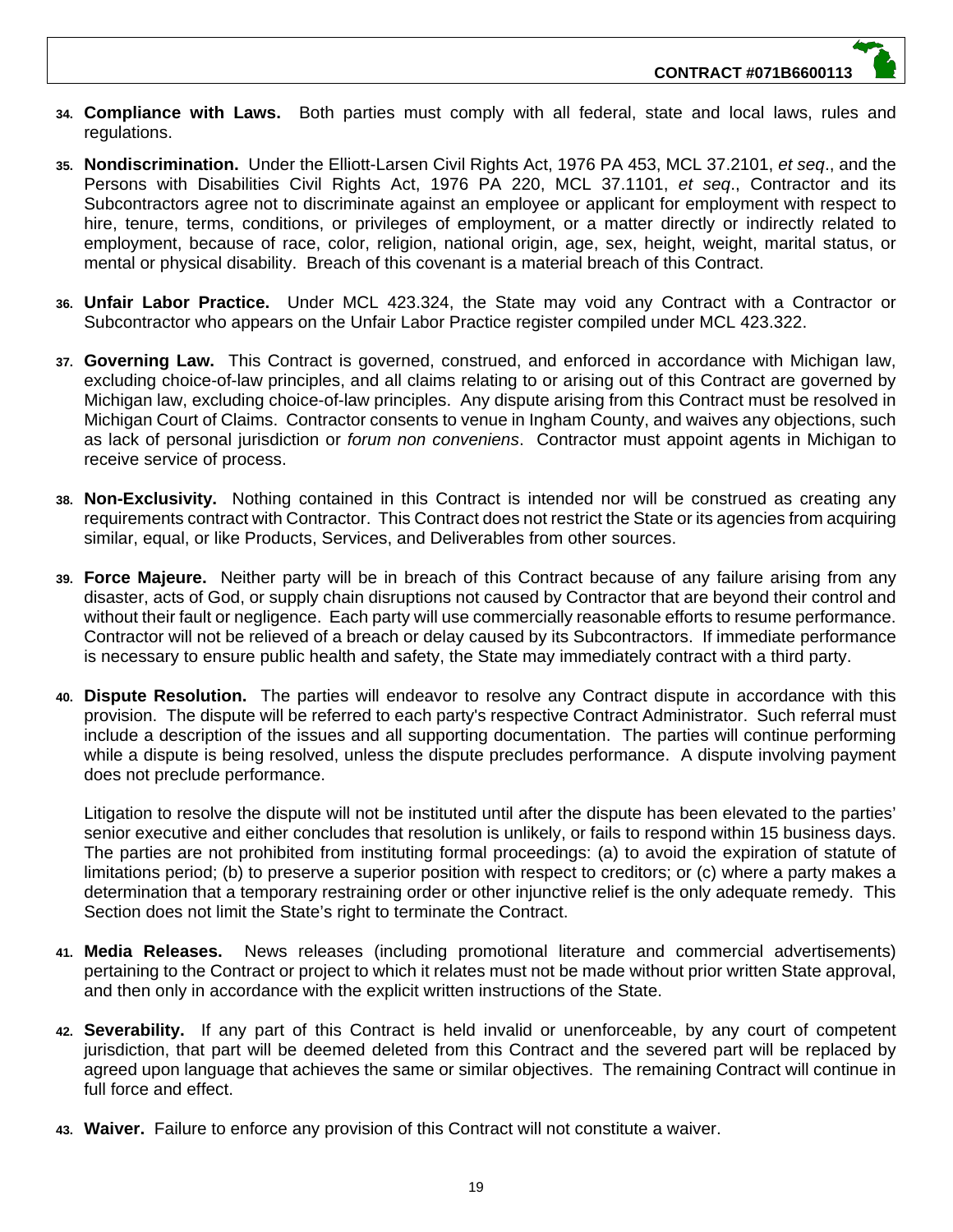- **34. Compliance with Laws.** Both parties must comply with all federal, state and local laws, rules and regulations.
- **35. Nondiscrimination.** Under the Elliott-Larsen Civil Rights Act, 1976 PA 453, MCL 37.2101, *et seq*., and the Persons with Disabilities Civil Rights Act, 1976 PA 220, MCL 37.1101, *et seq*., Contractor and its Subcontractors agree not to discriminate against an employee or applicant for employment with respect to hire, tenure, terms, conditions, or privileges of employment, or a matter directly or indirectly related to employment, because of race, color, religion, national origin, age, sex, height, weight, marital status, or mental or physical disability. Breach of this covenant is a material breach of this Contract.
- **36. Unfair Labor Practice.** Under MCL 423.324, the State may void any Contract with a Contractor or Subcontractor who appears on the Unfair Labor Practice register compiled under MCL 423.322.
- **37. Governing Law.** This Contract is governed, construed, and enforced in accordance with Michigan law, excluding choice-of-law principles, and all claims relating to or arising out of this Contract are governed by Michigan law, excluding choice-of-law principles. Any dispute arising from this Contract must be resolved in Michigan Court of Claims. Contractor consents to venue in Ingham County, and waives any objections, such as lack of personal jurisdiction or *forum non conveniens*. Contractor must appoint agents in Michigan to receive service of process.
- **38. Non-Exclusivity.** Nothing contained in this Contract is intended nor will be construed as creating any requirements contract with Contractor. This Contract does not restrict the State or its agencies from acquiring similar, equal, or like Products, Services, and Deliverables from other sources.
- **39. Force Majeure.** Neither party will be in breach of this Contract because of any failure arising from any disaster, acts of God, or supply chain disruptions not caused by Contractor that are beyond their control and without their fault or negligence. Each party will use commercially reasonable efforts to resume performance. Contractor will not be relieved of a breach or delay caused by its Subcontractors. If immediate performance is necessary to ensure public health and safety, the State may immediately contract with a third party.
- **40. Dispute Resolution.** The parties will endeavor to resolve any Contract dispute in accordance with this provision. The dispute will be referred to each party's respective Contract Administrator. Such referral must include a description of the issues and all supporting documentation. The parties will continue performing while a dispute is being resolved, unless the dispute precludes performance. A dispute involving payment does not preclude performance.

Litigation to resolve the dispute will not be instituted until after the dispute has been elevated to the parties' senior executive and either concludes that resolution is unlikely, or fails to respond within 15 business days. The parties are not prohibited from instituting formal proceedings: (a) to avoid the expiration of statute of limitations period; (b) to preserve a superior position with respect to creditors; or (c) where a party makes a determination that a temporary restraining order or other injunctive relief is the only adequate remedy. This Section does not limit the State's right to terminate the Contract.

- **41. Media Releases.** News releases (including promotional literature and commercial advertisements) pertaining to the Contract or project to which it relates must not be made without prior written State approval, and then only in accordance with the explicit written instructions of the State.
- **42. Severability.** If any part of this Contract is held invalid or unenforceable, by any court of competent jurisdiction, that part will be deemed deleted from this Contract and the severed part will be replaced by agreed upon language that achieves the same or similar objectives. The remaining Contract will continue in full force and effect.
- **43. Waiver.** Failure to enforce any provision of this Contract will not constitute a waiver.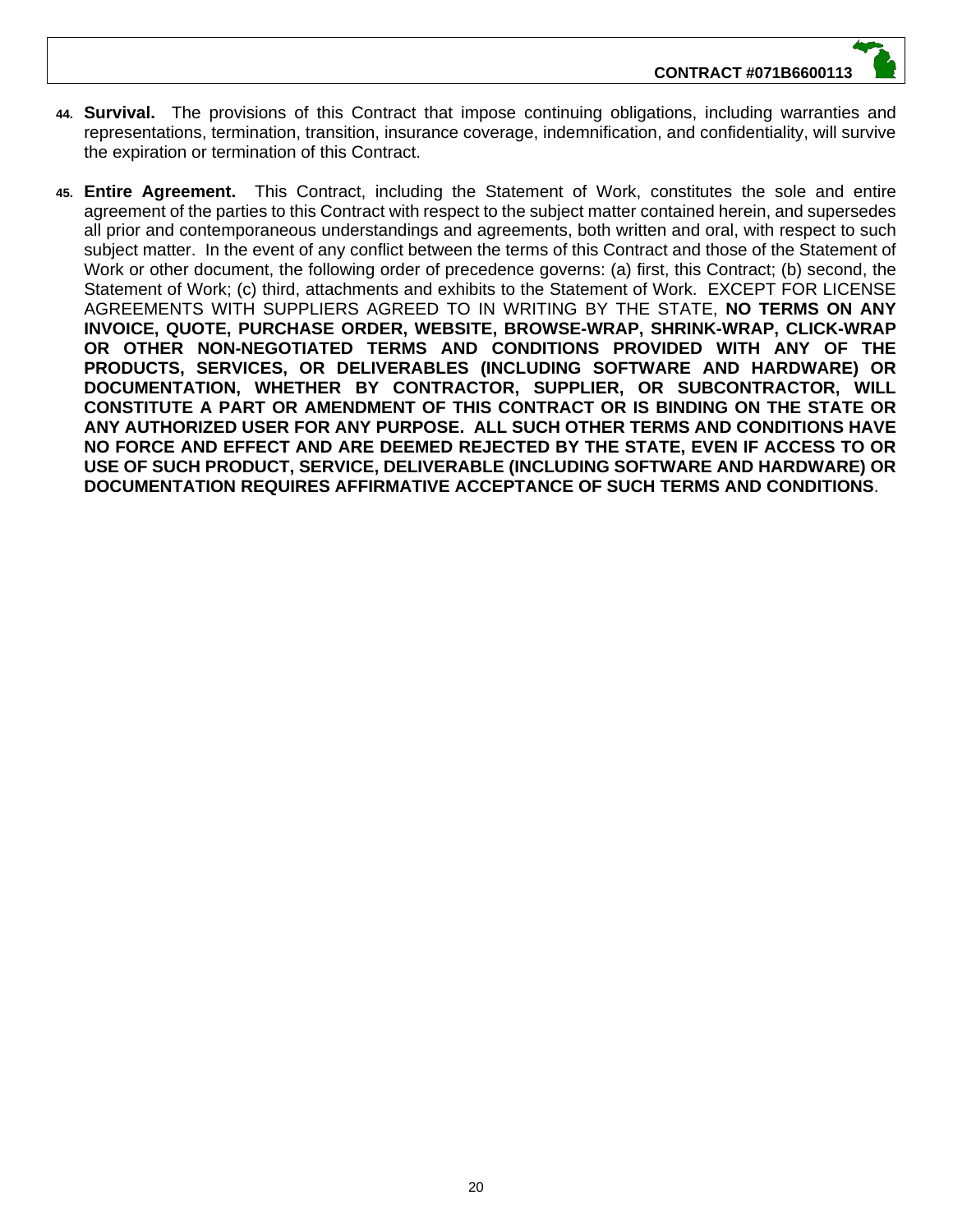- **44. Survival.** The provisions of this Contract that impose continuing obligations, including warranties and representations, termination, transition, insurance coverage, indemnification, and confidentiality, will survive the expiration or termination of this Contract.
- **45. Entire Agreement.** This Contract, including the Statement of Work, constitutes the sole and entire agreement of the parties to this Contract with respect to the subject matter contained herein, and supersedes all prior and contemporaneous understandings and agreements, both written and oral, with respect to such subject matter. In the event of any conflict between the terms of this Contract and those of the Statement of Work or other document, the following order of precedence governs: (a) first, this Contract; (b) second, the Statement of Work; (c) third, attachments and exhibits to the Statement of Work. EXCEPT FOR LICENSE AGREEMENTS WITH SUPPLIERS AGREED TO IN WRITING BY THE STATE, **NO TERMS ON ANY INVOICE, QUOTE, PURCHASE ORDER, WEBSITE, BROWSE-WRAP, SHRINK-WRAP, CLICK-WRAP OR OTHER NON-NEGOTIATED TERMS AND CONDITIONS PROVIDED WITH ANY OF THE PRODUCTS, SERVICES, OR DELIVERABLES (INCLUDING SOFTWARE AND HARDWARE) OR DOCUMENTATION, WHETHER BY CONTRACTOR, SUPPLIER, OR SUBCONTRACTOR, WILL CONSTITUTE A PART OR AMENDMENT OF THIS CONTRACT OR IS BINDING ON THE STATE OR ANY AUTHORIZED USER FOR ANY PURPOSE. ALL SUCH OTHER TERMS AND CONDITIONS HAVE NO FORCE AND EFFECT AND ARE DEEMED REJECTED BY THE STATE, EVEN IF ACCESS TO OR USE OF SUCH PRODUCT, SERVICE, DELIVERABLE (INCLUDING SOFTWARE AND HARDWARE) OR DOCUMENTATION REQUIRES AFFIRMATIVE ACCEPTANCE OF SUCH TERMS AND CONDITIONS**.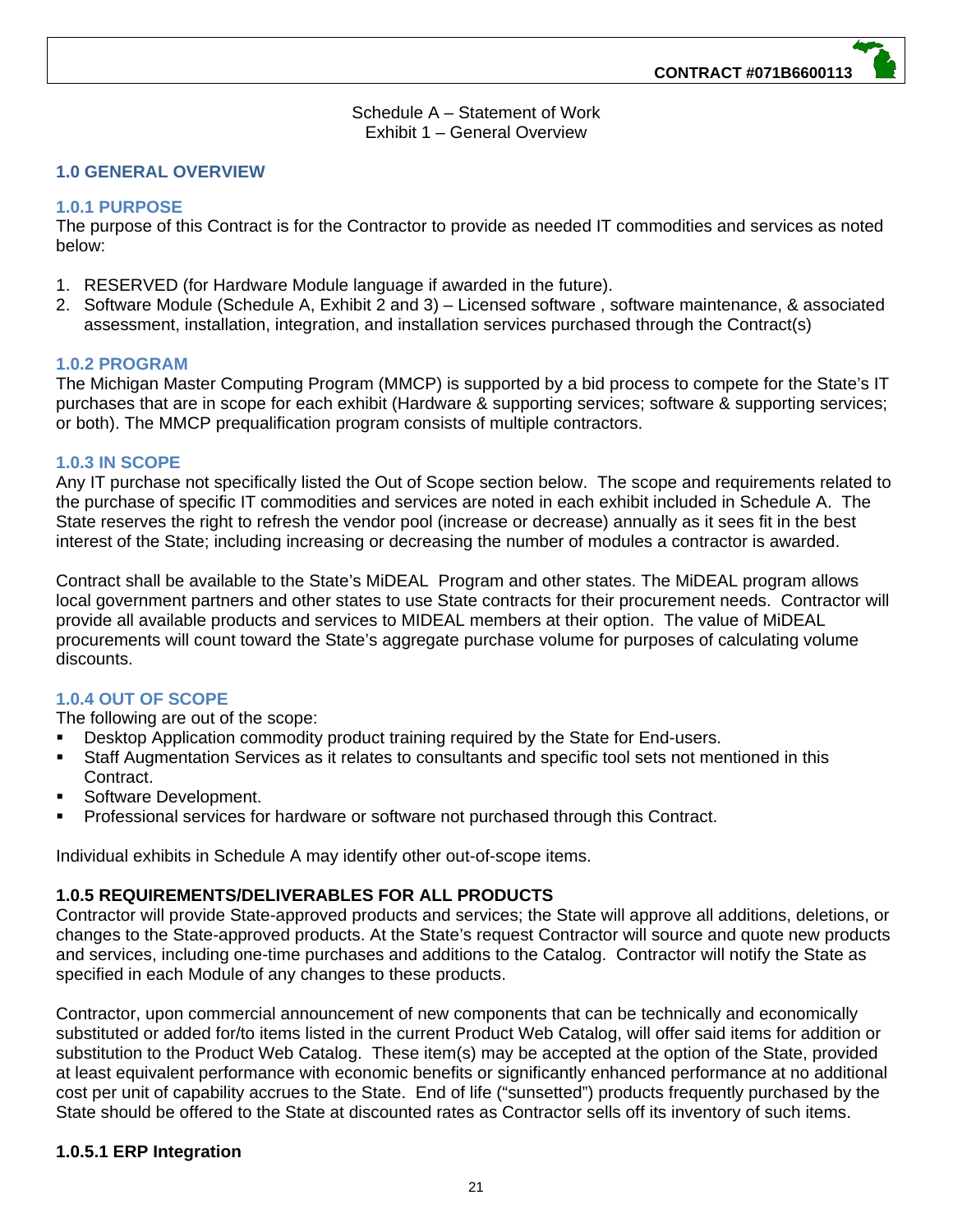Schedule A – Statement of Work Exhibit 1 – General Overview

#### **1.0 GENERAL OVERVIEW**

#### **1.0.1 PURPOSE**

The purpose of this Contract is for the Contractor to provide as needed IT commodities and services as noted below:

- 1. RESERVED (for Hardware Module language if awarded in the future).
- 2. Software Module (Schedule A, Exhibit 2 and 3) Licensed software , software maintenance, & associated assessment, installation, integration, and installation services purchased through the Contract(s)

#### **1.0.2 PROGRAM**

The Michigan Master Computing Program (MMCP) is supported by a bid process to compete for the State's IT purchases that are in scope for each exhibit (Hardware & supporting services; software & supporting services; or both). The MMCP prequalification program consists of multiple contractors.

#### **1.0.3 IN SCOPE**

Any IT purchase not specifically listed the Out of Scope section below. The scope and requirements related to the purchase of specific IT commodities and services are noted in each exhibit included in Schedule A. The State reserves the right to refresh the vendor pool (increase or decrease) annually as it sees fit in the best interest of the State; including increasing or decreasing the number of modules a contractor is awarded.

Contract shall be available to the State's MiDEAL Program and other states. The MiDEAL program allows local government partners and other states to use State contracts for their procurement needs. Contractor will provide all available products and services to MIDEAL members at their option. The value of MiDEAL procurements will count toward the State's aggregate purchase volume for purposes of calculating volume discounts.

#### **1.0.4 OUT OF SCOPE**

The following are out of the scope:

- Desktop Application commodity product training required by the State for End-users.
- Staff Augmentation Services as it relates to consultants and specific tool sets not mentioned in this Contract.
- Software Development.
- Professional services for hardware or software not purchased through this Contract.

Individual exhibits in Schedule A may identify other out-of-scope items.

#### **1.0.5 REQUIREMENTS/DELIVERABLES FOR ALL PRODUCTS**

Contractor will provide State-approved products and services; the State will approve all additions, deletions, or changes to the State-approved products. At the State's request Contractor will source and quote new products and services, including one-time purchases and additions to the Catalog. Contractor will notify the State as specified in each Module of any changes to these products.

Contractor, upon commercial announcement of new components that can be technically and economically substituted or added for/to items listed in the current Product Web Catalog, will offer said items for addition or substitution to the Product Web Catalog. These item(s) may be accepted at the option of the State, provided at least equivalent performance with economic benefits or significantly enhanced performance at no additional cost per unit of capability accrues to the State. End of life ("sunsetted") products frequently purchased by the State should be offered to the State at discounted rates as Contractor sells off its inventory of such items.

#### **1.0.5.1 ERP Integration**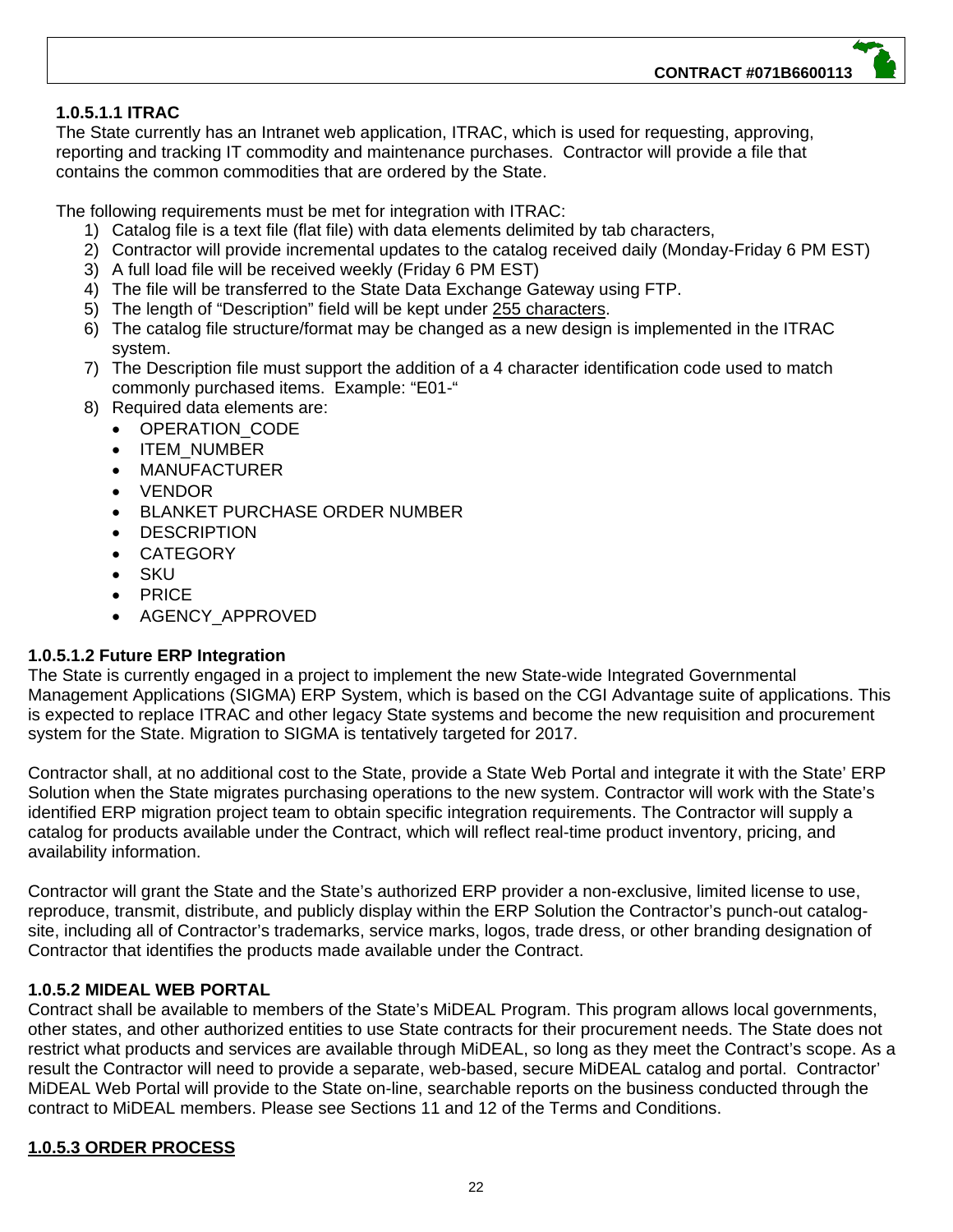#### **1.0.5.1.1 ITRAC**

The State currently has an Intranet web application, ITRAC, which is used for requesting, approving, reporting and tracking IT commodity and maintenance purchases. Contractor will provide a file that contains the common commodities that are ordered by the State.

The following requirements must be met for integration with ITRAC:

- 1) Catalog file is a text file (flat file) with data elements delimited by tab characters,
- 2) Contractor will provide incremental updates to the catalog received daily (Monday-Friday 6 PM EST)
- 3) A full load file will be received weekly (Friday 6 PM EST)
- 4) The file will be transferred to the State Data Exchange Gateway using FTP.
- 5) The length of "Description" field will be kept under 255 characters.
- 6) The catalog file structure/format may be changed as a new design is implemented in the ITRAC system.
- 7) The Description file must support the addition of a 4 character identification code used to match commonly purchased items. Example: "E01-"
- 8) Required data elements are:
	- OPERATION CODE
	- ITEM\_NUMBER
	- MANUFACTURER
	- VENDOR
	- BLANKET PURCHASE ORDER NUMBER
	- **DESCRIPTION**
	- **CATEGORY**
	- **SKU**
	- PRICE
	- AGENCY\_APPROVED

#### **1.0.5.1.2 Future ERP Integration**

The State is currently engaged in a project to implement the new State-wide Integrated Governmental Management Applications (SIGMA) ERP System, which is based on the CGI Advantage suite of applications. This is expected to replace ITRAC and other legacy State systems and become the new requisition and procurement system for the State. Migration to SIGMA is tentatively targeted for 2017.

Contractor shall, at no additional cost to the State, provide a State Web Portal and integrate it with the State' ERP Solution when the State migrates purchasing operations to the new system. Contractor will work with the State's identified ERP migration project team to obtain specific integration requirements. The Contractor will supply a catalog for products available under the Contract, which will reflect real-time product inventory, pricing, and availability information.

Contractor will grant the State and the State's authorized ERP provider a non-exclusive, limited license to use, reproduce, transmit, distribute, and publicly display within the ERP Solution the Contractor's punch-out catalogsite, including all of Contractor's trademarks, service marks, logos, trade dress, or other branding designation of Contractor that identifies the products made available under the Contract.

#### **1.0.5.2 MIDEAL WEB PORTAL**

Contract shall be available to members of the State's MiDEAL Program. This program allows local governments, other states, and other authorized entities to use State contracts for their procurement needs. The State does not restrict what products and services are available through MiDEAL, so long as they meet the Contract's scope. As a result the Contractor will need to provide a separate, web-based, secure MiDEAL catalog and portal. Contractor' MiDEAL Web Portal will provide to the State on-line, searchable reports on the business conducted through the contract to MiDEAL members. Please see Sections 11 and 12 of the Terms and Conditions.

#### **1.0.5.3 ORDER PROCESS**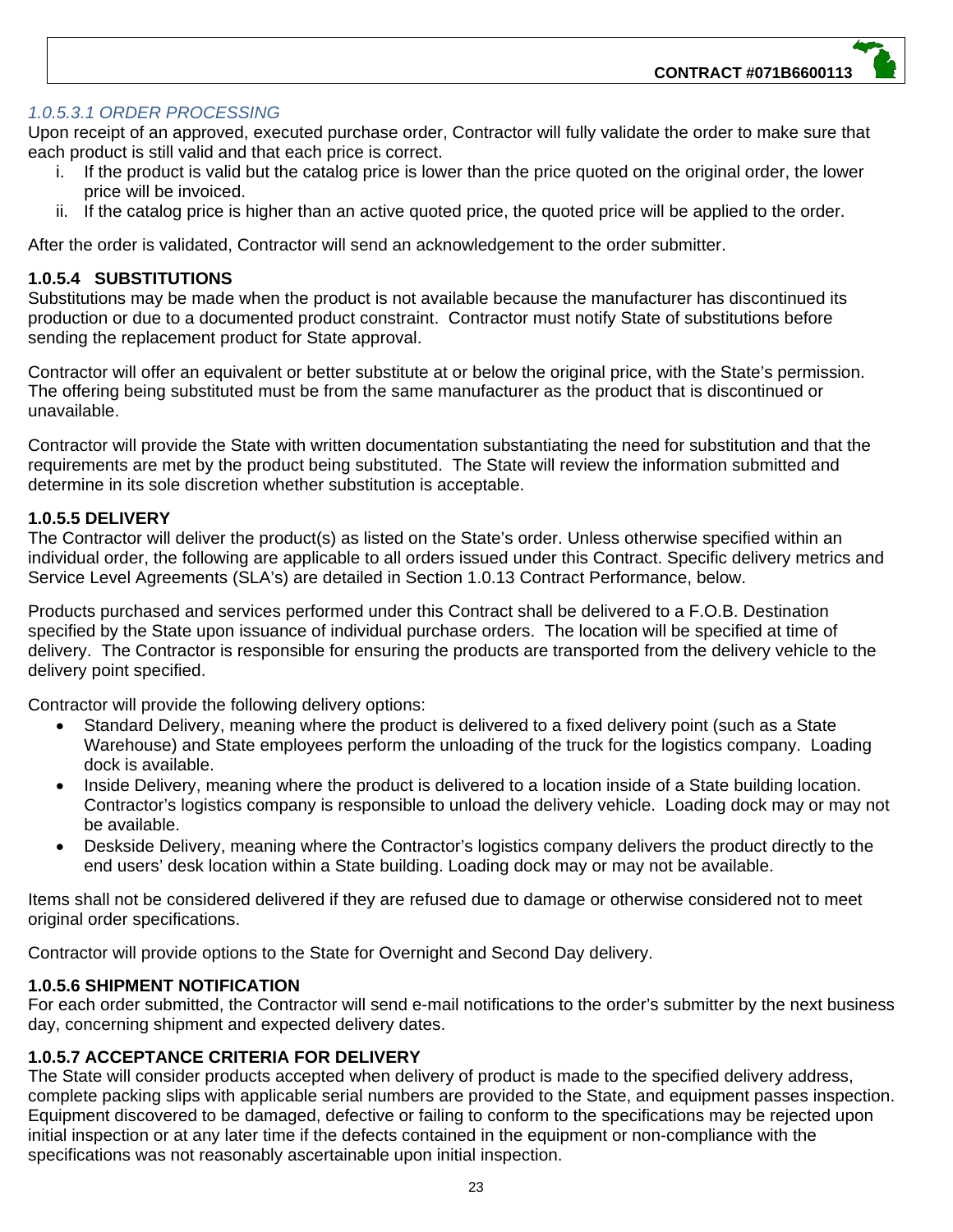#### *1.0.5.3.1 ORDER PROCESSING*

Upon receipt of an approved, executed purchase order, Contractor will fully validate the order to make sure that each product is still valid and that each price is correct.

- i. If the product is valid but the catalog price is lower than the price quoted on the original order, the lower price will be invoiced.
- ii. If the catalog price is higher than an active quoted price, the quoted price will be applied to the order.

After the order is validated, Contractor will send an acknowledgement to the order submitter.

#### **1.0.5.4 SUBSTITUTIONS**

Substitutions may be made when the product is not available because the manufacturer has discontinued its production or due to a documented product constraint. Contractor must notify State of substitutions before sending the replacement product for State approval.

Contractor will offer an equivalent or better substitute at or below the original price, with the State's permission. The offering being substituted must be from the same manufacturer as the product that is discontinued or unavailable.

Contractor will provide the State with written documentation substantiating the need for substitution and that the requirements are met by the product being substituted. The State will review the information submitted and determine in its sole discretion whether substitution is acceptable.

#### **1.0.5.5 DELIVERY**

The Contractor will deliver the product(s) as listed on the State's order. Unless otherwise specified within an individual order, the following are applicable to all orders issued under this Contract. Specific delivery metrics and Service Level Agreements (SLA's) are detailed in Section 1.0.13 Contract Performance, below.

Products purchased and services performed under this Contract shall be delivered to a F.O.B. Destination specified by the State upon issuance of individual purchase orders. The location will be specified at time of delivery. The Contractor is responsible for ensuring the products are transported from the delivery vehicle to the delivery point specified.

Contractor will provide the following delivery options:

- Standard Delivery, meaning where the product is delivered to a fixed delivery point (such as a State Warehouse) and State employees perform the unloading of the truck for the logistics company. Loading dock is available.
- Inside Delivery, meaning where the product is delivered to a location inside of a State building location. Contractor's logistics company is responsible to unload the delivery vehicle. Loading dock may or may not be available.
- Deskside Delivery, meaning where the Contractor's logistics company delivers the product directly to the end users' desk location within a State building. Loading dock may or may not be available.

Items shall not be considered delivered if they are refused due to damage or otherwise considered not to meet original order specifications.

Contractor will provide options to the State for Overnight and Second Day delivery.

#### **1.0.5.6 SHIPMENT NOTIFICATION**

For each order submitted, the Contractor will send e-mail notifications to the order's submitter by the next business day, concerning shipment and expected delivery dates.

#### **1.0.5.7 ACCEPTANCE CRITERIA FOR DELIVERY**

The State will consider products accepted when delivery of product is made to the specified delivery address, complete packing slips with applicable serial numbers are provided to the State, and equipment passes inspection. Equipment discovered to be damaged, defective or failing to conform to the specifications may be rejected upon initial inspection or at any later time if the defects contained in the equipment or non-compliance with the specifications was not reasonably ascertainable upon initial inspection.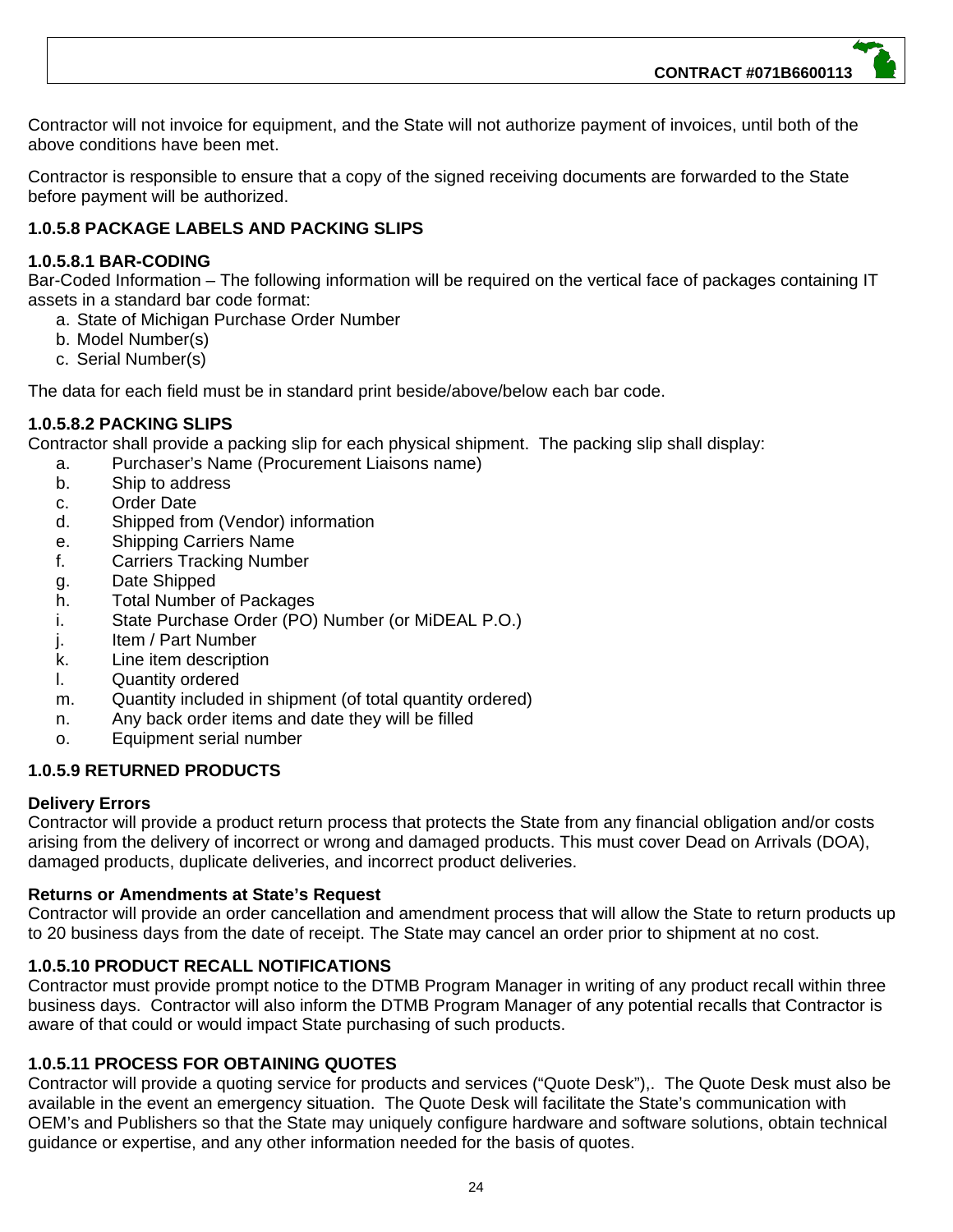**CONTRACT #071B6600113**

Contractor will not invoice for equipment, and the State will not authorize payment of invoices, until both of the above conditions have been met.

Contractor is responsible to ensure that a copy of the signed receiving documents are forwarded to the State before payment will be authorized.

#### **1.0.5.8 PACKAGE LABELS AND PACKING SLIPS**

#### **1.0.5.8.1 BAR-CODING**

Bar-Coded Information – The following information will be required on the vertical face of packages containing IT assets in a standard bar code format:

- a. State of Michigan Purchase Order Number
- b. Model Number(s)
- c. Serial Number(s)

The data for each field must be in standard print beside/above/below each bar code.

#### **1.0.5.8.2 PACKING SLIPS**

Contractor shall provide a packing slip for each physical shipment. The packing slip shall display:

- a. Purchaser's Name (Procurement Liaisons name)
- b. Ship to address
- c. Order Date
- d. Shipped from (Vendor) information
- e. Shipping Carriers Name
- f. Carriers Tracking Number
- g. Date Shipped
- h. Total Number of Packages
- i. State Purchase Order (PO) Number (or MiDEAL P.O.)
- j. Item / Part Number
- k. Line item description
- l. Quantity ordered
- m. Quantity included in shipment (of total quantity ordered)
- n. Any back order items and date they will be filled
- o. Equipment serial number

#### **1.0.5.9 RETURNED PRODUCTS**

#### **Delivery Errors**

Contractor will provide a product return process that protects the State from any financial obligation and/or costs arising from the delivery of incorrect or wrong and damaged products. This must cover Dead on Arrivals (DOA), damaged products, duplicate deliveries, and incorrect product deliveries.

#### **Returns or Amendments at State's Request**

Contractor will provide an order cancellation and amendment process that will allow the State to return products up to 20 business days from the date of receipt. The State may cancel an order prior to shipment at no cost.

#### **1.0.5.10 PRODUCT RECALL NOTIFICATIONS**

Contractor must provide prompt notice to the DTMB Program Manager in writing of any product recall within three business days. Contractor will also inform the DTMB Program Manager of any potential recalls that Contractor is aware of that could or would impact State purchasing of such products.

#### **1.0.5.11 PROCESS FOR OBTAINING QUOTES**

Contractor will provide a quoting service for products and services ("Quote Desk"),. The Quote Desk must also be available in the event an emergency situation. The Quote Desk will facilitate the State's communication with OEM's and Publishers so that the State may uniquely configure hardware and software solutions, obtain technical guidance or expertise, and any other information needed for the basis of quotes.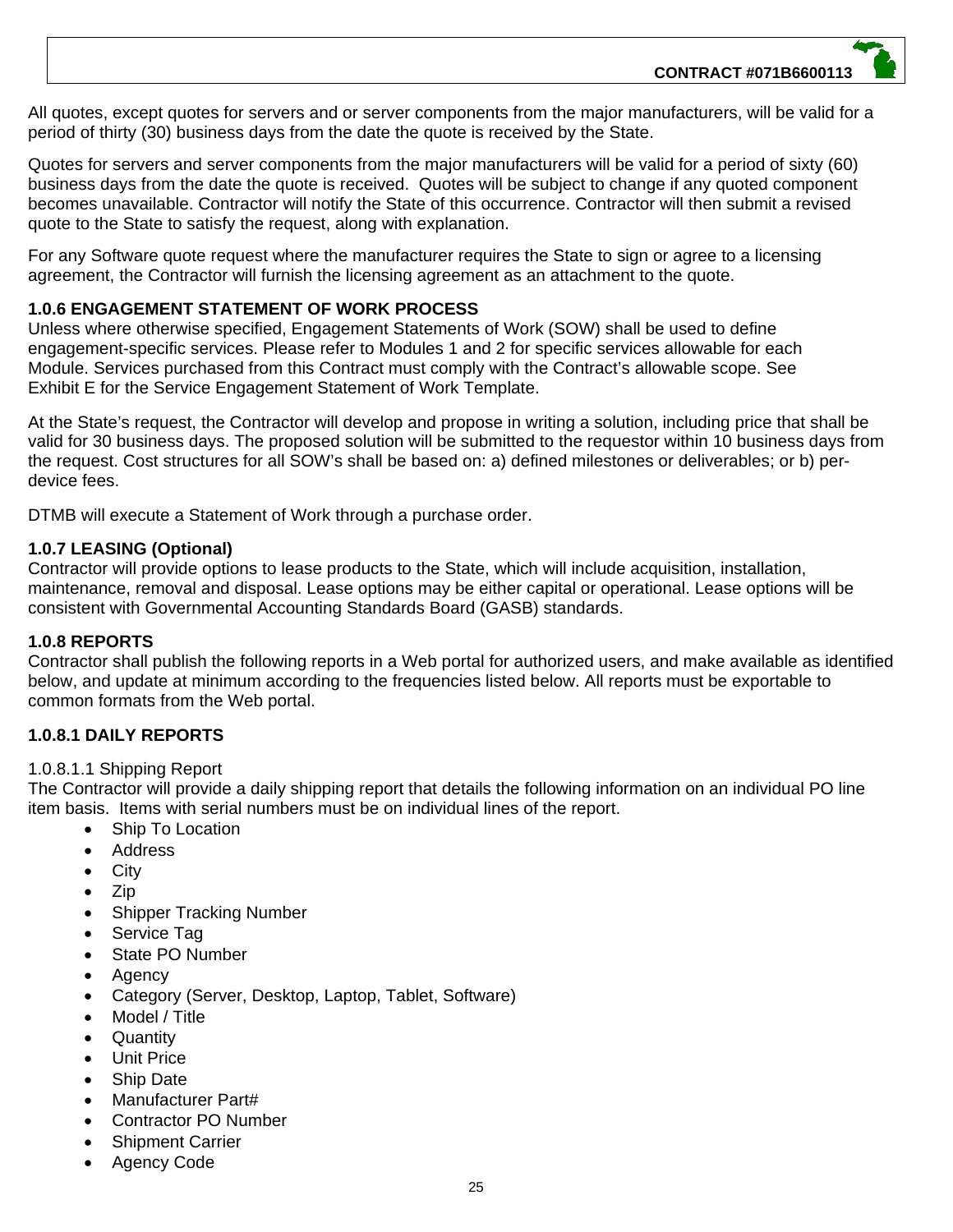All quotes, except quotes for servers and or server components from the major manufacturers, will be valid for a period of thirty (30) business days from the date the quote is received by the State.

Quotes for servers and server components from the major manufacturers will be valid for a period of sixty (60) business days from the date the quote is received. Quotes will be subject to change if any quoted component becomes unavailable. Contractor will notify the State of this occurrence. Contractor will then submit a revised quote to the State to satisfy the request, along with explanation.

For any Software quote request where the manufacturer requires the State to sign or agree to a licensing agreement, the Contractor will furnish the licensing agreement as an attachment to the quote.

#### **1.0.6 ENGAGEMENT STATEMENT OF WORK PROCESS**

Unless where otherwise specified, Engagement Statements of Work (SOW) shall be used to define engagement-specific services. Please refer to Modules 1 and 2 for specific services allowable for each Module. Services purchased from this Contract must comply with the Contract's allowable scope. See Exhibit E for the Service Engagement Statement of Work Template.

At the State's request, the Contractor will develop and propose in writing a solution, including price that shall be valid for 30 business days. The proposed solution will be submitted to the requestor within 10 business days from the request. Cost structures for all SOW's shall be based on: a) defined milestones or deliverables; or b) perdevice fees.

DTMB will execute a Statement of Work through a purchase order.

#### **1.0.7 LEASING (Optional)**

Contractor will provide options to lease products to the State, which will include acquisition, installation, maintenance, removal and disposal. Lease options may be either capital or operational. Lease options will be consistent with Governmental Accounting Standards Board (GASB) standards.

#### **1.0.8 REPORTS**

Contractor shall publish the following reports in a Web portal for authorized users, and make available as identified below, and update at minimum according to the frequencies listed below. All reports must be exportable to common formats from the Web portal.

#### **1.0.8.1 DAILY REPORTS**

#### 1.0.8.1.1 Shipping Report

The Contractor will provide a daily shipping report that details the following information on an individual PO line item basis. Items with serial numbers must be on individual lines of the report.

- Ship To Location
- Address
- **City**
- Zip
- Shipper Tracking Number
- Service Tag
- State PO Number
- Agency
- Category (Server, Desktop, Laptop, Tablet, Software)
- Model / Title
- **Quantity**
- Unit Price
- Ship Date
- Manufacturer Part#
- Contractor PO Number
- Shipment Carrier
- Agency Code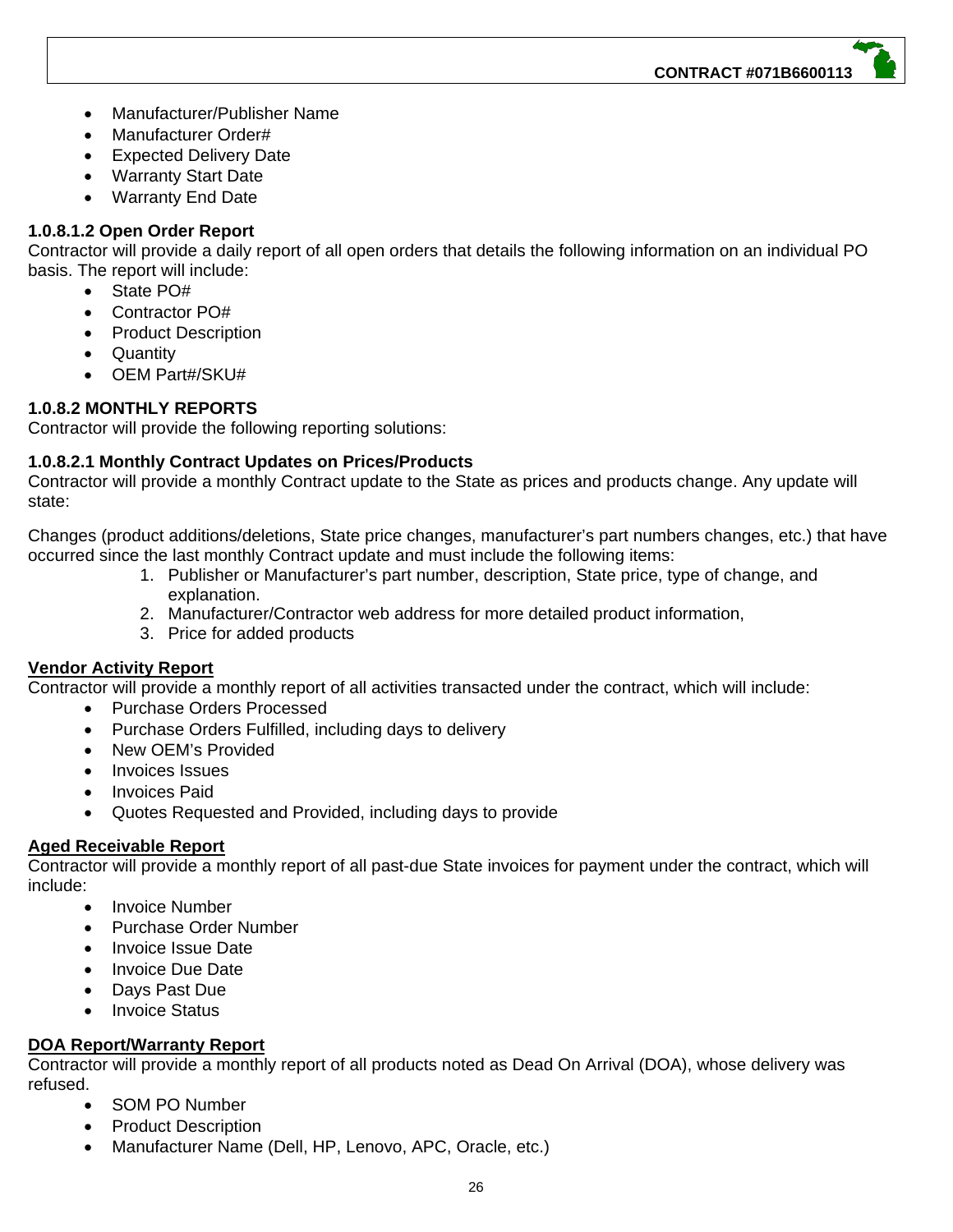- Manufacturer/Publisher Name
- Manufacturer Order#
- Expected Delivery Date
- Warranty Start Date
- Warranty End Date

#### **1.0.8.1.2 Open Order Report**

Contractor will provide a daily report of all open orders that details the following information on an individual PO basis. The report will include:

- State PO#
- Contractor PO#
- Product Description
- Quantity
- OEM Part#/SKU#

#### **1.0.8.2 MONTHLY REPORTS**

Contractor will provide the following reporting solutions:

#### **1.0.8.2.1 Monthly Contract Updates on Prices/Products**

Contractor will provide a monthly Contract update to the State as prices and products change. Any update will state:

Changes (product additions/deletions, State price changes, manufacturer's part numbers changes, etc.) that have occurred since the last monthly Contract update and must include the following items:

- 1. Publisher or Manufacturer's part number, description, State price, type of change, and explanation.
- 2. Manufacturer/Contractor web address for more detailed product information,
- 3. Price for added products

#### **Vendor Activity Report**

Contractor will provide a monthly report of all activities transacted under the contract, which will include:

- Purchase Orders Processed
- Purchase Orders Fulfilled, including days to delivery
- New OEM's Provided
- Invoices Issues
- Invoices Paid
- Quotes Requested and Provided, including days to provide

#### **Aged Receivable Report**

Contractor will provide a monthly report of all past-due State invoices for payment under the contract, which will include:

- Invoice Number
- Purchase Order Number
- Invoice Issue Date
- Invoice Due Date
- Days Past Due
- Invoice Status

#### **DOA Report/Warranty Report**

Contractor will provide a monthly report of all products noted as Dead On Arrival (DOA), whose delivery was refused.

- SOM PO Number
- Product Description
- Manufacturer Name (Dell, HP, Lenovo, APC, Oracle, etc.)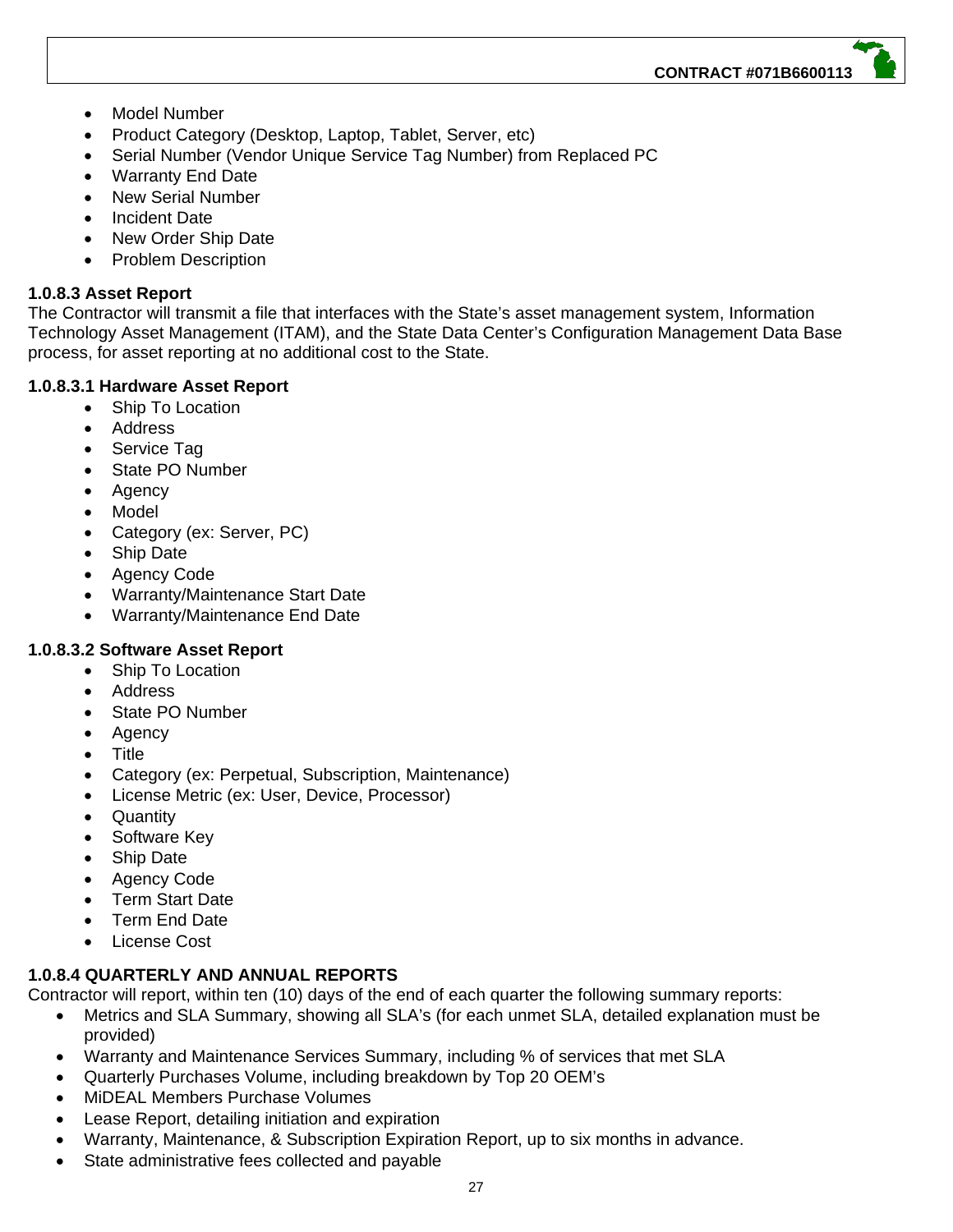- Model Number
- Product Category (Desktop, Laptop, Tablet, Server, etc)
- Serial Number (Vendor Unique Service Tag Number) from Replaced PC
- Warranty End Date
- New Serial Number
- Incident Date
- New Order Ship Date
- Problem Description

#### **1.0.8.3 Asset Report**

The Contractor will transmit a file that interfaces with the State's asset management system, Information Technology Asset Management (ITAM), and the State Data Center's Configuration Management Data Base process, for asset reporting at no additional cost to the State.

#### **1.0.8.3.1 Hardware Asset Report**

- Ship To Location
- Address
- Service Tag
- State PO Number
- Agency
- Model
- Category (ex: Server, PC)
- Ship Date
- Agency Code
- Warranty/Maintenance Start Date
- Warranty/Maintenance End Date

#### **1.0.8.3.2 Software Asset Report**

- Ship To Location
- Address
- State PO Number
- Agency
- Title
- Category (ex: Perpetual, Subscription, Maintenance)
- License Metric (ex: User, Device, Processor)
- Quantity
- Software Key
- Ship Date
- Agency Code
- Term Start Date
- Term End Date
- License Cost

#### **1.0.8.4 QUARTERLY AND ANNUAL REPORTS**

Contractor will report, within ten (10) days of the end of each quarter the following summary reports:

- Metrics and SLA Summary, showing all SLA's (for each unmet SLA, detailed explanation must be provided)
- Warranty and Maintenance Services Summary, including % of services that met SLA
- Quarterly Purchases Volume, including breakdown by Top 20 OEM's
- MiDEAL Members Purchase Volumes
- Lease Report, detailing initiation and expiration
- Warranty, Maintenance, & Subscription Expiration Report, up to six months in advance.
- State administrative fees collected and payable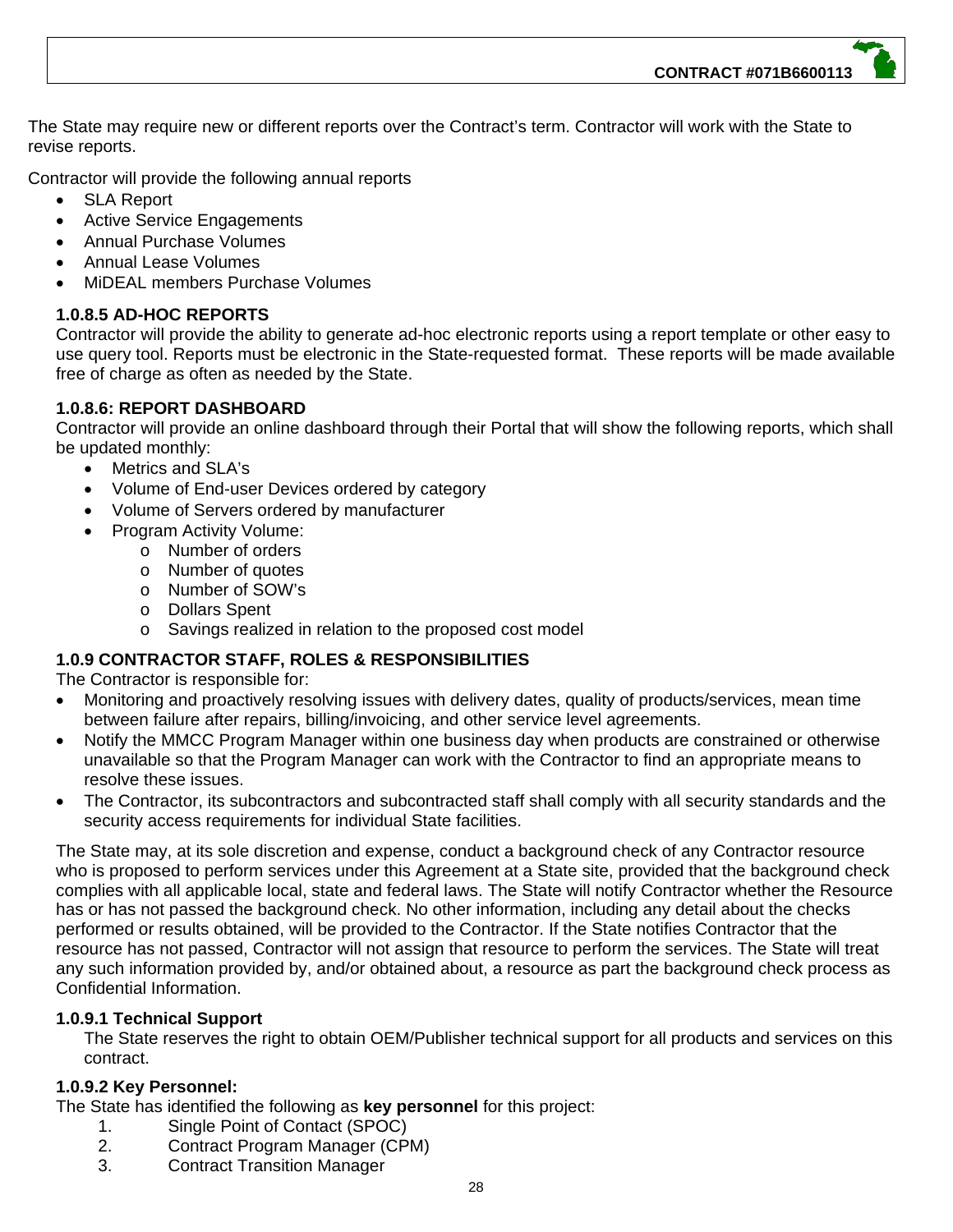**CONTRACT #071B6600113**

The State may require new or different reports over the Contract's term. Contractor will work with the State to revise reports.

Contractor will provide the following annual reports

- SLA Report
- Active Service Engagements
- Annual Purchase Volumes
- Annual Lease Volumes
- MiDEAL members Purchase Volumes

#### **1.0.8.5 AD-HOC REPORTS**

Contractor will provide the ability to generate ad-hoc electronic reports using a report template or other easy to use query tool. Reports must be electronic in the State-requested format. These reports will be made available free of charge as often as needed by the State.

#### **1.0.8.6: REPORT DASHBOARD**

Contractor will provide an online dashboard through their Portal that will show the following reports, which shall be updated monthly:

- Metrics and SLA's
- Volume of End-user Devices ordered by category
- Volume of Servers ordered by manufacturer
- Program Activity Volume:
	- o Number of orders
		- o Number of quotes
		- o Number of SOW's
		- o Dollars Spent
		- o Savings realized in relation to the proposed cost model

#### **1.0.9 CONTRACTOR STAFF, ROLES & RESPONSIBILITIES**

The Contractor is responsible for:

- Monitoring and proactively resolving issues with delivery dates, quality of products/services, mean time between failure after repairs, billing/invoicing, and other service level agreements.
- Notify the MMCC Program Manager within one business day when products are constrained or otherwise unavailable so that the Program Manager can work with the Contractor to find an appropriate means to resolve these issues.
- The Contractor, its subcontractors and subcontracted staff shall comply with all security standards and the security access requirements for individual State facilities.

The State may, at its sole discretion and expense, conduct a background check of any Contractor resource who is proposed to perform services under this Agreement at a State site, provided that the background check complies with all applicable local, state and federal laws. The State will notify Contractor whether the Resource has or has not passed the background check. No other information, including any detail about the checks performed or results obtained, will be provided to the Contractor. If the State notifies Contractor that the resource has not passed, Contractor will not assign that resource to perform the services. The State will treat any such information provided by, and/or obtained about, a resource as part the background check process as Confidential Information.

#### **1.0.9.1 Technical Support**

The State reserves the right to obtain OEM/Publisher technical support for all products and services on this contract.

#### **1.0.9.2 Key Personnel:**

The State has identified the following as **key personnel** for this project:

- 1. Single Point of Contact (SPOC)
- 2. Contract Program Manager (CPM)
- 3. Contract Transition Manager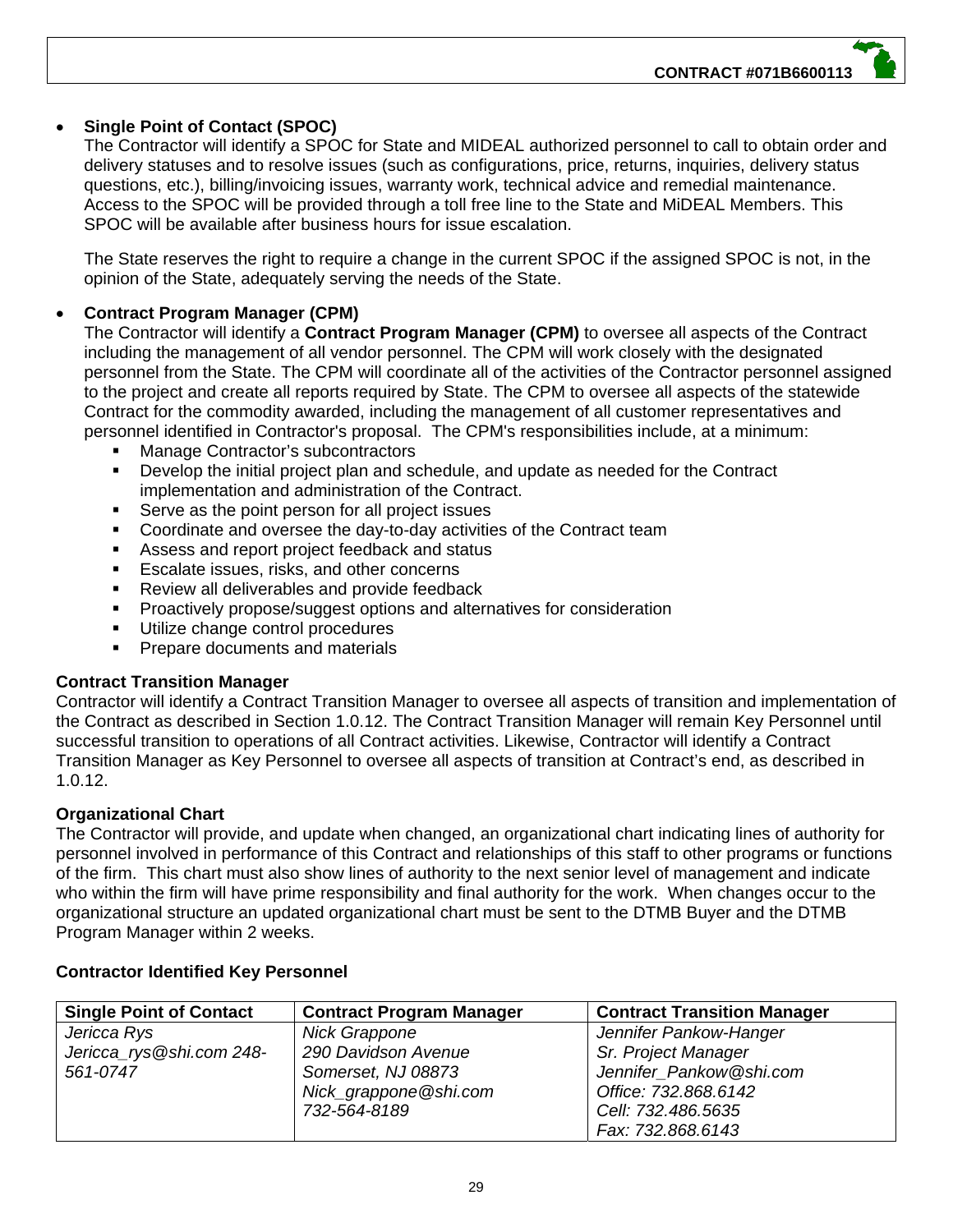#### **Single Point of Contact (SPOC)**

The Contractor will identify a SPOC for State and MIDEAL authorized personnel to call to obtain order and delivery statuses and to resolve issues (such as configurations, price, returns, inquiries, delivery status questions, etc.), billing/invoicing issues, warranty work, technical advice and remedial maintenance. Access to the SPOC will be provided through a toll free line to the State and MiDEAL Members. This SPOC will be available after business hours for issue escalation.

The State reserves the right to require a change in the current SPOC if the assigned SPOC is not, in the opinion of the State, adequately serving the needs of the State.

#### **Contract Program Manager (CPM)**

The Contractor will identify a **Contract Program Manager (CPM)** to oversee all aspects of the Contract including the management of all vendor personnel. The CPM will work closelv with the designated personnel from the State. The CPM will coordinate all of the activities of the Contractor personnel assigned to the project and create all reports required by State. The CPM to oversee all aspects of the statewide Contract for the commodity awarded, including the management of all customer representatives and personnel identified in Contractor's proposal. The CPM's responsibilities include, at a minimum:

- Manage Contractor's subcontractors
- Develop the initial project plan and schedule, and update as needed for the Contract implementation and administration of the Contract.
- Serve as the point person for all project issues
- Coordinate and oversee the day-to-day activities of the Contract team
- Assess and report project feedback and status
- **Escalate issues, risks, and other concerns**
- **Review all deliverables and provide feedback**
- Proactively propose/suggest options and alternatives for consideration
- Utilize change control procedures
- **Prepare documents and materials**

#### **Contract Transition Manager**

Contractor will identify a Contract Transition Manager to oversee all aspects of transition and implementation of the Contract as described in Section 1.0.12. The Contract Transition Manager will remain Key Personnel until successful transition to operations of all Contract activities. Likewise, Contractor will identify a Contract Transition Manager as Key Personnel to oversee all aspects of transition at Contract's end, as described in 1.0.12.

#### **Organizational Chart**

The Contractor will provide, and update when changed, an organizational chart indicating lines of authority for personnel involved in performance of this Contract and relationships of this staff to other programs or functions of the firm. This chart must also show lines of authority to the next senior level of management and indicate who within the firm will have prime responsibility and final authority for the work. When changes occur to the organizational structure an updated organizational chart must be sent to the DTMB Buyer and the DTMB Program Manager within 2 weeks.

| <b>Single Point of Contact</b> | <b>Contract Program Manager</b> | <b>Contract Transition Manager</b> |
|--------------------------------|---------------------------------|------------------------------------|
| Jericca Rys                    | Nick Grappone                   | Jennifer Pankow-Hanger             |
| Jericca_rys@shi.com 248-       | 290 Davidson Avenue             | Sr. Project Manager                |
| 561-0747                       | Somerset, NJ 08873              | Jennifer_Pankow@shi.com            |
|                                | Nick_grappone@shi.com           | Office: 732.868.6142               |
|                                | 732-564-8189                    | Cell: 732.486.5635                 |
|                                |                                 | Fax: 732.868.6143                  |

#### **Contractor Identified Key Personnel**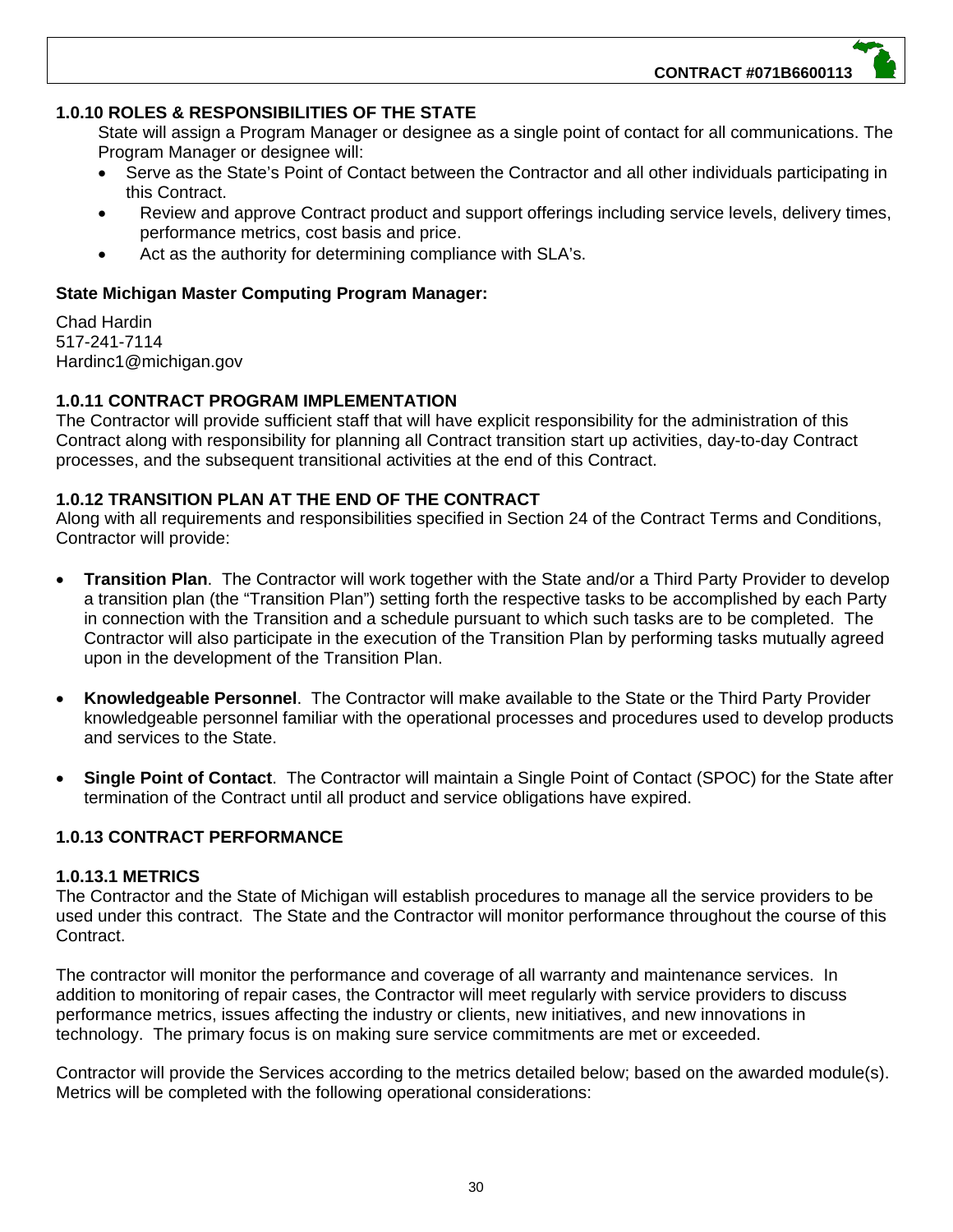#### **1.0.10 ROLES & RESPONSIBILITIES OF THE STATE**

State will assign a Program Manager or designee as a single point of contact for all communications. The Program Manager or designee will:

- Serve as the State's Point of Contact between the Contractor and all other individuals participating in this Contract.
- Review and approve Contract product and support offerings including service levels, delivery times, performance metrics, cost basis and price.
- Act as the authority for determining compliance with SLA's.

#### **State Michigan Master Computing Program Manager:**

Chad Hardin 517-241-7114 Hardinc1@michigan.gov

#### **1.0.11 CONTRACT PROGRAM IMPLEMENTATION**

The Contractor will provide sufficient staff that will have explicit responsibility for the administration of this Contract along with responsibility for planning all Contract transition start up activities, day-to-day Contract processes, and the subsequent transitional activities at the end of this Contract.

#### **1.0.12 TRANSITION PLAN AT THE END OF THE CONTRACT**

Along with all requirements and responsibilities specified in Section 24 of the Contract Terms and Conditions, Contractor will provide:

- **Transition Plan**. The Contractor will work together with the State and/or a Third Party Provider to develop a transition plan (the "Transition Plan") setting forth the respective tasks to be accomplished by each Party in connection with the Transition and a schedule pursuant to which such tasks are to be completed. The Contractor will also participate in the execution of the Transition Plan by performing tasks mutually agreed upon in the development of the Transition Plan.
- **Knowledgeable Personnel**. The Contractor will make available to the State or the Third Party Provider knowledgeable personnel familiar with the operational processes and procedures used to develop products and services to the State.
- **Single Point of Contact**. The Contractor will maintain a Single Point of Contact (SPOC) for the State after termination of the Contract until all product and service obligations have expired.

#### **1.0.13 CONTRACT PERFORMANCE**

#### **1.0.13.1 METRICS**

The Contractor and the State of Michigan will establish procedures to manage all the service providers to be used under this contract. The State and the Contractor will monitor performance throughout the course of this Contract.

The contractor will monitor the performance and coverage of all warranty and maintenance services. In addition to monitoring of repair cases, the Contractor will meet regularly with service providers to discuss performance metrics, issues affecting the industry or clients, new initiatives, and new innovations in technology. The primary focus is on making sure service commitments are met or exceeded.

Contractor will provide the Services according to the metrics detailed below; based on the awarded module(s). Metrics will be completed with the following operational considerations: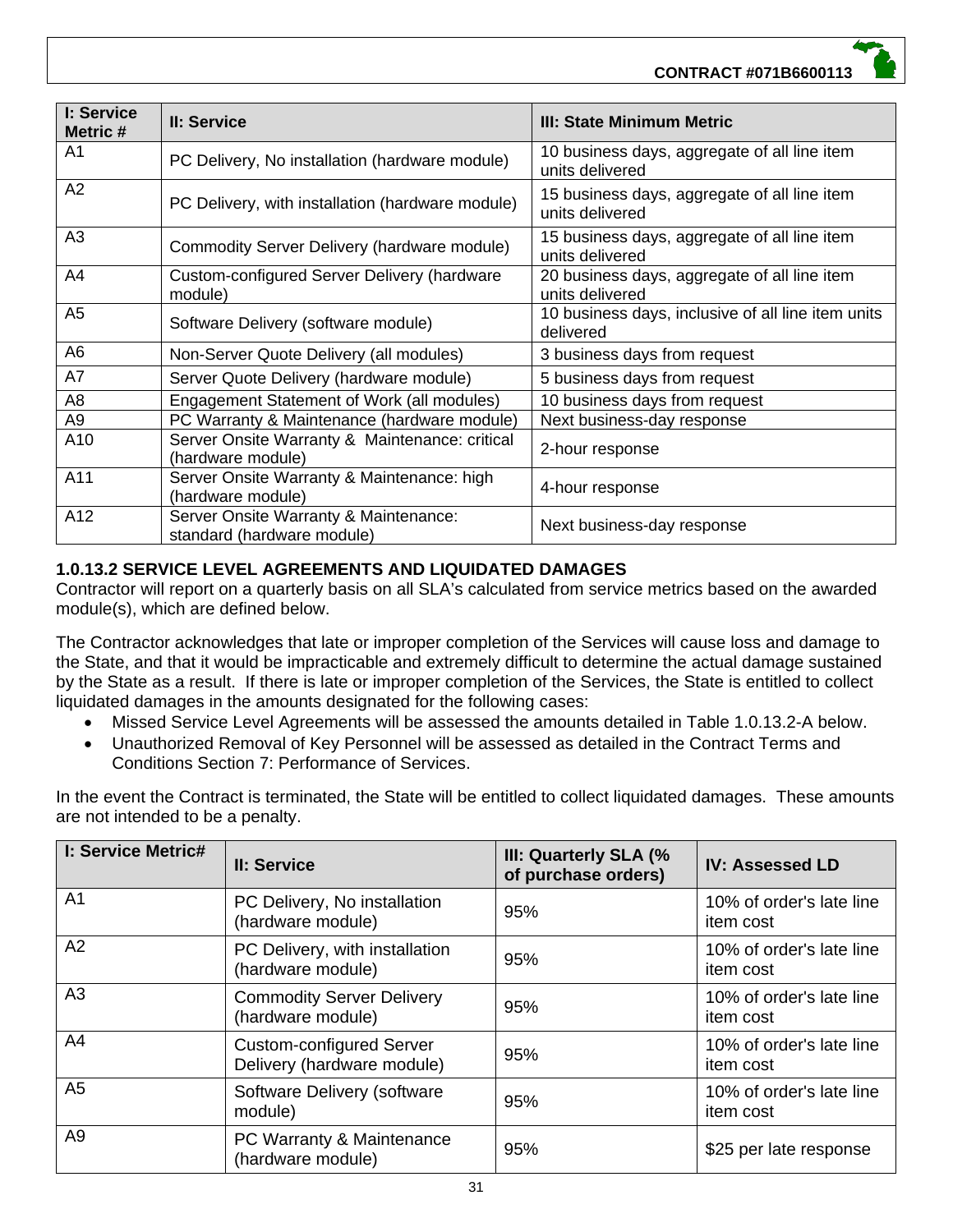#### **CONTRACT #071B6600113**

| I: Service<br>Metric # | II: Service                                                         | III: State Minimum Metric                                       |
|------------------------|---------------------------------------------------------------------|-----------------------------------------------------------------|
| A <sub>1</sub>         | PC Delivery, No installation (hardware module)                      | 10 business days, aggregate of all line item<br>units delivered |
| A2                     | PC Delivery, with installation (hardware module)                    | 15 business days, aggregate of all line item<br>units delivered |
| A <sub>3</sub>         | Commodity Server Delivery (hardware module)                         | 15 business days, aggregate of all line item<br>units delivered |
| A4                     | Custom-configured Server Delivery (hardware<br>module)              | 20 business days, aggregate of all line item<br>units delivered |
| A <sub>5</sub>         | Software Delivery (software module)                                 | 10 business days, inclusive of all line item units<br>delivered |
| A6                     | Non-Server Quote Delivery (all modules)                             | 3 business days from request                                    |
| A7                     | Server Quote Delivery (hardware module)                             | 5 business days from request                                    |
| A <sub>8</sub>         | Engagement Statement of Work (all modules)                          | 10 business days from request                                   |
| A <sub>9</sub>         | PC Warranty & Maintenance (hardware module)                         | Next business-day response                                      |
| A10                    | Server Onsite Warranty & Maintenance: critical<br>(hardware module) | 2-hour response                                                 |
| A11                    | Server Onsite Warranty & Maintenance: high<br>(hardware module)     | 4-hour response                                                 |
| A12                    | Server Onsite Warranty & Maintenance:<br>standard (hardware module) | Next business-day response                                      |

#### **1.0.13.2 SERVICE LEVEL AGREEMENTS AND LIQUIDATED DAMAGES**

Contractor will report on a quarterly basis on all SLA's calculated from service metrics based on the awarded module(s), which are defined below.

The Contractor acknowledges that late or improper completion of the Services will cause loss and damage to the State, and that it would be impracticable and extremely difficult to determine the actual damage sustained by the State as a result. If there is late or improper completion of the Services, the State is entitled to collect liquidated damages in the amounts designated for the following cases:

- Missed Service Level Agreements will be assessed the amounts detailed in Table 1.0.13.2-A below.
- Unauthorized Removal of Key Personnel will be assessed as detailed in the Contract Terms and Conditions Section 7: Performance of Services.

In the event the Contract is terminated, the State will be entitled to collect liquidated damages. These amounts are not intended to be a penalty.

| <b>I: Service Metric#</b> | II: Service                                                   | III: Quarterly SLA (%<br>of purchase orders) | <b>IV: Assessed LD</b>                |
|---------------------------|---------------------------------------------------------------|----------------------------------------------|---------------------------------------|
| A <sub>1</sub>            | PC Delivery, No installation<br>(hardware module)             | 95%                                          | 10% of order's late line<br>item cost |
| A2                        | PC Delivery, with installation<br>(hardware module)           | 95%                                          | 10% of order's late line<br>item cost |
| A3                        | <b>Commodity Server Delivery</b><br>(hardware module)         | 95%                                          | 10% of order's late line<br>item cost |
| A <sub>4</sub>            | <b>Custom-configured Server</b><br>Delivery (hardware module) | 95%                                          | 10% of order's late line<br>item cost |
| A <sub>5</sub>            | Software Delivery (software<br>module)                        | 95%                                          | 10% of order's late line<br>item cost |
| A <sub>9</sub>            | PC Warranty & Maintenance<br>(hardware module)                | 95%                                          | \$25 per late response                |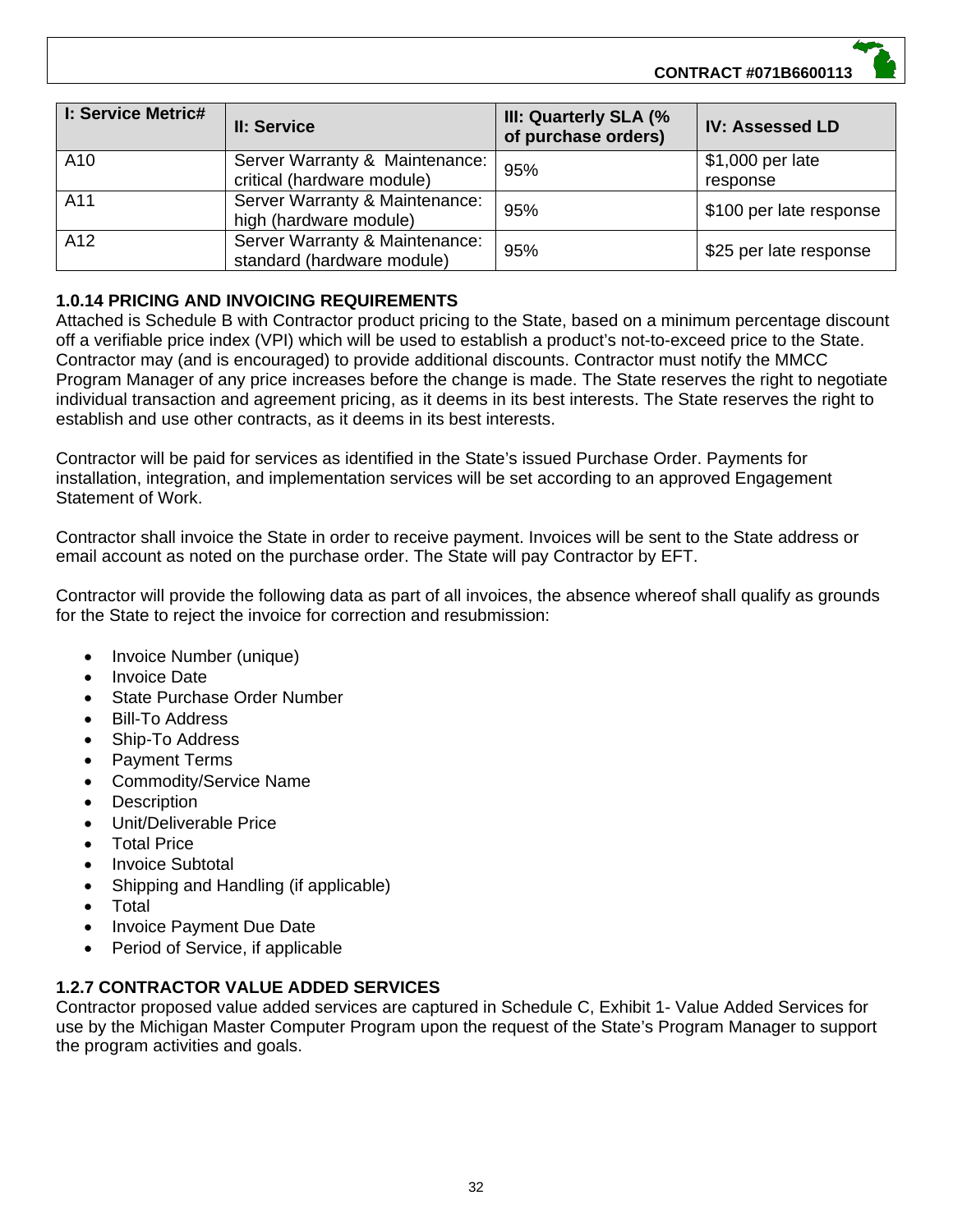**CONTRACT #071B6600113**

| <b>I: Service Metric#</b> | II: Service                                                  | III: Quarterly SLA (%<br>of purchase orders) | <b>IV: Assessed LD</b>       |
|---------------------------|--------------------------------------------------------------|----------------------------------------------|------------------------------|
| A10                       | Server Warranty & Maintenance:<br>critical (hardware module) | 95%                                          | \$1,000 per late<br>response |
| A11                       | Server Warranty & Maintenance:<br>high (hardware module)     | 95%                                          | \$100 per late response      |
| A <sub>12</sub>           | Server Warranty & Maintenance:<br>standard (hardware module) | 95%                                          | \$25 per late response       |

#### **1.0.14 PRICING AND INVOICING REQUIREMENTS**

Attached is Schedule B with Contractor product pricing to the State, based on a minimum percentage discount off a verifiable price index (VPI) which will be used to establish a product's not-to-exceed price to the State. Contractor may (and is encouraged) to provide additional discounts. Contractor must notify the MMCC Program Manager of any price increases before the change is made. The State reserves the right to negotiate individual transaction and agreement pricing, as it deems in its best interests. The State reserves the right to establish and use other contracts, as it deems in its best interests.

Contractor will be paid for services as identified in the State's issued Purchase Order. Payments for installation, integration, and implementation services will be set according to an approved Engagement Statement of Work.

Contractor shall invoice the State in order to receive payment. Invoices will be sent to the State address or email account as noted on the purchase order. The State will pay Contractor by EFT.

Contractor will provide the following data as part of all invoices, the absence whereof shall qualify as grounds for the State to reject the invoice for correction and resubmission:

- Invoice Number (unique)
- Invoice Date
- State Purchase Order Number
- Bill-To Address
- Ship-To Address
- Payment Terms
- Commodity/Service Name
- **Description**
- Unit/Deliverable Price
- Total Price
- Invoice Subtotal
- Shipping and Handling (if applicable)
- Total
- Invoice Payment Due Date
- Period of Service, if applicable

#### **1.2.7 CONTRACTOR VALUE ADDED SERVICES**

Contractor proposed value added services are captured in Schedule C, Exhibit 1- Value Added Services for use by the Michigan Master Computer Program upon the request of the State's Program Manager to support the program activities and goals.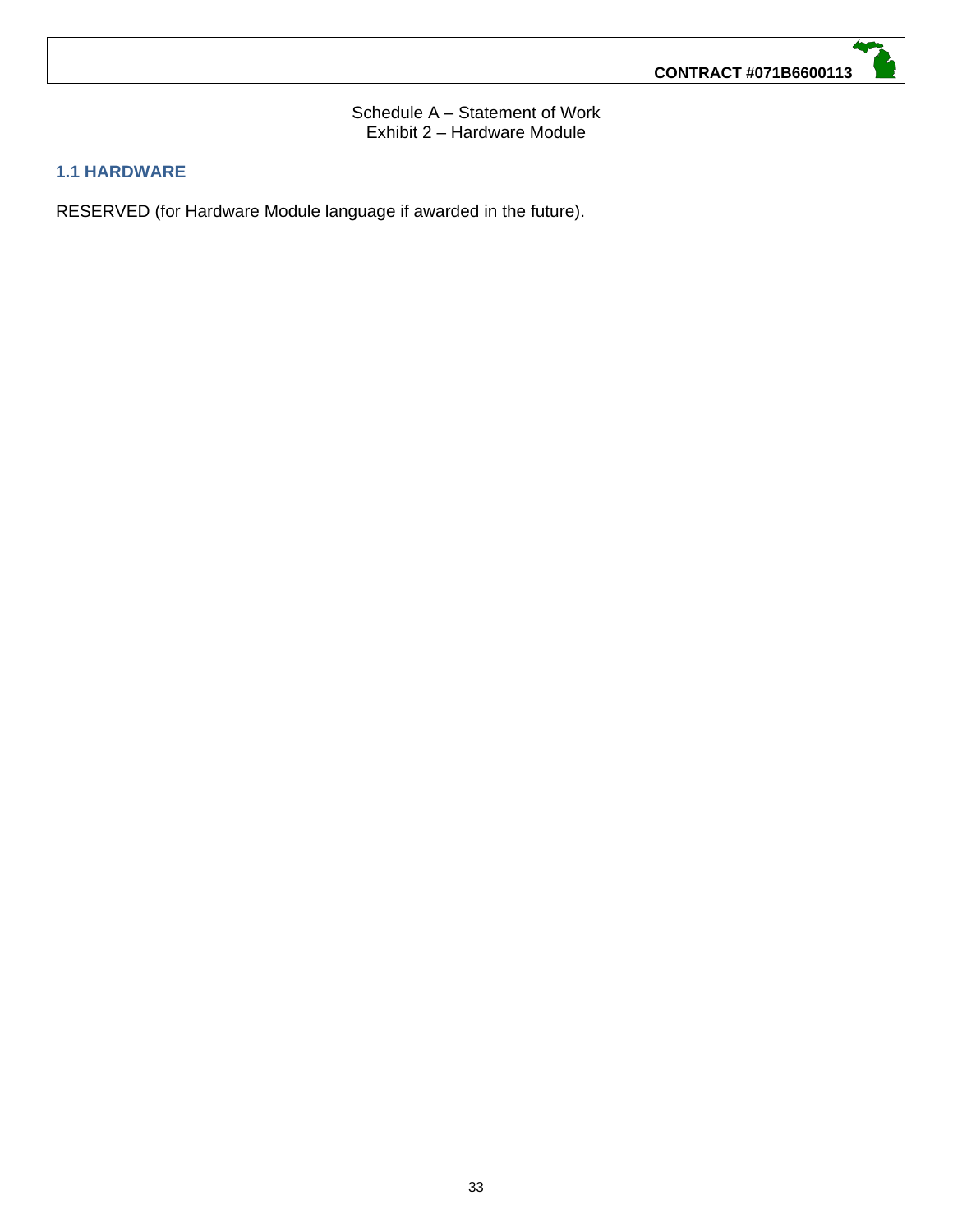Schedule A – Statement of Work Exhibit 2 – Hardware Module

#### **1.1 HARDWARE**

RESERVED (for Hardware Module language if awarded in the future).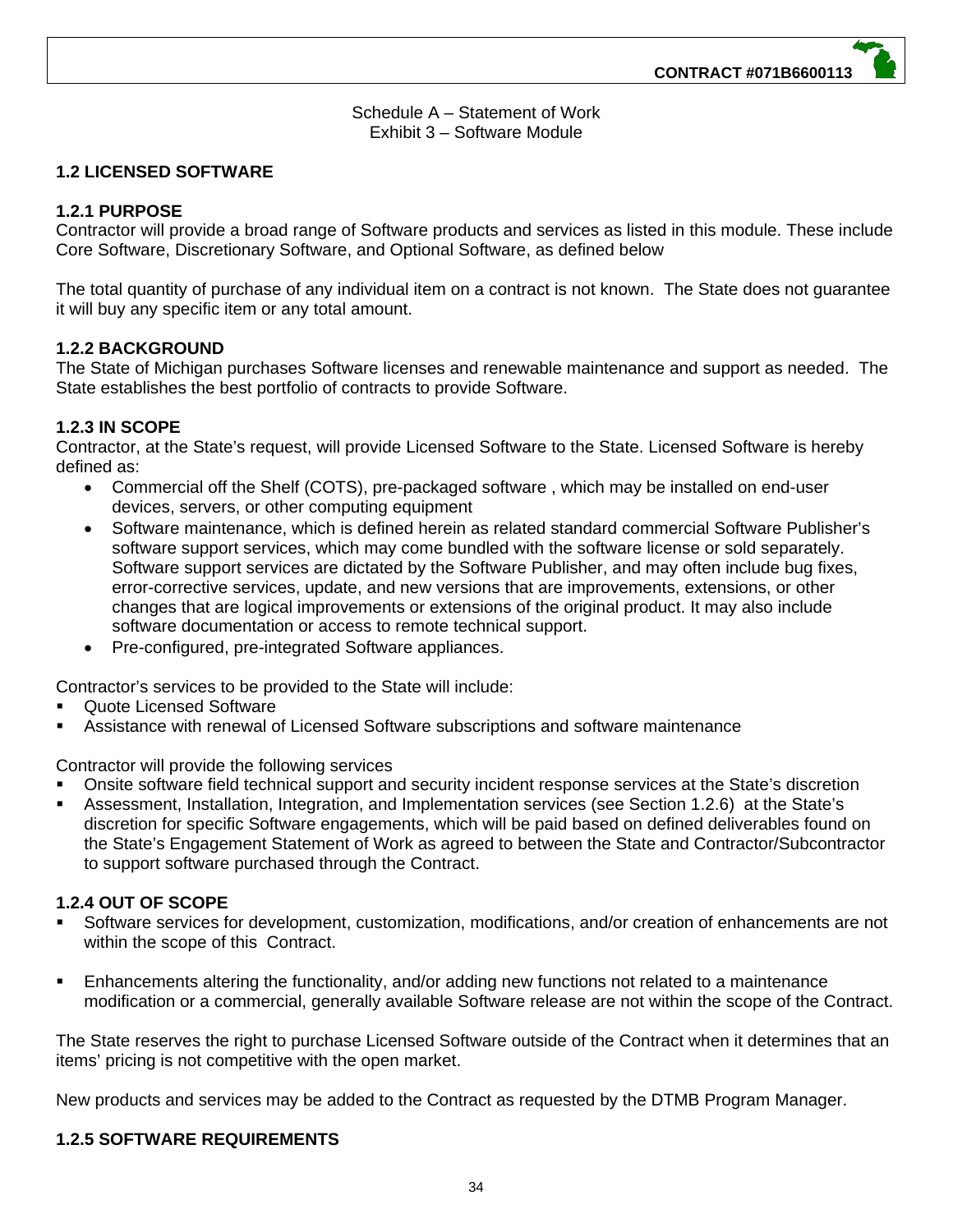Schedule A – Statement of Work Exhibit 3 – Software Module

#### **1.2 LICENSED SOFTWARE**

#### **1.2.1 PURPOSE**

Contractor will provide a broad range of Software products and services as listed in this module. These include Core Software, Discretionary Software, and Optional Software, as defined below

The total quantity of purchase of any individual item on a contract is not known. The State does not guarantee it will buy any specific item or any total amount.

#### **1.2.2 BACKGROUND**

The State of Michigan purchases Software licenses and renewable maintenance and support as needed. The State establishes the best portfolio of contracts to provide Software.

#### **1.2.3 IN SCOPE**

Contractor, at the State's request, will provide Licensed Software to the State. Licensed Software is hereby defined as:

- Commercial off the Shelf (COTS), pre-packaged software , which may be installed on end-user devices, servers, or other computing equipment
- Software maintenance, which is defined herein as related standard commercial Software Publisher's software support services, which may come bundled with the software license or sold separately. Software support services are dictated by the Software Publisher, and may often include bug fixes, error-corrective services, update, and new versions that are improvements, extensions, or other changes that are logical improvements or extensions of the original product. It may also include software documentation or access to remote technical support.
- Pre-configured, pre-integrated Software appliances.

Contractor's services to be provided to the State will include:

- Quote Licensed Software
- Assistance with renewal of Licensed Software subscriptions and software maintenance

Contractor will provide the following services

- Onsite software field technical support and security incident response services at the State's discretion
- Assessment, Installation, Integration, and Implementation services (see Section 1.2.6) at the State's discretion for specific Software engagements, which will be paid based on defined deliverables found on the State's Engagement Statement of Work as agreed to between the State and Contractor/Subcontractor to support software purchased through the Contract.

#### **1.2.4 OUT OF SCOPE**

- Software services for development, customization, modifications, and/or creation of enhancements are not within the scope of this Contract.
- Enhancements altering the functionality, and/or adding new functions not related to a maintenance modification or a commercial, generally available Software release are not within the scope of the Contract.

The State reserves the right to purchase Licensed Software outside of the Contract when it determines that an items' pricing is not competitive with the open market.

New products and services may be added to the Contract as requested by the DTMB Program Manager.

#### **1.2.5 SOFTWARE REQUIREMENTS**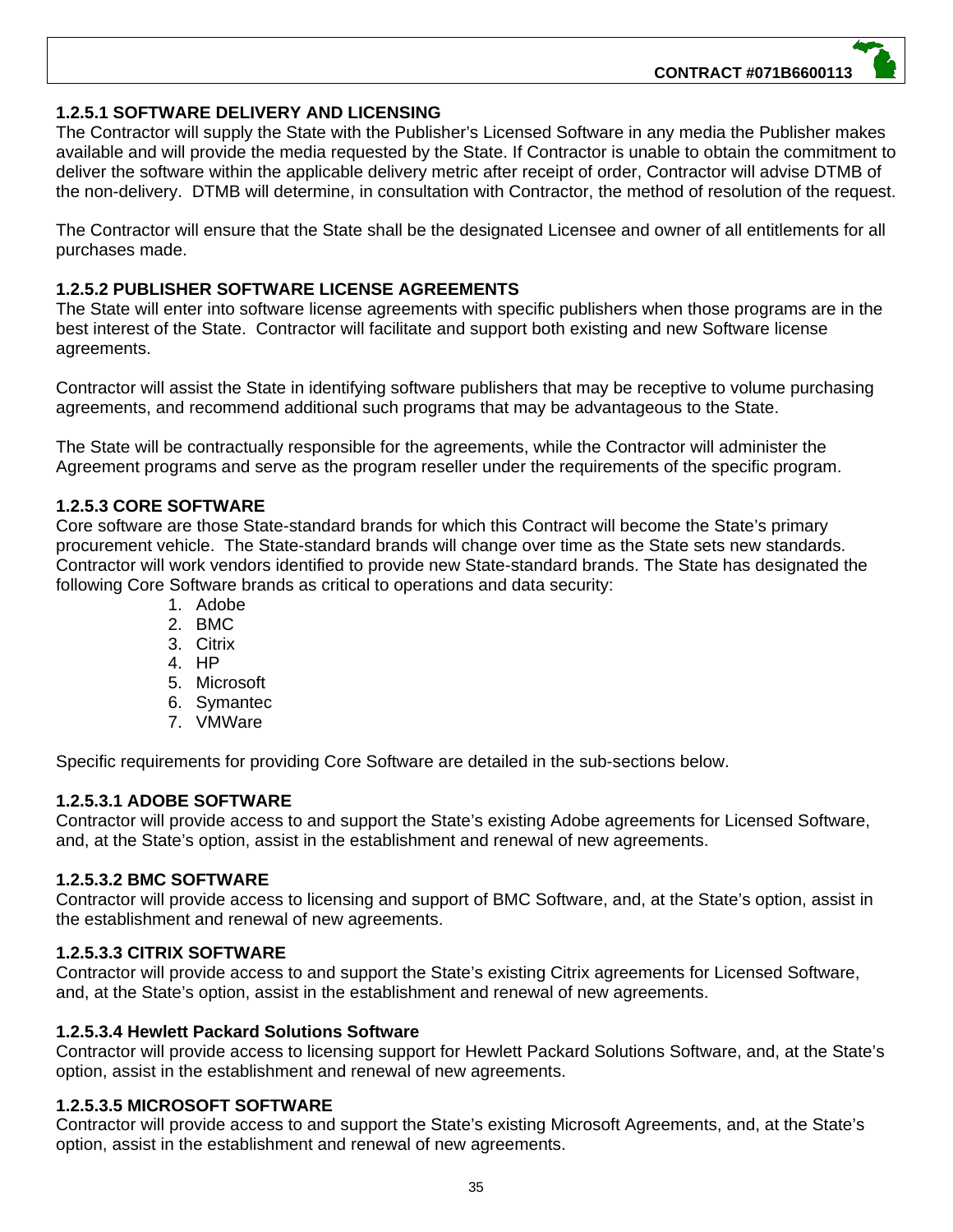#### **1.2.5.1 SOFTWARE DELIVERY AND LICENSING**

The Contractor will supply the State with the Publisher's Licensed Software in any media the Publisher makes available and will provide the media requested by the State. If Contractor is unable to obtain the commitment to deliver the software within the applicable delivery metric after receipt of order, Contractor will advise DTMB of the non-delivery. DTMB will determine, in consultation with Contractor, the method of resolution of the request.

The Contractor will ensure that the State shall be the designated Licensee and owner of all entitlements for all purchases made.

#### **1.2.5.2 PUBLISHER SOFTWARE LICENSE AGREEMENTS**

The State will enter into software license agreements with specific publishers when those programs are in the best interest of the State. Contractor will facilitate and support both existing and new Software license agreements.

Contractor will assist the State in identifying software publishers that may be receptive to volume purchasing agreements, and recommend additional such programs that may be advantageous to the State.

The State will be contractually responsible for the agreements, while the Contractor will administer the Agreement programs and serve as the program reseller under the requirements of the specific program.

#### **1.2.5.3 CORE SOFTWARE**

Core software are those State-standard brands for which this Contract will become the State's primary procurement vehicle. The State-standard brands will change over time as the State sets new standards. Contractor will work vendors identified to provide new State-standard brands. The State has designated the following Core Software brands as critical to operations and data security:

- 1. Adobe
- 2. BMC
- 3. Citrix
- 4. HP
- 5. Microsoft
- 6. Symantec
- 7. VMWare

Specific requirements for providing Core Software are detailed in the sub-sections below.

#### **1.2.5.3.1 ADOBE SOFTWARE**

Contractor will provide access to and support the State's existing Adobe agreements for Licensed Software, and, at the State's option, assist in the establishment and renewal of new agreements.

#### **1.2.5.3.2 BMC SOFTWARE**

Contractor will provide access to licensing and support of BMC Software, and, at the State's option, assist in the establishment and renewal of new agreements.

#### **1.2.5.3.3 CITRIX SOFTWARE**

Contractor will provide access to and support the State's existing Citrix agreements for Licensed Software, and, at the State's option, assist in the establishment and renewal of new agreements.

#### **1.2.5.3.4 Hewlett Packard Solutions Software**

Contractor will provide access to licensing support for Hewlett Packard Solutions Software, and, at the State's option, assist in the establishment and renewal of new agreements.

#### **1.2.5.3.5 MICROSOFT SOFTWARE**

Contractor will provide access to and support the State's existing Microsoft Agreements, and, at the State's option, assist in the establishment and renewal of new agreements.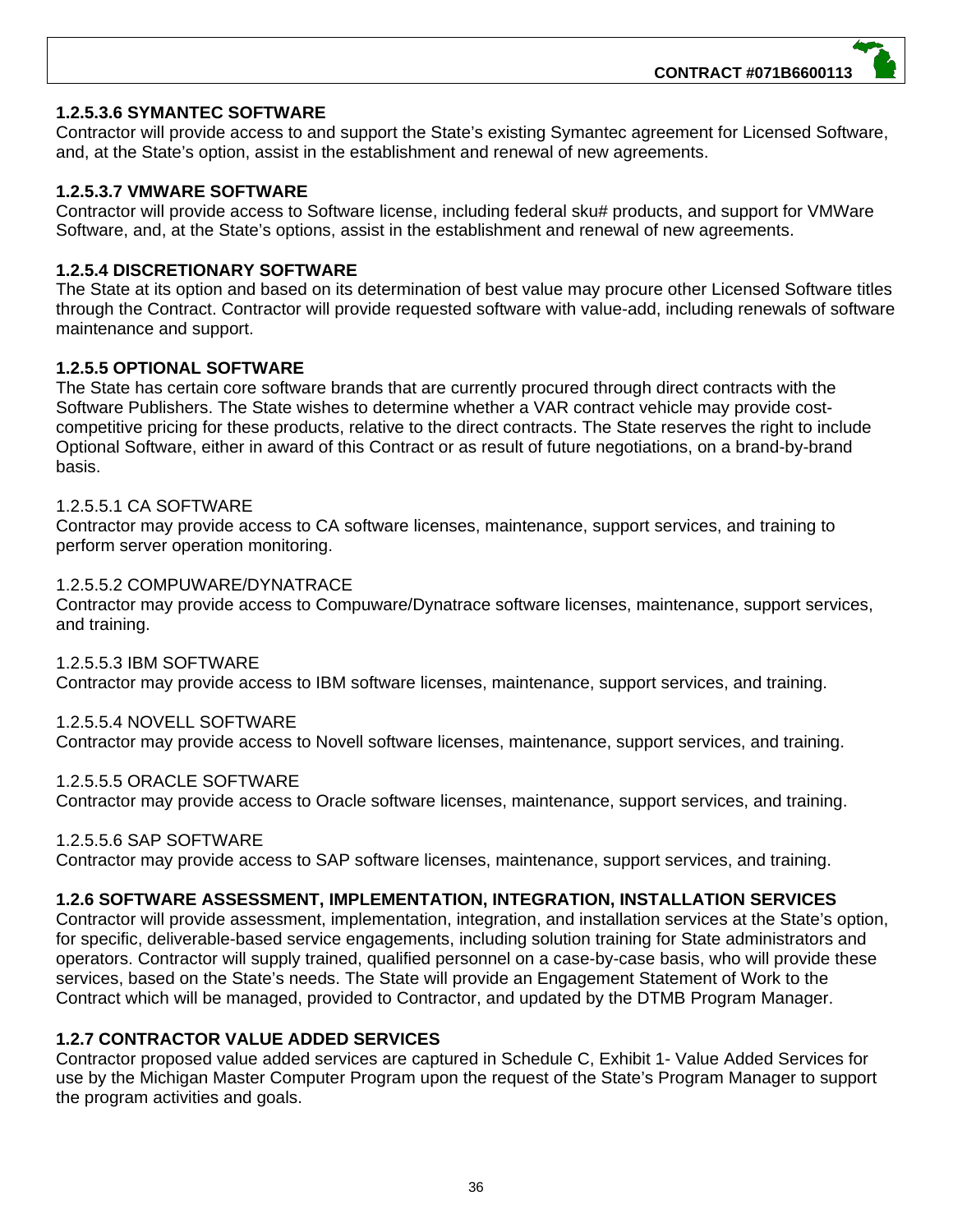#### **1.2.5.3.6 SYMANTEC SOFTWARE**

Contractor will provide access to and support the State's existing Symantec agreement for Licensed Software, and, at the State's option, assist in the establishment and renewal of new agreements.

#### **1.2.5.3.7 VMWARE SOFTWARE**

Contractor will provide access to Software license, including federal sku# products, and support for VMWare Software, and, at the State's options, assist in the establishment and renewal of new agreements.

#### **1.2.5.4 DISCRETIONARY SOFTWARE**

The State at its option and based on its determination of best value may procure other Licensed Software titles through the Contract. Contractor will provide requested software with value-add, including renewals of software maintenance and support.

#### **1.2.5.5 OPTIONAL SOFTWARE**

The State has certain core software brands that are currently procured through direct contracts with the Software Publishers. The State wishes to determine whether a VAR contract vehicle may provide costcompetitive pricing for these products, relative to the direct contracts. The State reserves the right to include Optional Software, either in award of this Contract or as result of future negotiations, on a brand-by-brand basis.

#### 1.2.5.5.1 CA SOFTWARE

Contractor may provide access to CA software licenses, maintenance, support services, and training to perform server operation monitoring.

#### 1.2.5.5.2 COMPUWARE/DYNATRACE

Contractor may provide access to Compuware/Dynatrace software licenses, maintenance, support services, and training.

1.2.5.5.3 IBM SOFTWARE Contractor may provide access to IBM software licenses, maintenance, support services, and training.

#### 1.2.5.5.4 NOVELL SOFTWARE

Contractor may provide access to Novell software licenses, maintenance, support services, and training.

#### 1.2.5.5.5 ORACLE SOFTWARE

Contractor may provide access to Oracle software licenses, maintenance, support services, and training.

#### 1.2.5.5.6 SAP SOFTWARE

Contractor may provide access to SAP software licenses, maintenance, support services, and training.

#### **1.2.6 SOFTWARE ASSESSMENT, IMPLEMENTATION, INTEGRATION, INSTALLATION SERVICES**

Contractor will provide assessment, implementation, integration, and installation services at the State's option, for specific, deliverable-based service engagements, including solution training for State administrators and operators. Contractor will supply trained, qualified personnel on a case-by-case basis, who will provide these services, based on the State's needs. The State will provide an Engagement Statement of Work to the Contract which will be managed, provided to Contractor, and updated by the DTMB Program Manager.

#### **1.2.7 CONTRACTOR VALUE ADDED SERVICES**

Contractor proposed value added services are captured in Schedule C, Exhibit 1- Value Added Services for use by the Michigan Master Computer Program upon the request of the State's Program Manager to support the program activities and goals.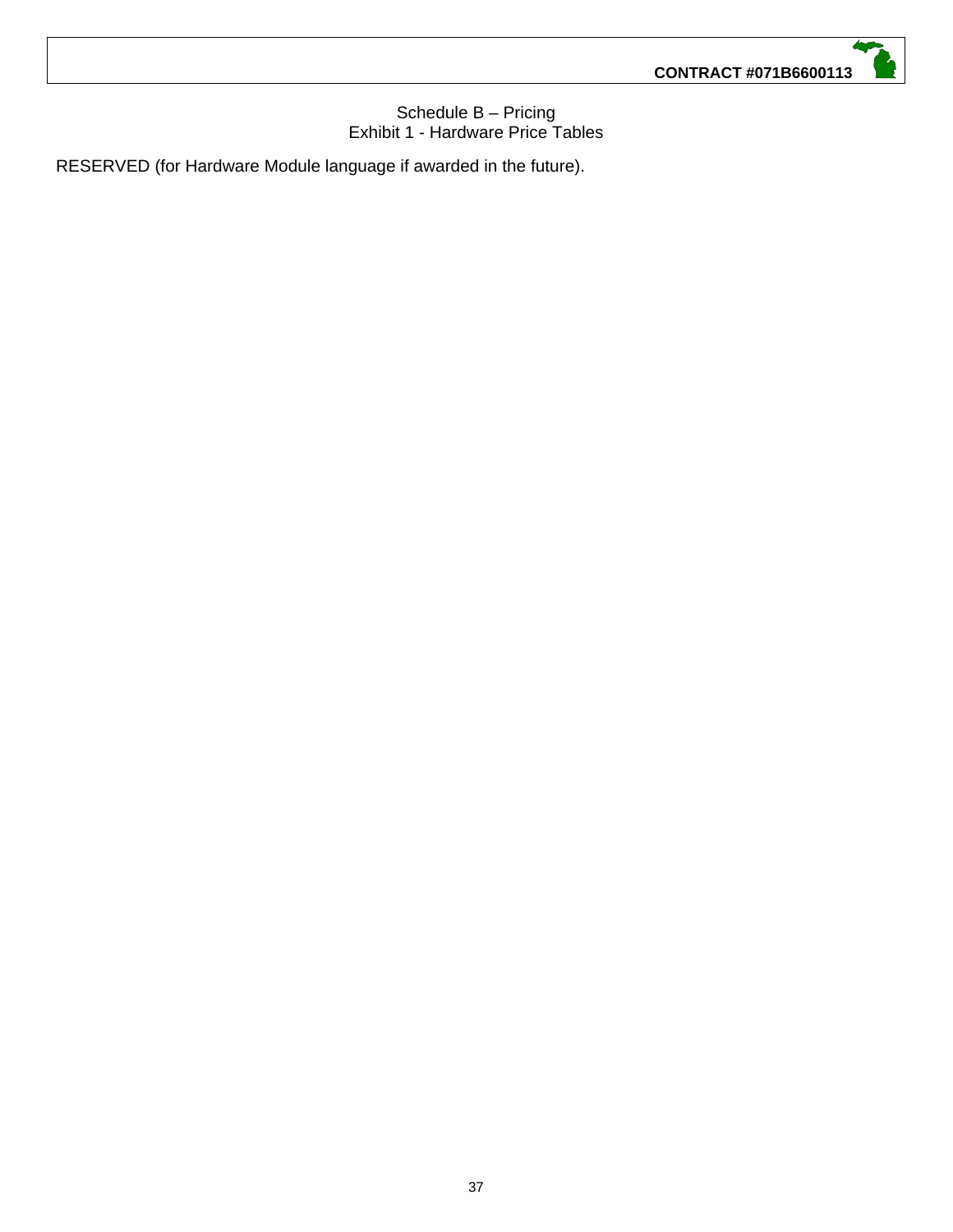#### Schedule B – Pricing Exhibit 1 - Hardware Price Tables

RESERVED (for Hardware Module language if awarded in the future).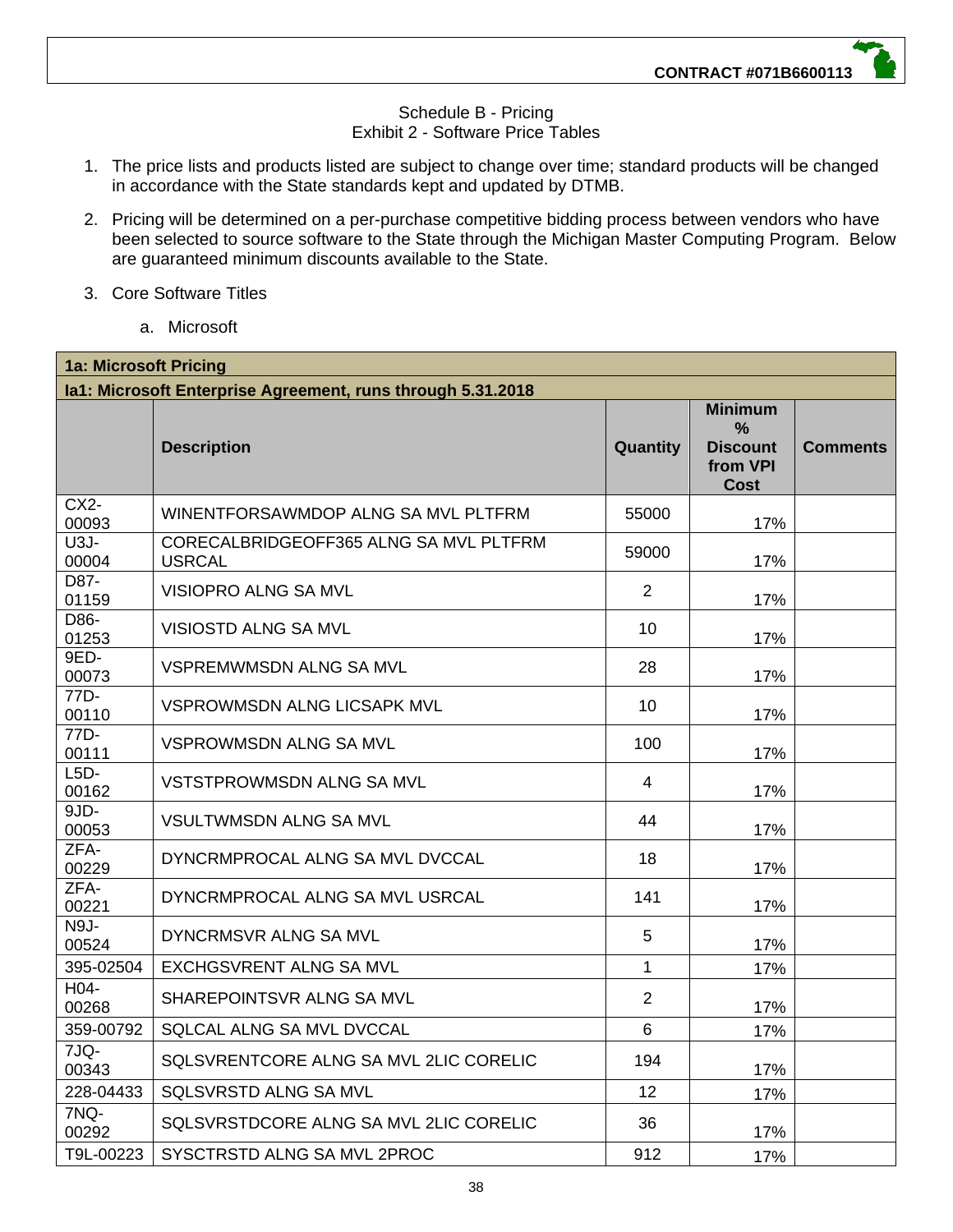#### Schedule B - Pricing Exhibit 2 - Software Price Tables

- 1. The price lists and products listed are subject to change over time; standard products will be changed in accordance with the State standards kept and updated by DTMB.
- 2. Pricing will be determined on a per-purchase competitive bidding process between vendors who have been selected to source software to the State through the Michigan Master Computing Program. Below are guaranteed minimum discounts available to the State.
- 3. Core Software Titles
	- a. Microsoft

| <b>1a: Microsoft Pricing</b>                                |                                                         |                |                                                                   |                 |  |  |
|-------------------------------------------------------------|---------------------------------------------------------|----------------|-------------------------------------------------------------------|-----------------|--|--|
| la1: Microsoft Enterprise Agreement, runs through 5.31.2018 |                                                         |                |                                                                   |                 |  |  |
|                                                             | <b>Description</b>                                      | Quantity       | <b>Minimum</b><br>%<br><b>Discount</b><br>from VPI<br><b>Cost</b> | <b>Comments</b> |  |  |
| $CX2-$<br>00093                                             | WINENTFORSAWMDOP ALNG SA MVL PLTFRM                     | 55000          | 17%                                                               |                 |  |  |
| $U3J -$<br>00004                                            | CORECALBRIDGEOFF365 ALNG SA MVL PLTFRM<br><b>USRCAL</b> | 59000          | 17%                                                               |                 |  |  |
| D87-<br>01159                                               | VISIOPRO ALNG SA MVL                                    | $\overline{2}$ | 17%                                                               |                 |  |  |
| D86-<br>01253                                               | VISIOSTD ALNG SA MVL                                    | 10             | 17%                                                               |                 |  |  |
| 9ED-<br>00073                                               | <b>VSPREMWMSDN ALNG SA MVL</b>                          | 28             | 17%                                                               |                 |  |  |
| 77D-<br>00110                                               | VSPROWMSDN ALNG LICSAPK MVL                             | 10             | 17%                                                               |                 |  |  |
| 77D-<br>00111                                               | VSPROWMSDN ALNG SA MVL                                  | 100            | 17%                                                               |                 |  |  |
| $L5D-$<br>00162                                             | VSTSTPROWMSDN ALNG SA MVL                               | 4              | 17%                                                               |                 |  |  |
| $9JD -$<br>00053                                            | <b>VSULTWMSDN ALNG SA MVL</b>                           | 44             | 17%                                                               |                 |  |  |
| ZFA-<br>00229                                               | DYNCRMPROCAL ALNG SA MVL DVCCAL                         | 18             | 17%                                                               |                 |  |  |
| ZFA-<br>00221                                               | DYNCRMPROCAL ALNG SA MVL USRCAL                         | 141            | 17%                                                               |                 |  |  |
| N9J-<br>00524                                               | DYNCRMSVR ALNG SA MVL                                   | 5              | 17%                                                               |                 |  |  |
| 395-02504                                                   | <b>EXCHGSVRENT ALNG SA MVL</b>                          | $\mathbf{1}$   | 17%                                                               |                 |  |  |
| H04-<br>00268                                               | SHAREPOINTSVR ALNG SA MVL                               | $\overline{2}$ | 17%                                                               |                 |  |  |
| 359-00792                                                   | SQLCAL ALNG SA MVL DVCCAL                               | 6              | 17%                                                               |                 |  |  |
| 7JQ-<br>00343                                               | SQLSVRENTCORE ALNG SA MVL 2LIC CORELIC                  | 194            | 17%                                                               |                 |  |  |
| 228-04433                                                   | <b>SQLSVRSTD ALNG SA MVL</b>                            | 12             | 17%                                                               |                 |  |  |
| 7NQ-<br>00292                                               | SQLSVRSTDCORE ALNG SA MVL 2LIC CORELIC                  | 36             | 17%                                                               |                 |  |  |
| T9L-00223                                                   | SYSCTRSTD ALNG SA MVL 2PROC                             | 912            | 17%                                                               |                 |  |  |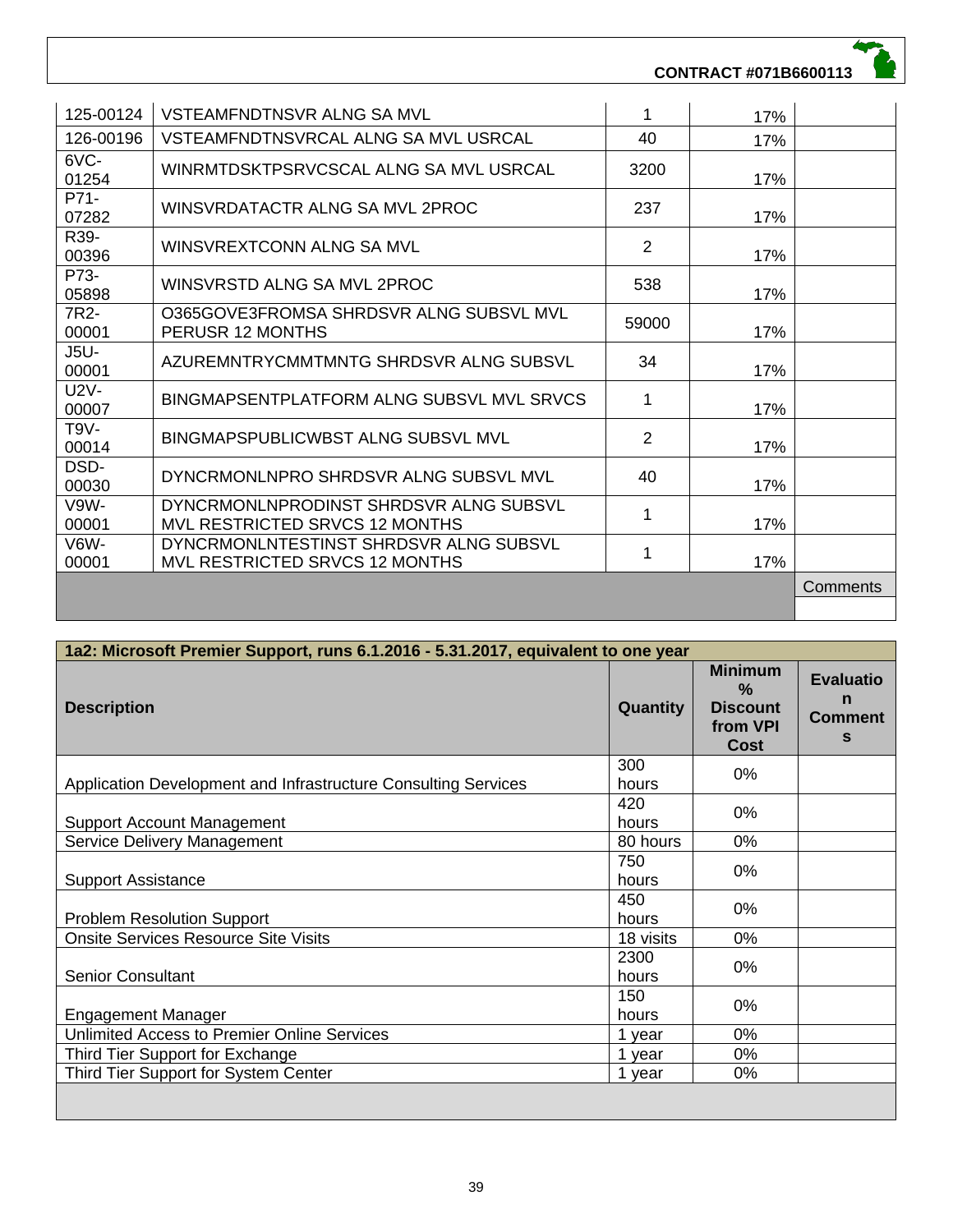### **CONTRACT #071B6600113**

| 125-00124            | VSTEAMFNDTNSVR ALNG SA MVL                                               | 1     | 17% |          |
|----------------------|--------------------------------------------------------------------------|-------|-----|----------|
| 126-00196            | VSTEAMFNDTNSVRCAL ALNG SA MVL USRCAL                                     | 40    | 17% |          |
| 6VC-<br>01254        | WINRMTDSKTPSRVCSCAL ALNG SA MVL USRCAL                                   | 3200  | 17% |          |
| P71-<br>07282        | WINSVRDATACTR ALNG SA MVL 2PROC                                          | 237   | 17% |          |
| R39-<br>00396        | WINSVREXTCONN ALNG SA MVL                                                | 2     | 17% |          |
| P73-<br>05898        | WINSVRSTD ALNG SA MVL 2PROC                                              | 538   | 17% |          |
| 7R2-<br>00001        | O365GOVE3FROMSA SHRDSVR ALNG SUBSVL MVL<br>PERUSR 12 MONTHS              | 59000 | 17% |          |
| <b>J5U-</b><br>00001 | AZUREMNTRYCMMTMNTG SHRDSVR ALNG SUBSVL                                   | 34    | 17% |          |
| <b>U2V-</b><br>00007 | BINGMAPSENTPLATFORM ALNG SUBSVL MVL SRVCS                                | 1     | 17% |          |
| $T9V-$<br>00014      | <b>BINGMAPSPUBLICWBST ALNG SUBSVL MVL</b>                                | 2     | 17% |          |
| DSD-<br>00030        | DYNCRMONLNPRO SHRDSVR ALNG SUBSVL MVL                                    | 40    | 17% |          |
| V9W-<br>00001        | DYNCRMONLNPRODINST SHRDSVR ALNG SUBSVL<br>MVL RESTRICTED SRVCS 12 MONTHS | 1     | 17% |          |
| V6W-<br>00001        | DYNCRMONLNTESTINST SHRDSVR ALNG SUBSVL<br>MVL RESTRICTED SRVCS 12 MONTHS | 1     | 17% |          |
|                      |                                                                          |       |     | Comments |
|                      |                                                                          |       |     |          |

| 1a2: Microsoft Premier Support, runs 6.1.2016 - 5.31.2017, equivalent to one year |                 |                                                                               |                                              |  |
|-----------------------------------------------------------------------------------|-----------------|-------------------------------------------------------------------------------|----------------------------------------------|--|
| <b>Description</b>                                                                | <b>Quantity</b> | <b>Minimum</b><br>$\frac{9}{6}$<br><b>Discount</b><br>from VPI<br><b>Cost</b> | <b>Evaluatio</b><br>n<br><b>Comment</b><br>S |  |
| Application Development and Infrastructure Consulting Services                    | 300<br>hours    | 0%                                                                            |                                              |  |
| <b>Support Account Management</b>                                                 | 420<br>hours    | 0%                                                                            |                                              |  |
| Service Delivery Management                                                       | 80 hours        | 0%                                                                            |                                              |  |
| <b>Support Assistance</b>                                                         | 750<br>hours    | 0%                                                                            |                                              |  |
| <b>Problem Resolution Support</b>                                                 | 450<br>hours    | 0%                                                                            |                                              |  |
| <b>Onsite Services Resource Site Visits</b>                                       | 18 visits       | 0%                                                                            |                                              |  |
| <b>Senior Consultant</b>                                                          | 2300<br>hours   | 0%                                                                            |                                              |  |
| <b>Engagement Manager</b>                                                         | 150<br>hours    | 0%                                                                            |                                              |  |
| Unlimited Access to Premier Online Services                                       | 1 year          | 0%                                                                            |                                              |  |
| Third Tier Support for Exchange                                                   | 1 year          | 0%                                                                            |                                              |  |
| Third Tier Support for System Center                                              | 1 year          | 0%                                                                            |                                              |  |
|                                                                                   |                 |                                                                               |                                              |  |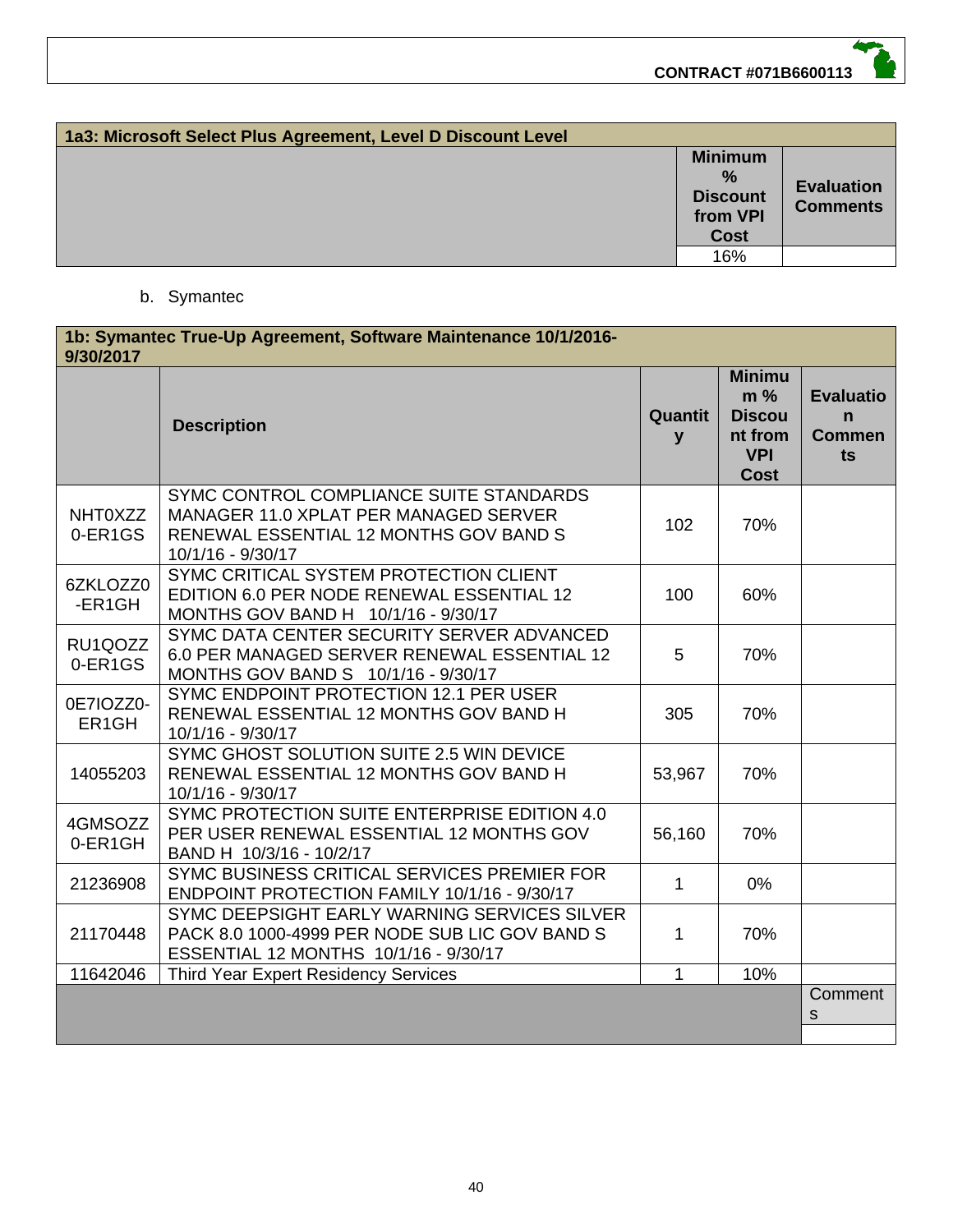| 1a3: Microsoft Select Plus Agreement, Level D Discount Level |                                                                               |                                      |  |  |
|--------------------------------------------------------------|-------------------------------------------------------------------------------|--------------------------------------|--|--|
|                                                              | <b>Minimum</b><br>$\frac{9}{6}$<br><b>Discount</b><br>from VPI<br><b>Cost</b> | <b>Evaluation</b><br><b>Comments</b> |  |  |
|                                                              | 16%                                                                           |                                      |  |  |

#### b. Symantec

| 1b: Symantec True-Up Agreement, Software Maintenance 10/1/2016-<br>9/30/2017 |                                                                                                                                                 |              |                                                                                 |                                                        |
|------------------------------------------------------------------------------|-------------------------------------------------------------------------------------------------------------------------------------------------|--------------|---------------------------------------------------------------------------------|--------------------------------------------------------|
|                                                                              | <b>Description</b>                                                                                                                              | Quantit<br>y | <b>Minimu</b><br>$m\%$<br><b>Discou</b><br>nt from<br><b>VPI</b><br><b>Cost</b> | <b>Evaluatio</b><br>$\mathbf n$<br><b>Commen</b><br>ts |
| <b>NHT0XZZ</b><br>0-ER1GS                                                    | SYMC CONTROL COMPLIANCE SUITE STANDARDS<br>MANAGER 11.0 XPLAT PER MANAGED SERVER<br>RENEWAL ESSENTIAL 12 MONTHS GOV BAND S<br>10/1/16 - 9/30/17 | 102          | 70%                                                                             |                                                        |
| 6ZKLOZZ0<br>-ER1GH                                                           | SYMC CRITICAL SYSTEM PROTECTION CLIENT<br>EDITION 6.0 PER NODE RENEWAL ESSENTIAL 12<br>MONTHS GOV BAND H 10/1/16 - 9/30/17                      | 100          | 60%                                                                             |                                                        |
| RU1QOZZ<br>0-ER1GS                                                           | SYMC DATA CENTER SECURITY SERVER ADVANCED<br>6.0 PER MANAGED SERVER RENEWAL ESSENTIAL 12<br>MONTHS GOV BAND S 10/1/16 - 9/30/17                 | 5            | 70%                                                                             |                                                        |
| 0E7IOZZ0-<br>ER <sub>1</sub> GH                                              | SYMC ENDPOINT PROTECTION 12.1 PER USER<br>RENEWAL ESSENTIAL 12 MONTHS GOV BAND H<br>10/1/16 - 9/30/17                                           | 305          | 70%                                                                             |                                                        |
| 14055203                                                                     | SYMC GHOST SOLUTION SUITE 2.5 WIN DEVICE<br>RENEWAL ESSENTIAL 12 MONTHS GOV BAND H<br>10/1/16 - 9/30/17                                         | 53,967       | 70%                                                                             |                                                        |
| 4GMSOZZ<br>0-ER1GH                                                           | SYMC PROTECTION SUITE ENTERPRISE EDITION 4.0<br>PER USER RENEWAL ESSENTIAL 12 MONTHS GOV<br>BAND H 10/3/16 - 10/2/17                            | 56,160       | 70%                                                                             |                                                        |
| 21236908                                                                     | SYMC BUSINESS CRITICAL SERVICES PREMIER FOR<br>ENDPOINT PROTECTION FAMILY 10/1/16 - 9/30/17                                                     | $\mathbf{1}$ | 0%                                                                              |                                                        |
| 21170448                                                                     | SYMC DEEPSIGHT EARLY WARNING SERVICES SILVER<br>PACK 8.0 1000-4999 PER NODE SUB LIC GOV BAND S<br>ESSENTIAL 12 MONTHS 10/1/16 - 9/30/17         | 1            | 70%                                                                             |                                                        |
| 11642046                                                                     | <b>Third Year Expert Residency Services</b>                                                                                                     | $\mathbf{1}$ | 10%                                                                             |                                                        |
|                                                                              |                                                                                                                                                 |              |                                                                                 | Comment<br>$\mathsf S$                                 |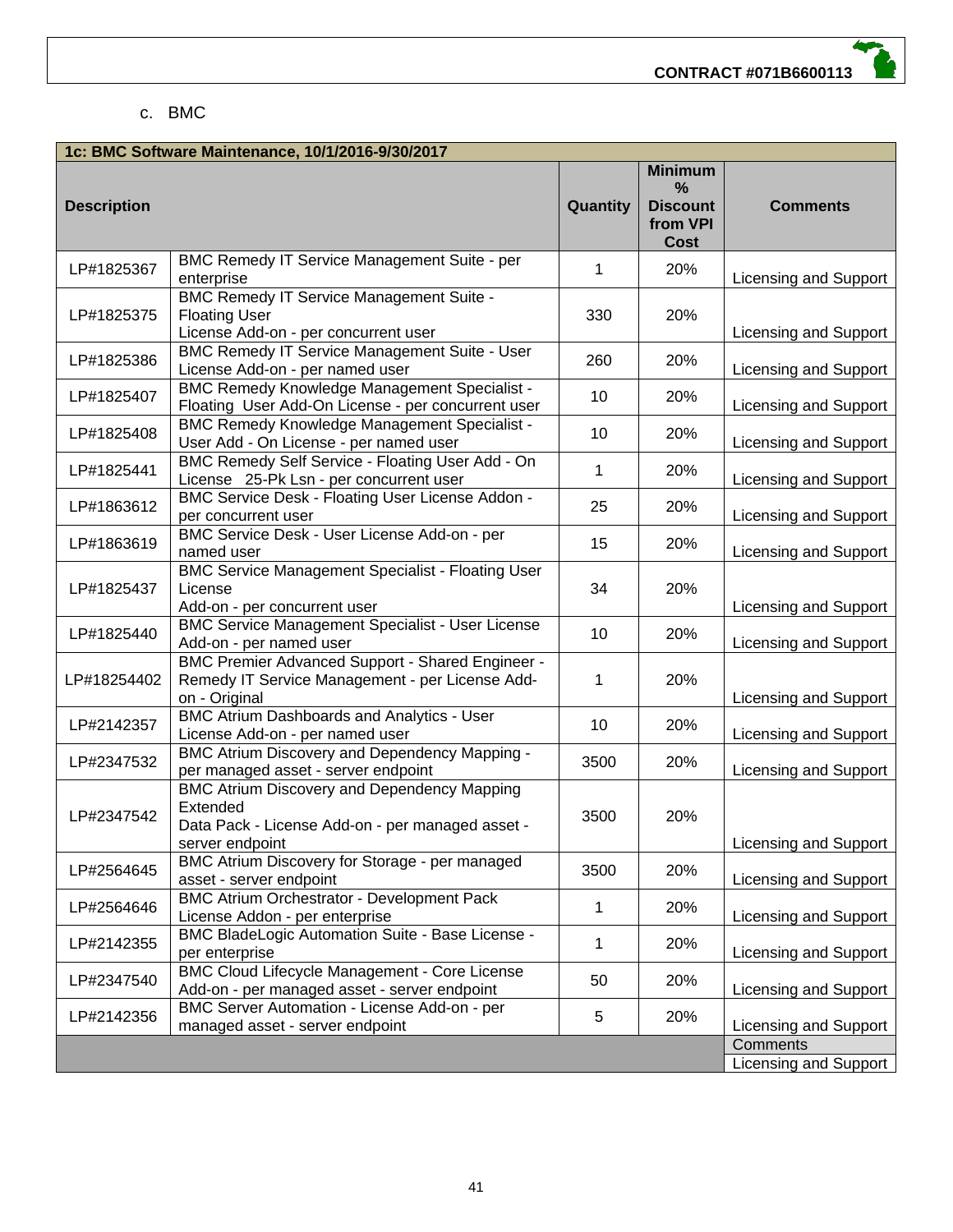#### c. BMC

| 1c: BMC Software Maintenance, 10/1/2016-9/30/2017 |                                                                                                                                       |          |                                                                   |                                   |  |
|---------------------------------------------------|---------------------------------------------------------------------------------------------------------------------------------------|----------|-------------------------------------------------------------------|-----------------------------------|--|
| <b>Description</b>                                |                                                                                                                                       | Quantity | <b>Minimum</b><br>%<br><b>Discount</b><br>from VPI<br><b>Cost</b> | <b>Comments</b>                   |  |
| LP#1825367                                        | BMC Remedy IT Service Management Suite - per<br>enterprise                                                                            | 1        | 20%                                                               | Licensing and Support             |  |
| LP#1825375                                        | <b>BMC Remedy IT Service Management Suite -</b><br><b>Floating User</b><br>License Add-on - per concurrent user                       | 330      | 20%                                                               | Licensing and Support             |  |
| LP#1825386                                        | <b>BMC Remedy IT Service Management Suite - User</b><br>License Add-on - per named user                                               | 260      | 20%                                                               | Licensing and Support             |  |
| LP#1825407                                        | <b>BMC Remedy Knowledge Management Specialist -</b><br>Floating User Add-On License - per concurrent user                             | 10       | 20%                                                               | Licensing and Support             |  |
| LP#1825408                                        | <b>BMC Remedy Knowledge Management Specialist -</b><br>User Add - On License - per named user                                         | 10       | 20%                                                               | Licensing and Support             |  |
| LP#1825441                                        | BMC Remedy Self Service - Floating User Add - On<br>License 25-Pk Lsn - per concurrent user                                           | 1        | 20%                                                               | Licensing and Support             |  |
| LP#1863612                                        | BMC Service Desk - Floating User License Addon -<br>per concurrent user                                                               | 25       | 20%                                                               | Licensing and Support             |  |
| LP#1863619                                        | BMC Service Desk - User License Add-on - per<br>named user                                                                            | 15       | 20%                                                               | Licensing and Support             |  |
| LP#1825437                                        | <b>BMC Service Management Specialist - Floating User</b><br>License<br>Add-on - per concurrent user                                   | 34       | 20%                                                               | Licensing and Support             |  |
| LP#1825440                                        | <b>BMC Service Management Specialist - User License</b><br>Add-on - per named user                                                    | 10       | 20%                                                               | Licensing and Support             |  |
| LP#18254402                                       | <b>BMC Premier Advanced Support - Shared Engineer -</b><br>Remedy IT Service Management - per License Add-<br>on - Original           | 1        | 20%                                                               | Licensing and Support             |  |
| LP#2142357                                        | <b>BMC Atrium Dashboards and Analytics - User</b><br>License Add-on - per named user                                                  | 10       | 20%                                                               | Licensing and Support             |  |
| LP#2347532                                        | <b>BMC Atrium Discovery and Dependency Mapping -</b><br>per managed asset - server endpoint                                           | 3500     | 20%                                                               | Licensing and Support             |  |
| LP#2347542                                        | <b>BMC Atrium Discovery and Dependency Mapping</b><br>Extended<br>Data Pack - License Add-on - per managed asset -<br>server endpoint | 3500     | 20%                                                               | Licensing and Support             |  |
| LP#2564645                                        | BMC Atrium Discovery for Storage - per managed<br>asset - server endpoint                                                             | 3500     | 20%                                                               | Licensing and Support             |  |
| LP#2564646                                        | <b>BMC Atrium Orchestrator - Development Pack</b><br>License Addon - per enterprise                                                   | 1        | 20%                                                               | Licensing and Support             |  |
| LP#2142355                                        | <b>BMC BladeLogic Automation Suite - Base License -</b><br>per enterprise                                                             | 1        | 20%                                                               | Licensing and Support             |  |
| LP#2347540                                        | <b>BMC Cloud Lifecycle Management - Core License</b><br>Add-on - per managed asset - server endpoint                                  | 50       | 20%                                                               | Licensing and Support             |  |
| LP#2142356                                        | BMC Server Automation - License Add-on - per<br>managed asset - server endpoint                                                       | 5        | 20%                                                               | Licensing and Support             |  |
|                                                   |                                                                                                                                       |          |                                                                   | Comments<br>Licensing and Support |  |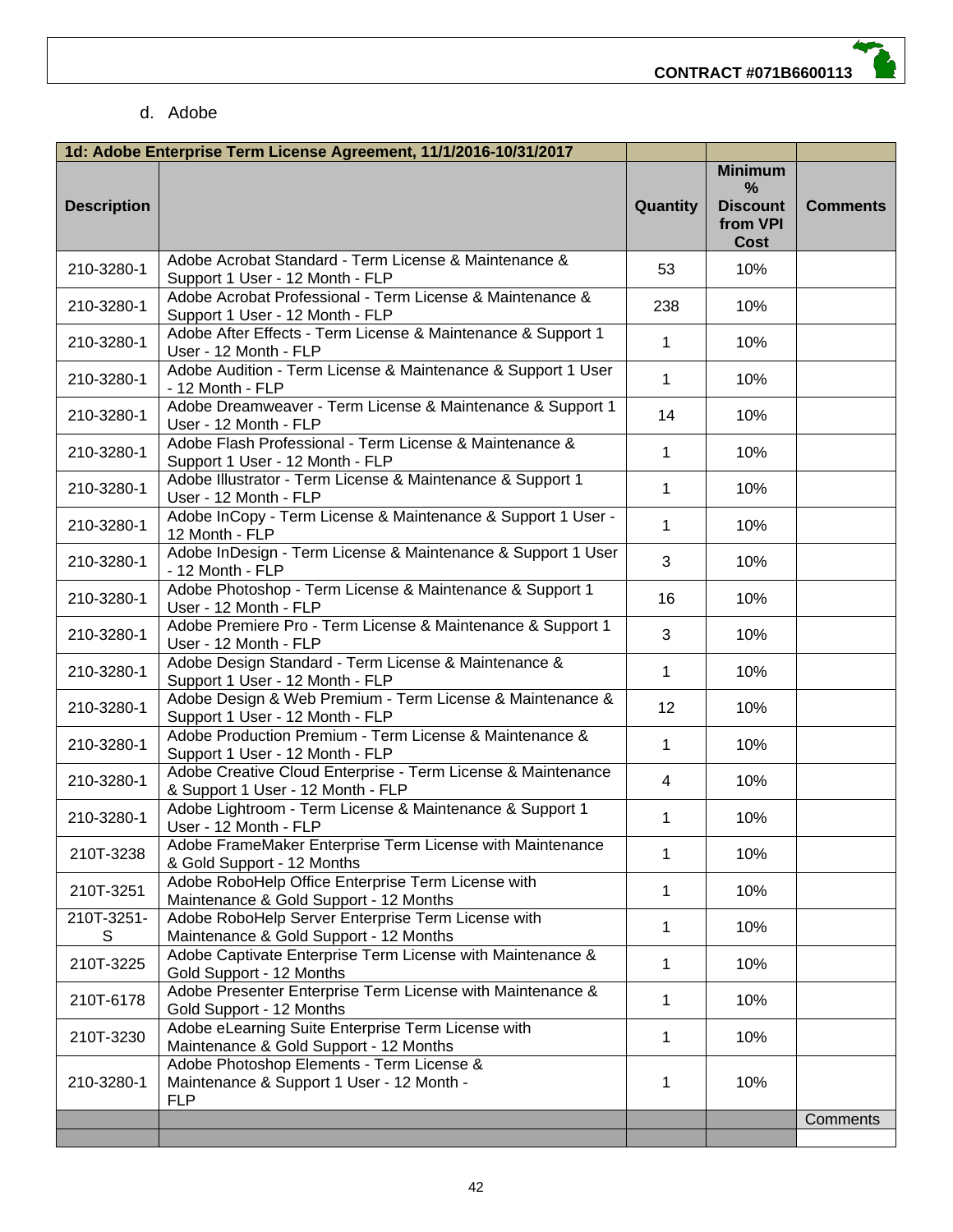#### d. Adobe

|                    | 1d: Adobe Enterprise Term License Agreement, 11/1/2016-10/31/2017                                    |                |                                                                        |                 |
|--------------------|------------------------------------------------------------------------------------------------------|----------------|------------------------------------------------------------------------|-----------------|
| <b>Description</b> |                                                                                                      | Quantity       | <b>Minimum</b><br>$\frac{0}{0}$<br><b>Discount</b><br>from VPI<br>Cost | <b>Comments</b> |
| 210-3280-1         | Adobe Acrobat Standard - Term License & Maintenance &<br>Support 1 User - 12 Month - FLP             | 53             | 10%                                                                    |                 |
| 210-3280-1         | Adobe Acrobat Professional - Term License & Maintenance &<br>Support 1 User - 12 Month - FLP         | 238            | 10%                                                                    |                 |
| 210-3280-1         | Adobe After Effects - Term License & Maintenance & Support 1<br>User - 12 Month - FLP                | $\mathbf{1}$   | 10%                                                                    |                 |
| 210-3280-1         | Adobe Audition - Term License & Maintenance & Support 1 User<br>- 12 Month - FLP                     | $\mathbf 1$    | 10%                                                                    |                 |
| 210-3280-1         | Adobe Dreamweaver - Term License & Maintenance & Support 1<br>User - 12 Month - FLP                  | 14             | 10%                                                                    |                 |
| 210-3280-1         | Adobe Flash Professional - Term License & Maintenance &<br>Support 1 User - 12 Month - FLP           | 1              | 10%                                                                    |                 |
| 210-3280-1         | Adobe Illustrator - Term License & Maintenance & Support 1<br>User - 12 Month - FLP                  | 1              | 10%                                                                    |                 |
| 210-3280-1         | Adobe InCopy - Term License & Maintenance & Support 1 User -<br>12 Month - FLP                       | 1              | 10%                                                                    |                 |
| 210-3280-1         | Adobe InDesign - Term License & Maintenance & Support 1 User<br>- 12 Month - FLP                     | 3              | 10%                                                                    |                 |
| 210-3280-1         | Adobe Photoshop - Term License & Maintenance & Support 1<br>User - 12 Month - FLP                    | 16             | 10%                                                                    |                 |
| 210-3280-1         | Adobe Premiere Pro - Term License & Maintenance & Support 1<br>User - 12 Month - FLP                 | 3              | 10%                                                                    |                 |
| 210-3280-1         | Adobe Design Standard - Term License & Maintenance &<br>Support 1 User - 12 Month - FLP              | $\mathbf{1}$   | 10%                                                                    |                 |
| 210-3280-1         | Adobe Design & Web Premium - Term License & Maintenance &<br>Support 1 User - 12 Month - FLP         | 12             | 10%                                                                    |                 |
| 210-3280-1         | Adobe Production Premium - Term License & Maintenance &<br>Support 1 User - 12 Month - FLP           | 1              | 10%                                                                    |                 |
| 210-3280-1         | Adobe Creative Cloud Enterprise - Term License & Maintenance<br>& Support 1 User - 12 Month - FLP    | $\overline{4}$ | 10%                                                                    |                 |
| 210-3280-1         | Adobe Lightroom - Term License & Maintenance & Support 1<br>User - 12 Month - FLP                    | 1              | 10%                                                                    |                 |
| 210T-3238          | Adobe FrameMaker Enterprise Term License with Maintenance<br>& Gold Support - 12 Months              | 1              | 10%                                                                    |                 |
| 210T-3251          | Adobe RoboHelp Office Enterprise Term License with<br>Maintenance & Gold Support - 12 Months         | 1              | 10%                                                                    |                 |
| 210T-3251-<br>S    | Adobe RoboHelp Server Enterprise Term License with<br>Maintenance & Gold Support - 12 Months         | 1              | 10%                                                                    |                 |
| 210T-3225          | Adobe Captivate Enterprise Term License with Maintenance &<br>Gold Support - 12 Months               | 1              | 10%                                                                    |                 |
| 210T-6178          | Adobe Presenter Enterprise Term License with Maintenance &<br>Gold Support - 12 Months               | 1              | 10%                                                                    |                 |
| 210T-3230          | Adobe eLearning Suite Enterprise Term License with<br>Maintenance & Gold Support - 12 Months         | 1              | 10%                                                                    |                 |
| 210-3280-1         | Adobe Photoshop Elements - Term License &<br>Maintenance & Support 1 User - 12 Month -<br><b>FLP</b> | 1              | 10%                                                                    |                 |
|                    |                                                                                                      |                |                                                                        | Comments        |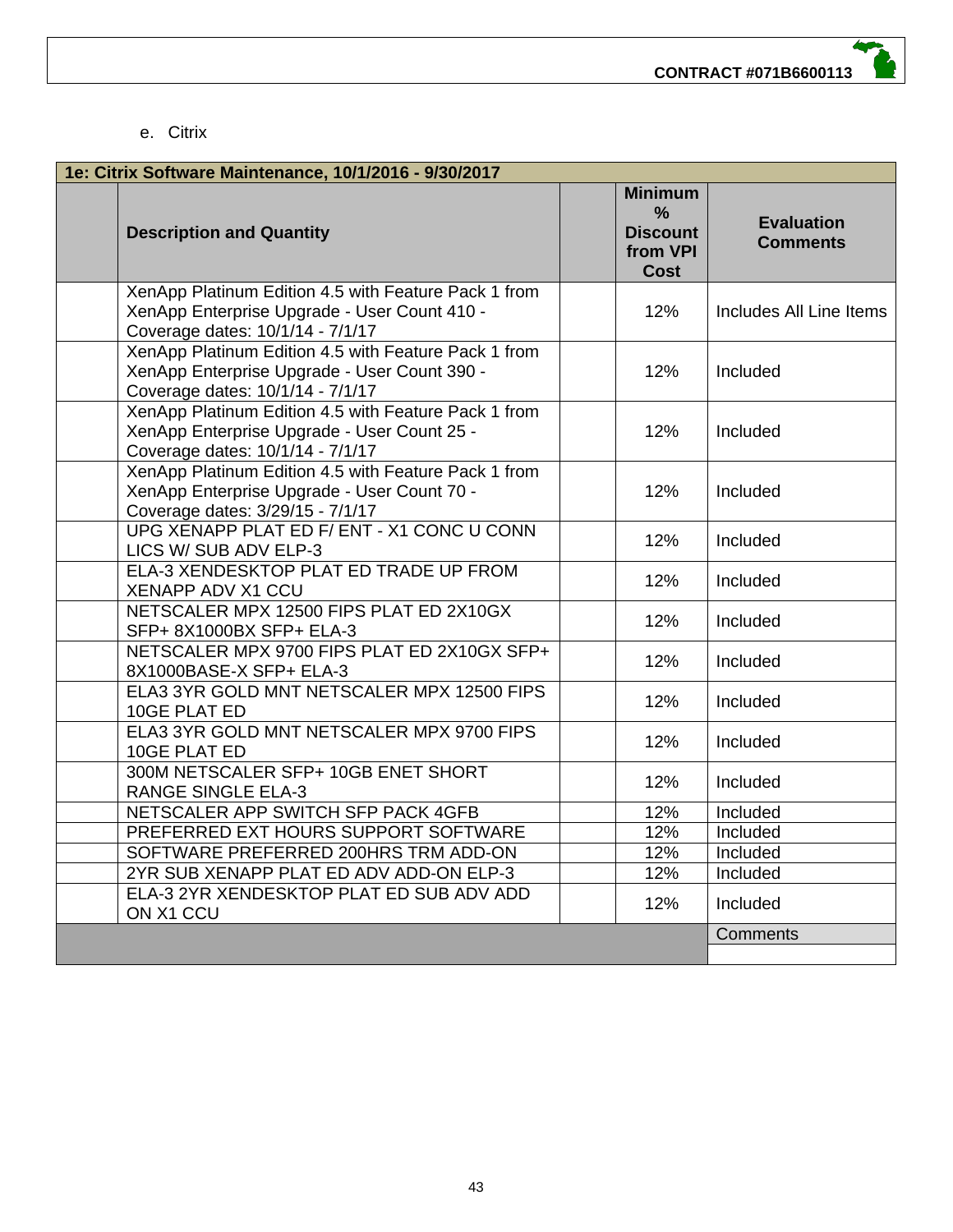#### e. Citrix

| 1e: Citrix Software Maintenance, 10/1/2016 - 9/30/2017 |                                                                                                                                          |  |                                                                               |                                      |
|--------------------------------------------------------|------------------------------------------------------------------------------------------------------------------------------------------|--|-------------------------------------------------------------------------------|--------------------------------------|
|                                                        | <b>Description and Quantity</b>                                                                                                          |  | <b>Minimum</b><br>$\frac{9}{6}$<br><b>Discount</b><br>from VPI<br><b>Cost</b> | <b>Evaluation</b><br><b>Comments</b> |
|                                                        | XenApp Platinum Edition 4.5 with Feature Pack 1 from<br>XenApp Enterprise Upgrade - User Count 410 -<br>Coverage dates: 10/1/14 - 7/1/17 |  | 12%                                                                           | Includes All Line Items              |
|                                                        | XenApp Platinum Edition 4.5 with Feature Pack 1 from<br>XenApp Enterprise Upgrade - User Count 390 -<br>Coverage dates: 10/1/14 - 7/1/17 |  | 12%                                                                           | Included                             |
|                                                        | XenApp Platinum Edition 4.5 with Feature Pack 1 from<br>XenApp Enterprise Upgrade - User Count 25 -<br>Coverage dates: 10/1/14 - 7/1/17  |  | 12%                                                                           | Included                             |
|                                                        | XenApp Platinum Edition 4.5 with Feature Pack 1 from<br>XenApp Enterprise Upgrade - User Count 70 -<br>Coverage dates: 3/29/15 - 7/1/17  |  | 12%                                                                           | Included                             |
|                                                        | UPG XENAPP PLAT ED F/ ENT - X1 CONC U CONN<br>LICS W/ SUB ADV ELP-3                                                                      |  | 12%                                                                           | Included                             |
|                                                        | ELA-3 XENDESKTOP PLAT ED TRADE UP FROM<br><b>XENAPP ADV X1 CCU</b>                                                                       |  | 12%                                                                           | Included                             |
|                                                        | NETSCALER MPX 12500 FIPS PLAT ED 2X10GX<br>SFP+ 8X1000BX SFP+ ELA-3                                                                      |  | 12%                                                                           | Included                             |
|                                                        | NETSCALER MPX 9700 FIPS PLAT ED 2X10GX SFP+<br>8X1000BASE-X SFP+ ELA-3                                                                   |  | 12%                                                                           | Included                             |
|                                                        | ELA3 3YR GOLD MNT NETSCALER MPX 12500 FIPS<br>10GE PLAT ED                                                                               |  | 12%                                                                           | Included                             |
|                                                        | ELA3 3YR GOLD MNT NETSCALER MPX 9700 FIPS<br>10GE PLAT ED                                                                                |  | 12%                                                                           | Included                             |
|                                                        | 300M NETSCALER SFP+ 10GB ENET SHORT<br><b>RANGE SINGLE ELA-3</b>                                                                         |  | 12%                                                                           | Included                             |
|                                                        | NETSCALER APP SWITCH SFP PACK 4GFB                                                                                                       |  | 12%                                                                           | Included                             |
|                                                        | PREFERRED EXT HOURS SUPPORT SOFTWARE                                                                                                     |  | 12%                                                                           | Included                             |
|                                                        | SOFTWARE PREFERRED 200HRS TRM ADD-ON                                                                                                     |  | 12%                                                                           | Included                             |
|                                                        | 2YR SUB XENAPP PLAT ED ADV ADD-ON ELP-3                                                                                                  |  | 12%                                                                           | Included                             |
|                                                        | ELA-3 2YR XENDESKTOP PLAT ED SUB ADV ADD<br>ON X1 CCU                                                                                    |  | 12%                                                                           | Included                             |
|                                                        |                                                                                                                                          |  |                                                                               | Comments                             |
|                                                        |                                                                                                                                          |  |                                                                               |                                      |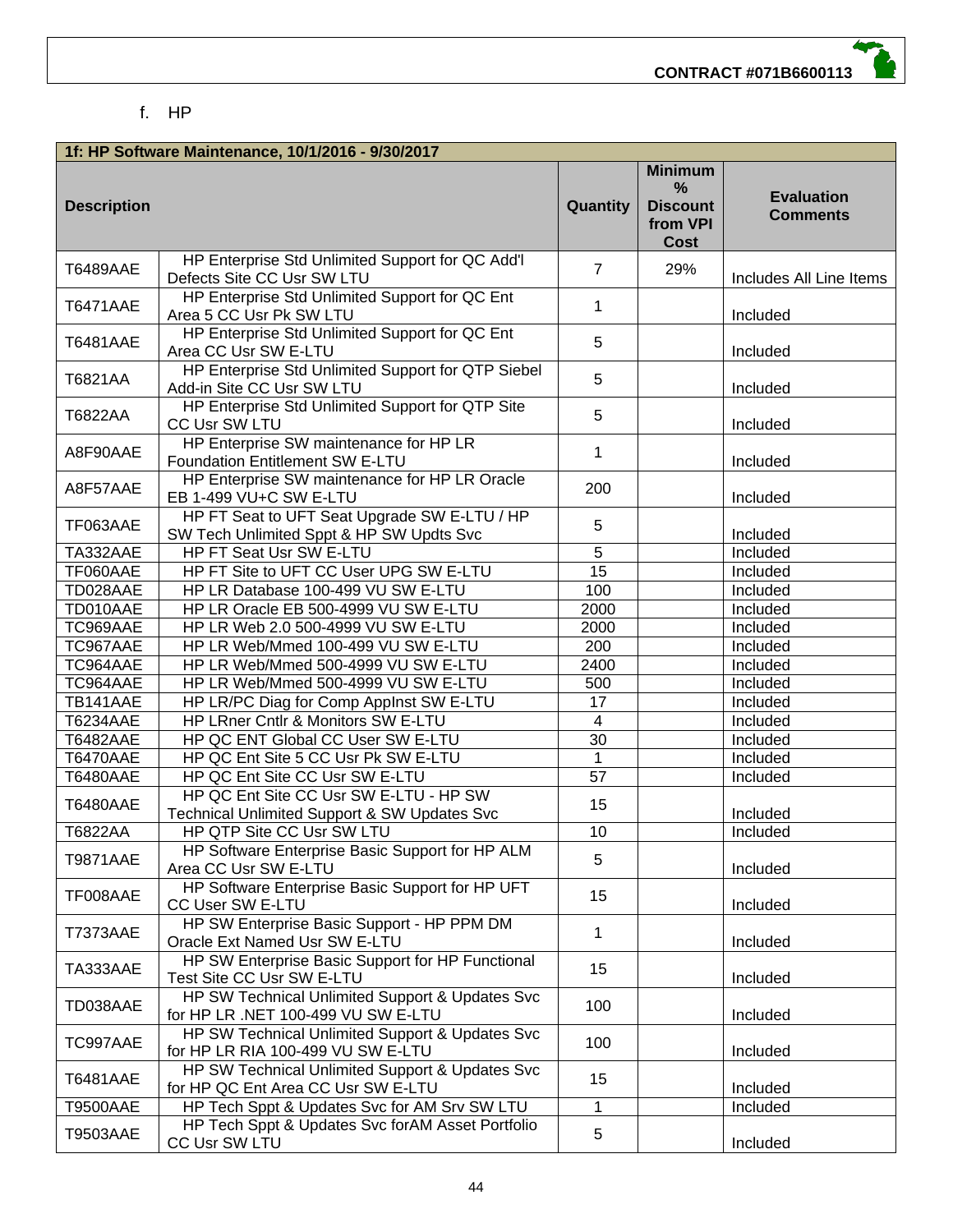#### f. HP

|                    | 1f: HP Software Maintenance, 10/1/2016 - 9/30/2017                                       |                |                                                                   |                                      |
|--------------------|------------------------------------------------------------------------------------------|----------------|-------------------------------------------------------------------|--------------------------------------|
| <b>Description</b> |                                                                                          | Quantity       | <b>Minimum</b><br>%<br><b>Discount</b><br>from VPI<br><b>Cost</b> | <b>Evaluation</b><br><b>Comments</b> |
| <b>T6489AAE</b>    | HP Enterprise Std Unlimited Support for QC Add'l<br>Defects Site CC Usr SW LTU           | $\overline{7}$ | 29%                                                               | Includes All Line Items              |
| T6471AAE           | HP Enterprise Std Unlimited Support for QC Ent<br>Area 5 CC Usr Pk SW LTU                | 1              |                                                                   | Included                             |
| <b>T6481AAE</b>    | HP Enterprise Std Unlimited Support for QC Ent<br>Area CC Usr SW E-LTU                   | 5              |                                                                   | Included                             |
| T6821AA            | HP Enterprise Std Unlimited Support for QTP Siebel<br>Add-in Site CC Usr SW LTU          | 5              |                                                                   | Included                             |
| T6822AA            | HP Enterprise Std Unlimited Support for QTP Site<br>CC Usr SW LTU                        | 5              |                                                                   | Included                             |
| A8F90AAE           | HP Enterprise SW maintenance for HP LR<br>Foundation Entitlement SW E-LTU                | 1              |                                                                   | Included                             |
| A8F57AAE           | HP Enterprise SW maintenance for HP LR Oracle<br>EB 1-499 VU+C SW E-LTU                  | 200            |                                                                   | Included                             |
| TF063AAE           | HP FT Seat to UFT Seat Upgrade SW E-LTU / HP<br>SW Tech Unlimited Sppt & HP SW Updts Svc | 5              |                                                                   | Included                             |
| TA332AAE           | HP FT Seat Usr SW E-LTU                                                                  | $\overline{5}$ |                                                                   | Included                             |
| TF060AAE           | HP FT Site to UFT CC User UPG SW E-LTU                                                   | 15             |                                                                   | Included                             |
| TD028AAE           | HP LR Database 100-499 VU SW E-LTU                                                       | 100            |                                                                   | Included                             |
| TD010AAE           | HP LR Oracle EB 500-4999 VU SW E-LTU                                                     | 2000           |                                                                   | Included                             |
| TC969AAE           | HP LR Web 2.0 500-4999 VU SW E-LTU                                                       | 2000           |                                                                   | Included                             |
| TC967AAE           | HP LR Web/Mmed 100-499 VU SW E-LTU                                                       | 200            |                                                                   | Included                             |
| TC964AAE           | HP LR Web/Mmed 500-4999 VU SW E-LTU                                                      | 2400           |                                                                   | Included                             |
| TC964AAE           | HP LR Web/Mmed 500-4999 VU SW E-LTU                                                      | 500            |                                                                   | Included                             |
| TB141AAE           | HP LR/PC Diag for Comp Applnst SW E-LTU                                                  | 17             |                                                                   | Included                             |
| <b>T6234AAE</b>    | HP LRner Cntlr & Monitors SW E-LTU                                                       | $\overline{4}$ |                                                                   | Included                             |
| <b>T6482AAE</b>    | HP QC ENT Global CC User SW E-LTU                                                        | 30             |                                                                   | Included                             |
| <b>T6470AAE</b>    | HP QC Ent Site 5 CC Usr Pk SW E-LTU                                                      | $\mathbf 1$    |                                                                   | Included                             |
| <b>T6480AAE</b>    | HP QC Ent Site CC Usr SW E-LTU                                                           | 57             |                                                                   | Included                             |
|                    | HP QC Ent Site CC Usr SW E-LTU - HP SW                                                   |                |                                                                   |                                      |
| <b>T6480AAE</b>    | Technical Unlimited Support & SW Updates Svc                                             | 15             |                                                                   | Included                             |
| T6822AA            | HP QTP Site CC Usr SW LTU                                                                | 10             |                                                                   | Included                             |
|                    | HP Software Enterprise Basic Support for HP ALM                                          |                |                                                                   |                                      |
| <b>T9871AAE</b>    | Area CC Usr SW E-LTU                                                                     | 5              |                                                                   | Included                             |
| TF008AAE           | HP Software Enterprise Basic Support for HP UFT<br>CC User SW E-LTU                      | 15             |                                                                   | Included                             |
| <b>T7373AAE</b>    | HP SW Enterprise Basic Support - HP PPM DM<br>Oracle Ext Named Usr SW E-LTU              | 1              |                                                                   | Included                             |
| TA333AAE           | HP SW Enterprise Basic Support for HP Functional<br>Test Site CC Usr SW E-LTU            | 15             |                                                                   | Included                             |
| TD038AAE           | HP SW Technical Unlimited Support & Updates Svc<br>for HP LR .NET 100-499 VU SW E-LTU    | 100            |                                                                   | Included                             |
| TC997AAE           | HP SW Technical Unlimited Support & Updates Svc<br>for HP LR RIA 100-499 VU SW E-LTU     | 100            |                                                                   | Included                             |
| <b>T6481AAE</b>    | HP SW Technical Unlimited Support & Updates Svc<br>for HP QC Ent Area CC Usr SW E-LTU    | 15             |                                                                   | Included                             |
| <b>T9500AAE</b>    | HP Tech Sppt & Updates Svc for AM Srv SW LTU                                             | $\mathbf{1}$   |                                                                   | Included                             |
| T9503AAE           | HP Tech Sppt & Updates Svc for AM Asset Portfolio<br>CC Usr SW LTU                       | 5              |                                                                   | Included                             |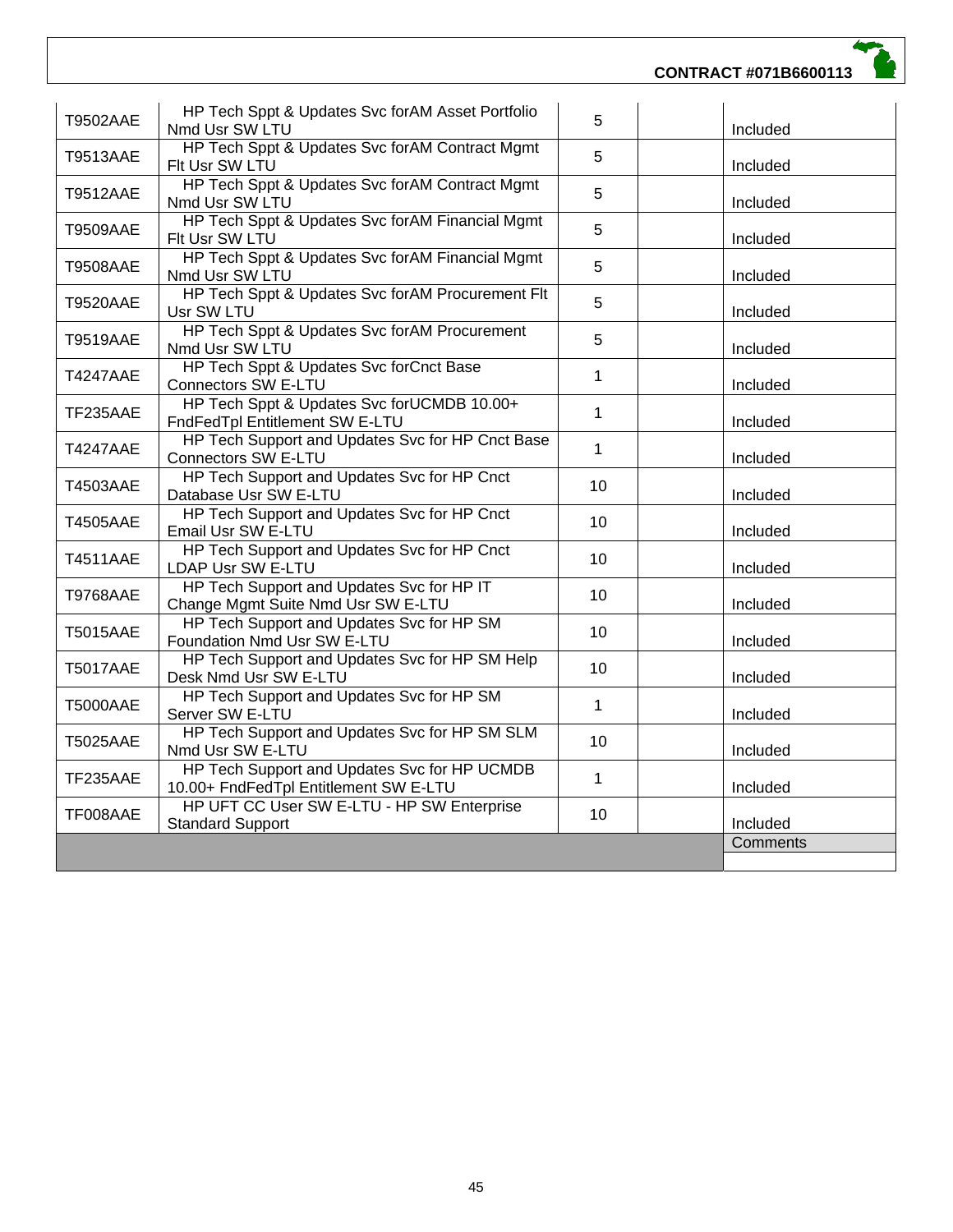#### **CONTRACT #071B6600113**

| <b>T9502AAE</b> | HP Tech Sppt & Updates Svc forAM Asset Portfolio<br>Nmd Usr SW LTU                    | 5               | Included |
|-----------------|---------------------------------------------------------------------------------------|-----------------|----------|
| <b>T9513AAE</b> | HP Tech Sppt & Updates Svc forAM Contract Mgmt<br>Flt Usr SW LTU                      | 5               | Included |
| <b>T9512AAE</b> | HP Tech Sppt & Updates Svc for AM Contract Mgmt<br>Nmd Usr SW LTU                     | 5               | Included |
| <b>T9509AAE</b> | HP Tech Sppt & Updates Svc forAM Financial Mgmt<br>Flt Usr SW LTU                     | 5               | Included |
| <b>T9508AAE</b> | HP Tech Sppt & Updates Svc forAM Financial Mgmt<br>Nmd Usr SW LTU                     | 5               | Included |
| <b>T9520AAE</b> | HP Tech Sppt & Updates Svc for AM Procurement Flt<br>Usr SW LTU                       | 5               | Included |
| <b>T9519AAE</b> | HP Tech Sppt & Updates Svc for AM Procurement<br>Nmd Usr SW LTU                       | 5               | Included |
| <b>T4247AAE</b> | HP Tech Sppt & Updates Svc forCnct Base<br><b>Connectors SW E-LTU</b>                 | $\mathbf{1}$    | Included |
| TF235AAE        | HP Tech Sppt & Updates Svc for UCMDB 10.00+<br>FndFedTpl Entitlement SW E-LTU         | $\mathbf{1}$    | Included |
| <b>T4247AAE</b> | HP Tech Support and Updates Svc for HP Cnct Base<br><b>Connectors SW E-LTU</b>        | $\mathbf{1}$    | Included |
| <b>T4503AAE</b> | HP Tech Support and Updates Svc for HP Cnct<br>Database Usr SW E-LTU                  | 10              | Included |
| <b>T4505AAE</b> | HP Tech Support and Updates Svc for HP Cnct<br>Email Usr SW E-LTU                     | 10              | Included |
| <b>T4511AAE</b> | HP Tech Support and Updates Svc for HP Cnct<br>LDAP Usr SW E-LTU                      | 10              | Included |
| <b>T9768AAE</b> | HP Tech Support and Updates Svc for HP IT<br>Change Mgmt Suite Nmd Usr SW E-LTU       | 10 <sup>1</sup> | Included |
| <b>T5015AAE</b> | HP Tech Support and Updates Svc for HP SM<br>Foundation Nmd Usr SW E-LTU              | 10              | Included |
| <b>T5017AAE</b> | HP Tech Support and Updates Svc for HP SM Help<br>Desk Nmd Usr SW E-LTU               | 10              | Included |
| <b>T5000AAE</b> | HP Tech Support and Updates Svc for HP SM<br>Server SW E-LTU                          | $\mathbf 1$     | Included |
| <b>T5025AAE</b> | HP Tech Support and Updates Svc for HP SM SLM<br>Nmd Usr SW E-LTU                     | 10              | Included |
| TF235AAE        | HP Tech Support and Updates Svc for HP UCMDB<br>10.00+ FndFedTpl Entitlement SW E-LTU | $\mathbf{1}$    | Included |
| TF008AAE        | HP UFT CC User SW E-LTU - HP SW Enterprise<br><b>Standard Support</b>                 | 10              | Included |
|                 |                                                                                       |                 | Comments |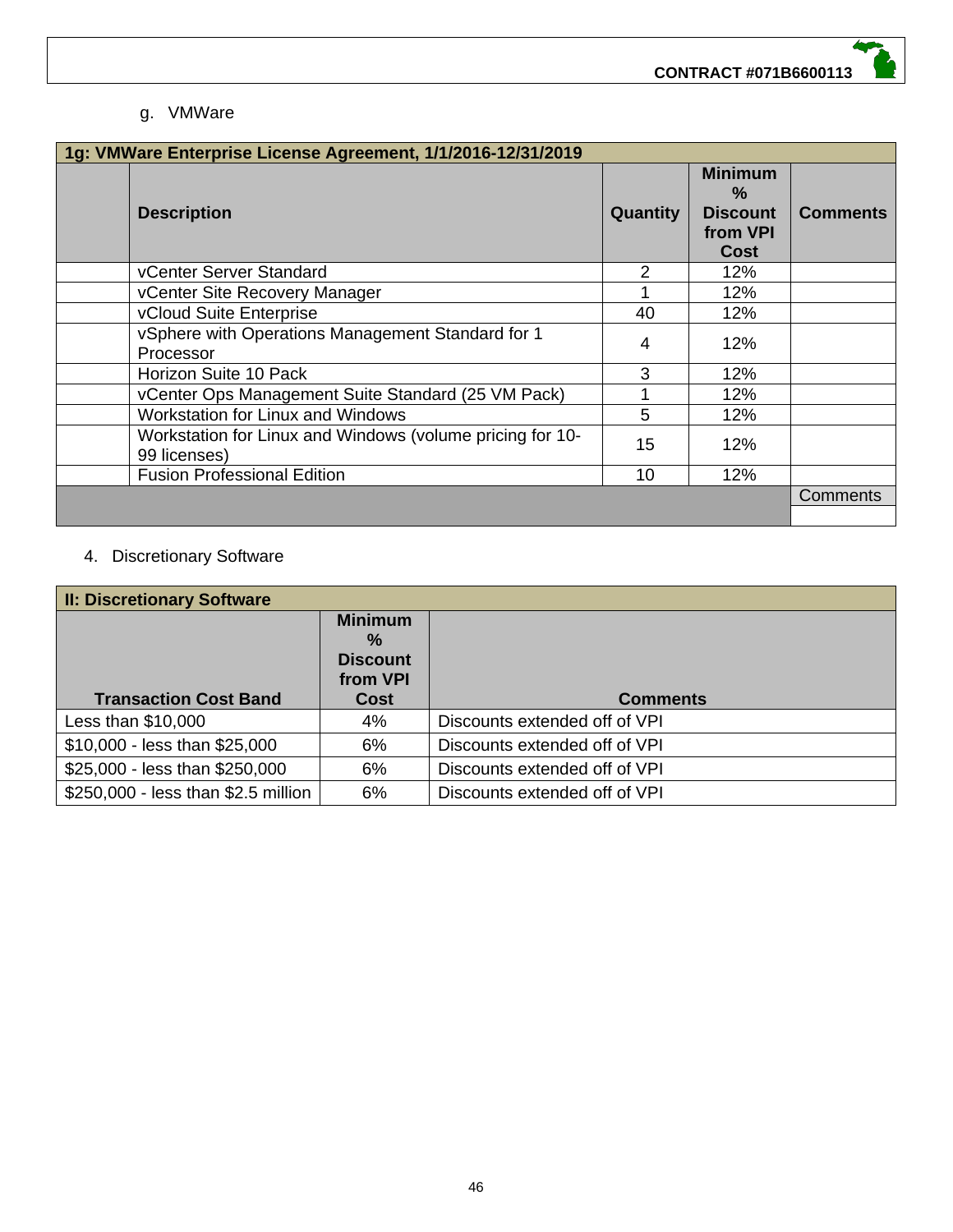#### g. VMWare

| 1g: VMWare Enterprise License Agreement, 1/1/2016-12/31/2019 |                                                                           |                 |                                                                               |                 |
|--------------------------------------------------------------|---------------------------------------------------------------------------|-----------------|-------------------------------------------------------------------------------|-----------------|
|                                                              | <b>Description</b>                                                        | <b>Quantity</b> | <b>Minimum</b><br>$\frac{0}{2}$<br><b>Discount</b><br>from VPI<br><b>Cost</b> | <b>Comments</b> |
|                                                              | vCenter Server Standard                                                   | 2               | 12%                                                                           |                 |
|                                                              | vCenter Site Recovery Manager                                             |                 | 12%                                                                           |                 |
|                                                              | vCloud Suite Enterprise                                                   | 40              | 12%                                                                           |                 |
|                                                              | vSphere with Operations Management Standard for 1<br>Processor            | 4               | 12%                                                                           |                 |
|                                                              | Horizon Suite 10 Pack                                                     | 3               | 12%                                                                           |                 |
|                                                              | vCenter Ops Management Suite Standard (25 VM Pack)                        |                 | 12%                                                                           |                 |
|                                                              | Workstation for Linux and Windows                                         | 5               | 12%                                                                           |                 |
|                                                              | Workstation for Linux and Windows (volume pricing for 10-<br>99 licenses) | 15              | 12%                                                                           |                 |
|                                                              | <b>Fusion Professional Edition</b>                                        | 10              | 12%                                                                           |                 |
|                                                              |                                                                           |                 |                                                                               | Comments        |
|                                                              |                                                                           |                 |                                                                               |                 |

#### 4. Discretionary Software

| <b>II: Discretionary Software</b>   |                             |                               |  |
|-------------------------------------|-----------------------------|-------------------------------|--|
|                                     | <b>Minimum</b>              |                               |  |
|                                     | $\%$                        |                               |  |
|                                     | <b>Discount</b><br>from VPI |                               |  |
| <b>Transaction Cost Band</b>        | Cost                        | <b>Comments</b>               |  |
|                                     |                             |                               |  |
| Less than $$10,000$                 | 4%                          | Discounts extended off of VPI |  |
| \$10,000 - less than \$25,000       | 6%                          | Discounts extended off of VPI |  |
| \$25,000 - less than \$250,000      | 6%                          | Discounts extended off of VPI |  |
| \$250,000 - less than \$2.5 million | 6%                          | Discounts extended off of VPI |  |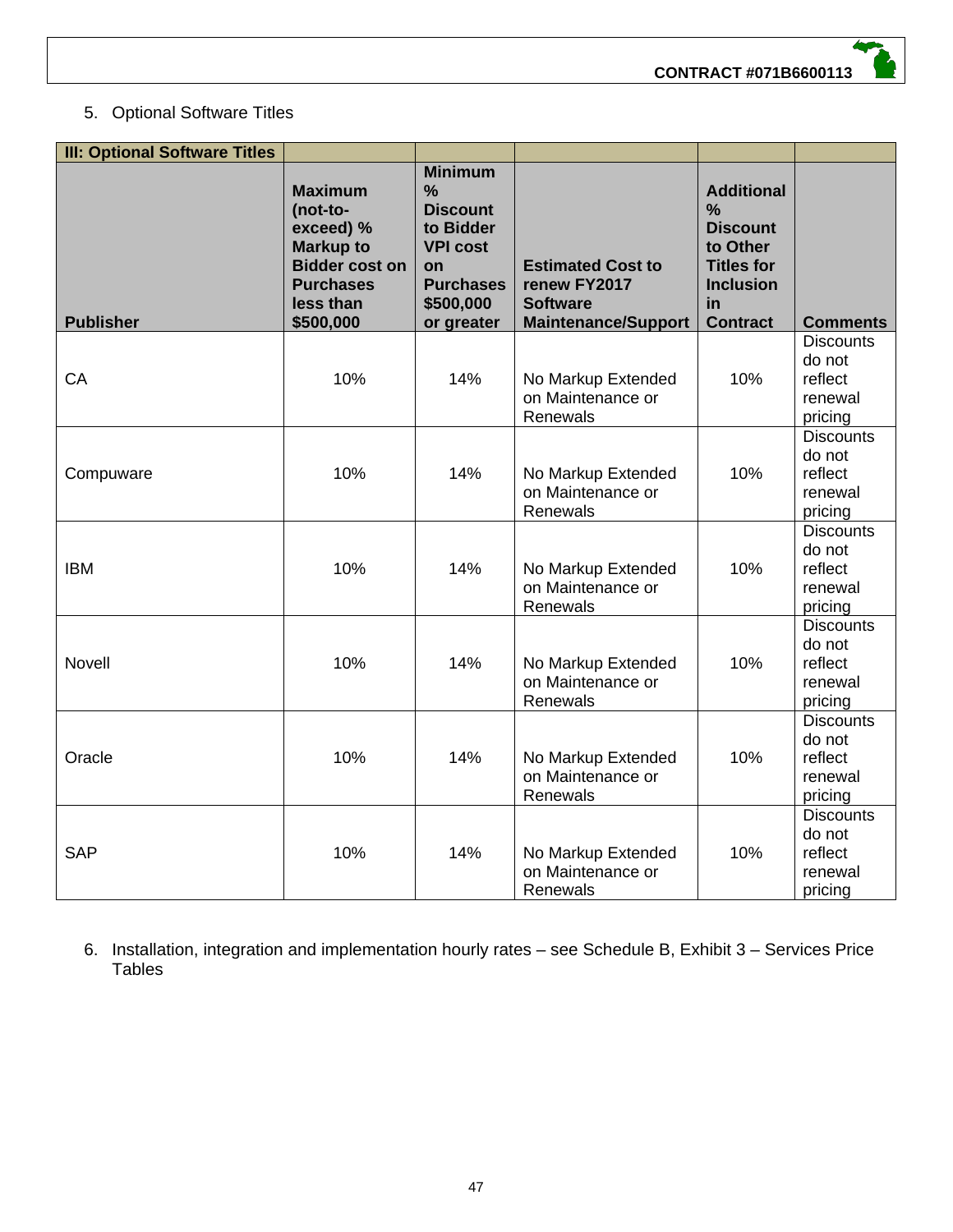

#### 5. Optional Software Titles

| <b>III: Optional Software Titles</b> |                                                                                                                                    |                                                                                                                                         |                                                                                           |                                                                                                                         |                                                             |
|--------------------------------------|------------------------------------------------------------------------------------------------------------------------------------|-----------------------------------------------------------------------------------------------------------------------------------------|-------------------------------------------------------------------------------------------|-------------------------------------------------------------------------------------------------------------------------|-------------------------------------------------------------|
| <b>Publisher</b>                     | <b>Maximum</b><br>(not-to-<br>exceed) %<br><b>Markup to</b><br><b>Bidder cost on</b><br><b>Purchases</b><br>less than<br>\$500,000 | <b>Minimum</b><br>$\frac{9}{6}$<br><b>Discount</b><br>to Bidder<br><b>VPI cost</b><br>on<br><b>Purchases</b><br>\$500,000<br>or greater | <b>Estimated Cost to</b><br>renew FY2017<br><b>Software</b><br><b>Maintenance/Support</b> | <b>Additional</b><br>%<br><b>Discount</b><br>to Other<br><b>Titles for</b><br><b>Inclusion</b><br>in<br><b>Contract</b> | <b>Comments</b>                                             |
| CA                                   | 10%                                                                                                                                | 14%                                                                                                                                     | No Markup Extended<br>on Maintenance or<br>Renewals                                       | 10%                                                                                                                     | <b>Discounts</b><br>do not<br>reflect<br>renewal<br>pricing |
| Compuware                            | 10%                                                                                                                                | 14%                                                                                                                                     | No Markup Extended<br>on Maintenance or<br>Renewals                                       | 10%                                                                                                                     | <b>Discounts</b><br>do not<br>reflect<br>renewal<br>pricing |
| <b>IBM</b>                           | 10%                                                                                                                                | 14%                                                                                                                                     | No Markup Extended<br>on Maintenance or<br>Renewals                                       | 10%                                                                                                                     | <b>Discounts</b><br>do not<br>reflect<br>renewal<br>pricing |
| <b>Novell</b>                        | 10%                                                                                                                                | 14%                                                                                                                                     | No Markup Extended<br>on Maintenance or<br>Renewals                                       | 10%                                                                                                                     | <b>Discounts</b><br>do not<br>reflect<br>renewal<br>pricing |
| Oracle                               | 10%                                                                                                                                | 14%                                                                                                                                     | No Markup Extended<br>on Maintenance or<br>Renewals                                       | 10%                                                                                                                     | <b>Discounts</b><br>do not<br>reflect<br>renewal<br>pricing |
| <b>SAP</b>                           | 10%                                                                                                                                | 14%                                                                                                                                     | No Markup Extended<br>on Maintenance or<br>Renewals                                       | 10%                                                                                                                     | <b>Discounts</b><br>do not<br>reflect<br>renewal<br>pricing |

6. Installation, integration and implementation hourly rates – see Schedule B, Exhibit 3 – Services Price Tables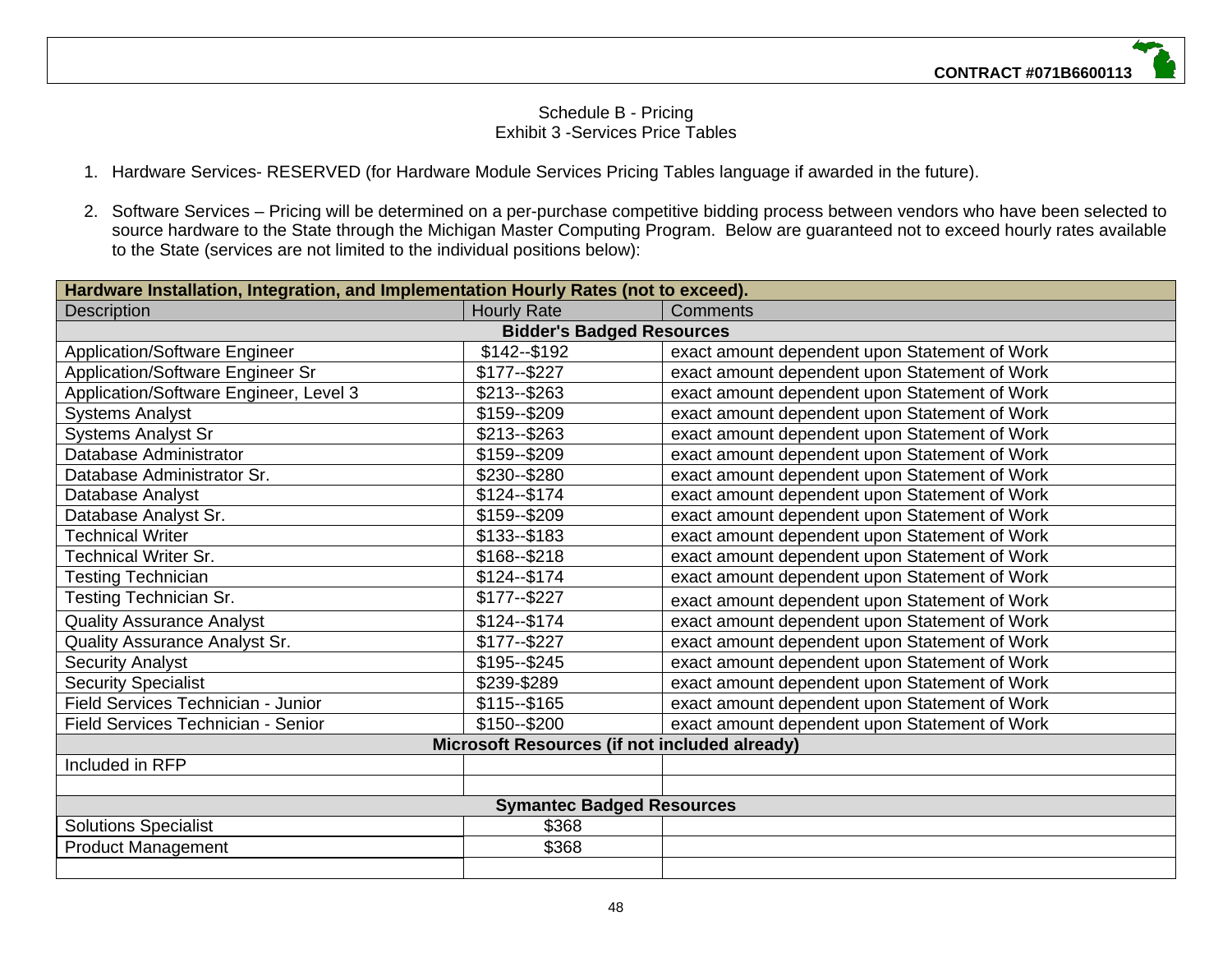#### Schedule B - Pricing Exhibit 3 -Services Price Tables

- 1. Hardware Services- RESERVED (for Hardware Module Services Pricing Tables language if awarded in the future).
- 2. Software Services Pricing will be determined on a per-purchase competitive bidding process between vendors who have been selected to source hardware to the State through the Michigan Master Computing Program. Below are guaranteed not to exceed hourly rates available to the State (services are not limited to the individual positions below):

| Hardware Installation, Integration, and Implementation Hourly Rates (not to exceed). |                                  |                                               |  |  |  |
|--------------------------------------------------------------------------------------|----------------------------------|-----------------------------------------------|--|--|--|
| <b>Description</b>                                                                   | <b>Hourly Rate</b>               | Comments                                      |  |  |  |
|                                                                                      | <b>Bidder's Badged Resources</b> |                                               |  |  |  |
| <b>Application/Software Engineer</b>                                                 | \$142--\$192                     | exact amount dependent upon Statement of Work |  |  |  |
| Application/Software Engineer Sr                                                     | $$177 - $227$                    | exact amount dependent upon Statement of Work |  |  |  |
| Application/Software Engineer, Level 3                                               | $$213 - $263$                    | exact amount dependent upon Statement of Work |  |  |  |
| <b>Systems Analyst</b>                                                               | \$159--\$209                     | exact amount dependent upon Statement of Work |  |  |  |
| <b>Systems Analyst Sr</b>                                                            | $$213 - $263$                    | exact amount dependent upon Statement of Work |  |  |  |
| Database Administrator                                                               | \$159--\$209                     | exact amount dependent upon Statement of Work |  |  |  |
| Database Administrator Sr.                                                           | \$230--\$280                     | exact amount dependent upon Statement of Work |  |  |  |
| Database Analyst                                                                     | \$124 -- \$174                   | exact amount dependent upon Statement of Work |  |  |  |
| Database Analyst Sr.                                                                 | \$159--\$209                     | exact amount dependent upon Statement of Work |  |  |  |
| <b>Technical Writer</b>                                                              | \$133--\$183                     | exact amount dependent upon Statement of Work |  |  |  |
| <b>Technical Writer Sr.</b>                                                          | $$168 - $218$                    | exact amount dependent upon Statement of Work |  |  |  |
| <b>Testing Technician</b>                                                            | $$124 - $174$                    | exact amount dependent upon Statement of Work |  |  |  |
| Testing Technician Sr.                                                               | $$177 - $227$                    | exact amount dependent upon Statement of Work |  |  |  |
| <b>Quality Assurance Analyst</b>                                                     | $$124 - $174$                    | exact amount dependent upon Statement of Work |  |  |  |
| Quality Assurance Analyst Sr.                                                        | $$177 - $227$                    | exact amount dependent upon Statement of Work |  |  |  |
| <b>Security Analyst</b>                                                              | \$195 -- \$245                   | exact amount dependent upon Statement of Work |  |  |  |
| <b>Security Specialist</b>                                                           | \$239-\$289                      | exact amount dependent upon Statement of Work |  |  |  |
| Field Services Technician - Junior                                                   | $$115 - $165$                    | exact amount dependent upon Statement of Work |  |  |  |
| Field Services Technician - Senior                                                   | \$150 -- \$200                   | exact amount dependent upon Statement of Work |  |  |  |
| Microsoft Resources (if not included already)                                        |                                  |                                               |  |  |  |
| Included in RFP                                                                      |                                  |                                               |  |  |  |
|                                                                                      |                                  |                                               |  |  |  |
| <b>Symantec Badged Resources</b>                                                     |                                  |                                               |  |  |  |
| <b>Solutions Specialist</b>                                                          | \$368                            |                                               |  |  |  |
| <b>Product Management</b>                                                            | \$368                            |                                               |  |  |  |
|                                                                                      |                                  |                                               |  |  |  |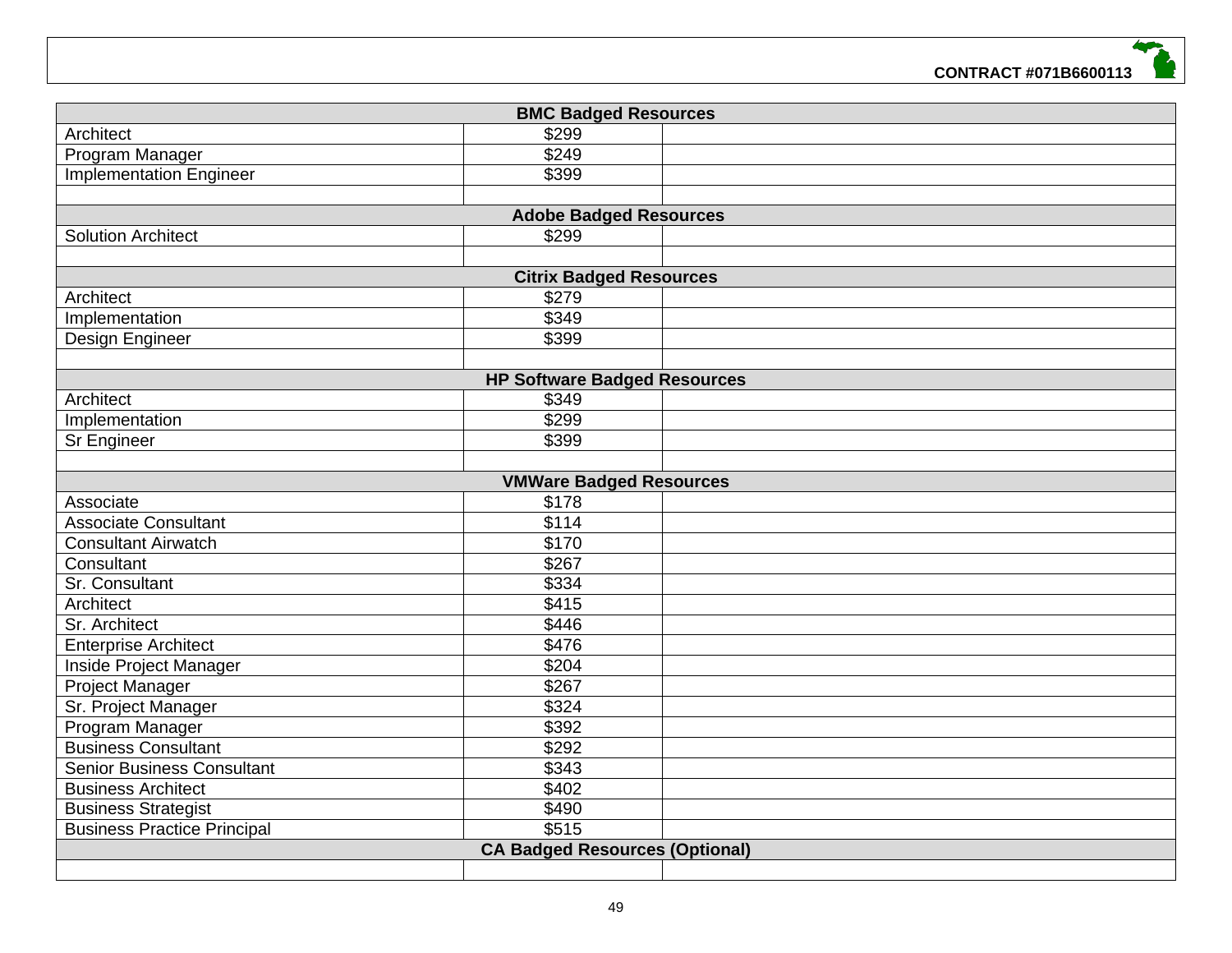

| <b>BMC Badged Resources</b>           |                                     |  |  |  |
|---------------------------------------|-------------------------------------|--|--|--|
| Architect                             | \$299                               |  |  |  |
| Program Manager                       | $\overline{$249}$                   |  |  |  |
| <b>Implementation Engineer</b>        | \$399                               |  |  |  |
|                                       |                                     |  |  |  |
|                                       | <b>Adobe Badged Resources</b>       |  |  |  |
| <b>Solution Architect</b>             | \$299                               |  |  |  |
|                                       |                                     |  |  |  |
|                                       | <b>Citrix Badged Resources</b>      |  |  |  |
| Architect                             | \$279                               |  |  |  |
| Implementation                        | \$349                               |  |  |  |
| Design Engineer                       | \$399                               |  |  |  |
|                                       |                                     |  |  |  |
|                                       | <b>HP Software Badged Resources</b> |  |  |  |
| Architect                             | \$349                               |  |  |  |
| Implementation                        | \$299                               |  |  |  |
| Sr Engineer                           | \$399                               |  |  |  |
|                                       |                                     |  |  |  |
|                                       | <b>VMWare Badged Resources</b>      |  |  |  |
| Associate                             | \$178                               |  |  |  |
| <b>Associate Consultant</b>           | \$114                               |  |  |  |
| <b>Consultant Airwatch</b>            | \$170                               |  |  |  |
| Consultant                            | \$267                               |  |  |  |
| Sr. Consultant                        | \$334                               |  |  |  |
| Architect                             | \$415                               |  |  |  |
| Sr. Architect                         | \$446                               |  |  |  |
| <b>Enterprise Architect</b>           | \$476                               |  |  |  |
| Inside Project Manager                | \$204                               |  |  |  |
| Project Manager                       | \$267                               |  |  |  |
| Sr. Project Manager                   | \$324                               |  |  |  |
| Program Manager                       | \$392                               |  |  |  |
| <b>Business Consultant</b>            | \$292                               |  |  |  |
| <b>Senior Business Consultant</b>     | \$343                               |  |  |  |
| <b>Business Architect</b>             | \$402                               |  |  |  |
| <b>Business Strategist</b>            | \$490                               |  |  |  |
| <b>Business Practice Principal</b>    | \$515                               |  |  |  |
| <b>CA Badged Resources (Optional)</b> |                                     |  |  |  |
|                                       |                                     |  |  |  |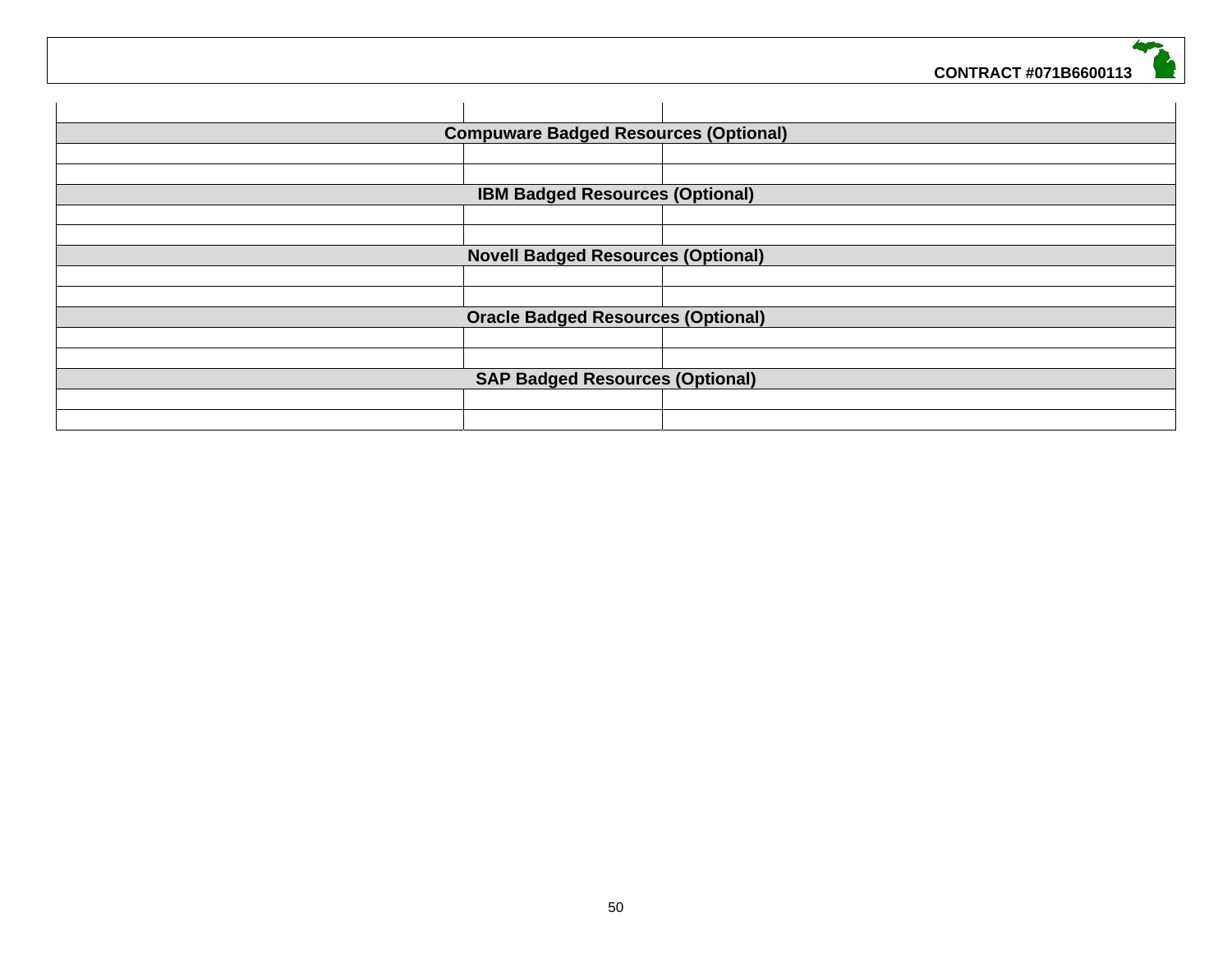|                                           | <b>Compuware Badged Resources (Optional)</b> |  |  |  |
|-------------------------------------------|----------------------------------------------|--|--|--|
|                                           |                                              |  |  |  |
|                                           |                                              |  |  |  |
|                                           | <b>IBM Badged Resources (Optional)</b>       |  |  |  |
|                                           |                                              |  |  |  |
|                                           |                                              |  |  |  |
|                                           | <b>Novell Badged Resources (Optional)</b>    |  |  |  |
|                                           |                                              |  |  |  |
|                                           |                                              |  |  |  |
| <b>Oracle Badged Resources (Optional)</b> |                                              |  |  |  |
|                                           |                                              |  |  |  |
|                                           |                                              |  |  |  |
| <b>SAP Badged Resources (Optional)</b>    |                                              |  |  |  |
|                                           |                                              |  |  |  |
|                                           |                                              |  |  |  |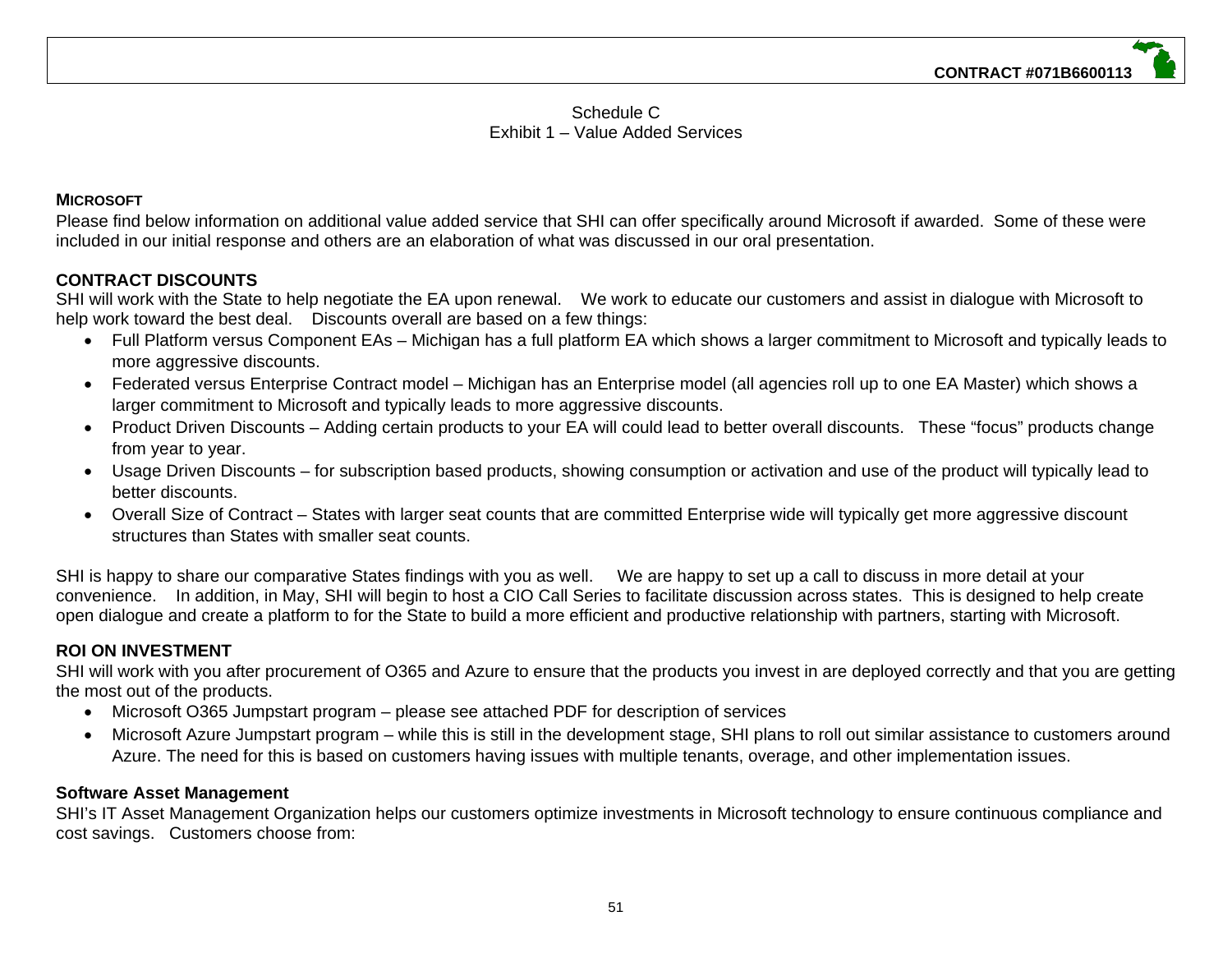#### Schedule C Exhibit 1 – Value Added Services

#### **MICROSOFT**

Please find below information on additional value added service that SHI can offer specifically around Microsoft if awarded. Some of these were included in our initial response and others are an elaboration of what was discussed in our oral presentation.

#### **CONTRACT DISCOUNTS**

SHI will work with the State to help negotiate the EA upon renewal. We work to educate our customers and assist in dialogue with Microsoft to help work toward the best deal. Discounts overall are based on a few things:

- Full Platform versus Component EAs Michigan has a full platform EA which shows a larger commitment to Microsoft and typically leads to more aggressive discounts.
- Federated versus Enterprise Contract model Michigan has an Enterprise model (all agencies roll up to one EA Master) which shows a larger commitment to Microsoft and typically leads to more aggressive discounts.
- Product Driven Discounts Adding certain products to your EA will could lead to better overall discounts. These "focus" products change from year to year.
- Usage Driven Discounts for subscription based products, showing consumption or activation and use of the product will typically lead to better discounts.
- Overall Size of Contract States with larger seat counts that are committed Enterprise wide will typically get more aggressive discount structures than States with smaller seat counts.

SHI is happy to share our comparative States findings with you as well. We are happy to set up a call to discuss in more detail at your convenience. In addition, in May, SHI will begin to host a CIO Call Series to facilitate discussion across states. This is designed to help create open dialogue and create a platform to for the State to build a more efficient and productive relationship with partners, starting with Microsoft.

#### **ROI ON INVESTMENT**

SHI will work with you after procurement of O365 and Azure to ensure that the products you invest in are deployed correctly and that you are getting the most out of the products.

- Microsoft O365 Jumpstart program please see attached PDF for description of services
- Microsoft Azure Jumpstart program while this is still in the development stage, SHI plans to roll out similar assistance to customers around Azure. The need for this is based on customers having issues with multiple tenants, overage, and other implementation issues.

#### **Software Asset Management**

SHI's IT Asset Management Organization helps our customers optimize investments in Microsoft technology to ensure continuous compliance and cost savings. Customers choose from: